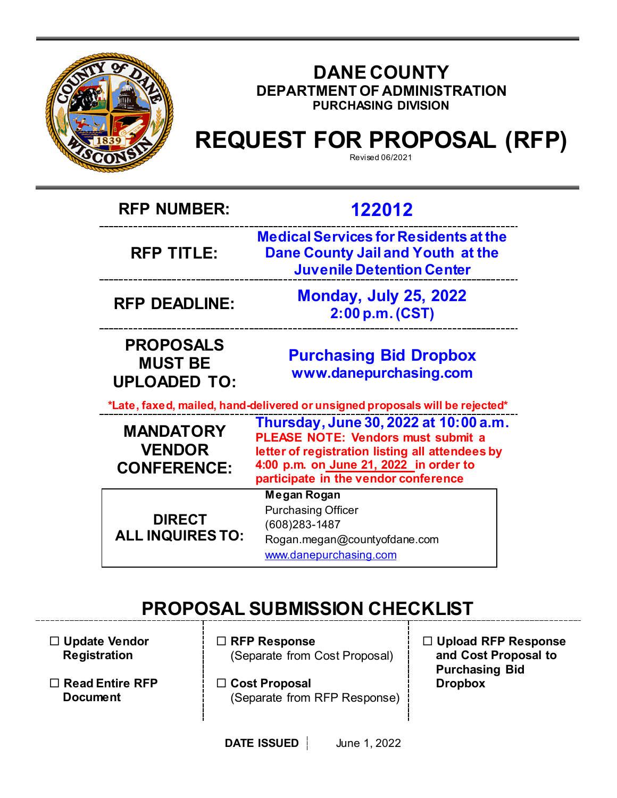

# **DANE COUNTY DEPARTMENT OF ADMINISTRATION PURCHASING DIVISION**

# **REQUEST FOR PROPOSAL (RFP)**

| <b>RFP NUMBER:</b>                                        | 122012                                                                                                                                                                                                                  |  |
|-----------------------------------------------------------|-------------------------------------------------------------------------------------------------------------------------------------------------------------------------------------------------------------------------|--|
| <b>RFP TITLE:</b>                                         | <b>Medical Services for Residents at the</b><br>Dane County Jail and Youth at the<br><b>Juvenile Detention Center</b>                                                                                                   |  |
| <b>RFP DEADLINE:</b>                                      | <b>Monday, July 25, 2022</b><br>2:00 p.m. (CST)                                                                                                                                                                         |  |
| <b>PROPOSALS</b><br><b>MUST BE</b><br><b>UPLOADED TO:</b> | <b>Purchasing Bid Dropbox</b><br>www.danepurchasing.com                                                                                                                                                                 |  |
|                                                           | *Late, faxed, mailed, hand-delivered or unsigned proposals will be rejected*                                                                                                                                            |  |
| <b>MANDATORY</b><br><b>VENDOR</b><br><b>CONFERENCE:</b>   | Thursday, June 30, 2022 at 10:00 a.m.<br><b>PLEASE NOTE: Vendors must submit a</b><br>letter of registration listing all attendees by<br>4:00 p.m. on June 21, 2022 in order to<br>participate in the vendor conference |  |
| <b>DIRECT</b><br><b>ALL INQUIRES TO:</b>                  | Megan Rogan<br><b>Purchasing Officer</b><br>(608) 283-1487<br>Rogan.megan@countyofdane.com<br>www.danepurchasing.com                                                                                                    |  |

# **PROPOSAL SUBMISSION CHECKLIST**

 **Update Vendor Registration**

- **Read Entire RFP Document**
- **RFP Response** (Separate from Cost Proposal)
- **Cost Proposal**  (Separate from RFP Response)
- **Upload RFP Response and Cost Proposal to Purchasing Bid Dropbox**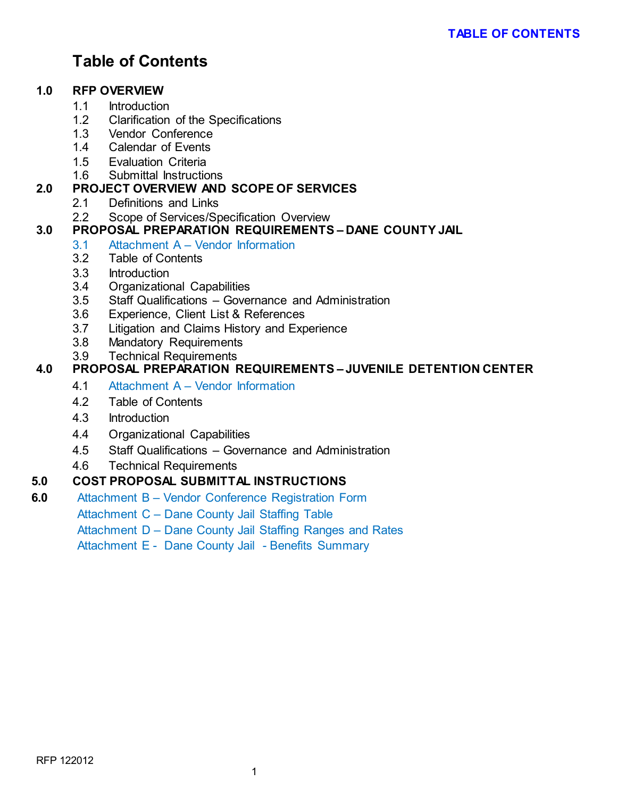# **Table of Contents**

# **1.0 RFP OVERVIEW**

- 1.1 Introduction
- 1.2 Clarification of the Specifications<br>1.3 Vendor Conference
- Vendor Conference
- 1.4 Calendar of Events
- 1.5 Evaluation Criteria
- 1.6 Submittal Instructions

# **2.0 PROJECT OVERVIEW AND SCOPE OF SERVICES**

- 2.1 Definitions and Links
- 2.2 Scope of Services/Specification Overview

# **3.0 PROPOSAL PREPARATION REQUIREMENTS – DANE COUNTY JAIL**

- 3.1 Attachment A Vendor Information
- 3.2 Table of Contents
- 3.3 Introduction
- 3.4 Organizational Capabilities
- 3.5 Staff Qualifications Governance and Administration
- 3.6 Experience, Client List & References
- 3.7 Litigation and Claims History and Experience
- 3.8 Mandatory Requirements
- 3.9 Technical Requirements

# **4.0 PROPOSAL PREPARATION REQUIREMENTS – JUVENILE DETENTION CENTER**

- 4.1 Attachment A Vendor Information
- 4.2 Table of Contents
- 4.3 Introduction
- 4.4 Organizational Capabilities
- 4.5 Staff Qualifications Governance and Administration
- 4.6 Technical Requirements

# **5.0 COST PROPOSAL SUBMITTAL INSTRUCTIONS**

**6.0** Attachment B – Vendor Conference Registration Form

Attachment C – Dane County Jail Staffing Table

Attachment D – Dane County Jail Staffing Ranges and Rates

Attachment E - Dane County Jail - Benefits Summary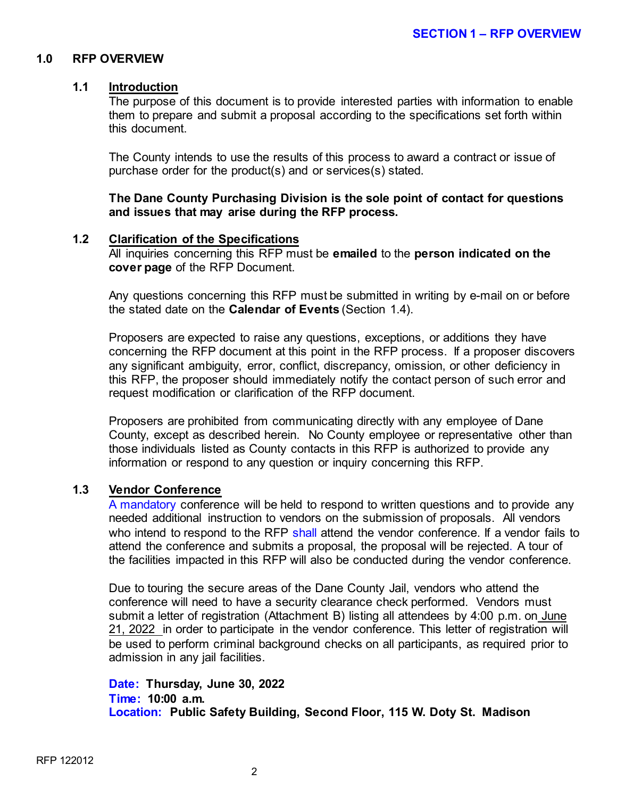# **1.0 RFP OVERVIEW**

#### **1.1 Introduction**

The purpose of this document is to provide interested parties with information to enable them to prepare and submit a proposal according to the specifications set forth within this document.

The County intends to use the results of this process to award a contract or issue of purchase order for the product(s) and or services(s) stated.

**The Dane County Purchasing Division is the sole point of contact for questions and issues that may arise during the RFP process.**

#### **1.2 Clarification of the Specifications**

All inquiries concerning this RFP must be **emailed** to the **person indicated on the cover page** of the RFP Document.

Any questions concerning this RFP must be submitted in writing by e-mail on or before the stated date on the **Calendar of Events** (Section 1.4).

Proposers are expected to raise any questions, exceptions, or additions they have concerning the RFP document at this point in the RFP process. If a proposer discovers any significant ambiguity, error, conflict, discrepancy, omission, or other deficiency in this RFP, the proposer should immediately notify the contact person of such error and request modification or clarification of the RFP document.

Proposers are prohibited from communicating directly with any employee of Dane County, except as described herein. No County employee or representative other than those individuals listed as County contacts in this RFP is authorized to provide any information or respond to any question or inquiry concerning this RFP.

# **1.3 Vendor Conference**

A mandatory conference will be held to respond to written questions and to provide any needed additional instruction to vendors on the submission of proposals. All vendors who intend to respond to the RFP shall attend the vendor conference. If a vendor fails to attend the conference and submits a proposal, the proposal will be rejected. A tour of the facilities impacted in this RFP will also be conducted during the vendor conference.

Due to touring the secure areas of the Dane County Jail, vendors who attend the conference will need to have a security clearance check performed. Vendors must submit a letter of registration (Attachment B) listing all attendees by 4:00 p.m. on June 21, 2022 in order to participate in the vendor conference. This letter of registration will be used to perform criminal background checks on all participants, as required prior to admission in any jail facilities.

#### **Date: Thursday, June 30, 2022 Time: 10:00 a.m. Location: Public Safety Building, Second Floor, 115 W. Doty St. Madison**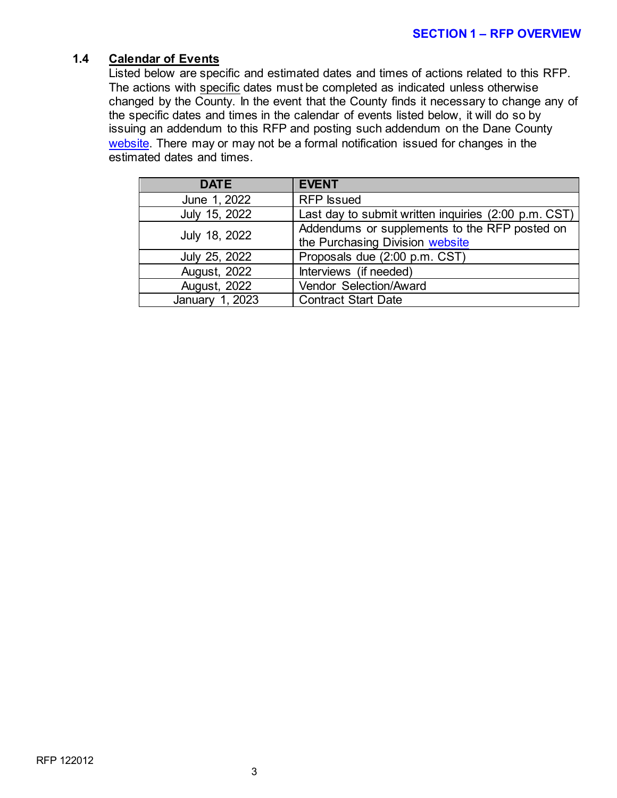# **1.4 Calendar of Events**

Listed below are specific and estimated dates and times of actions related to this RFP. The actions with specific dates must be completed as indicated unless otherwise changed by the County. In the event that the County finds it necessary to change any of the specific dates and times in the calendar of events listed below, it will do so by issuing an addendum to this RFP and posting such addendum on the Dane County [website.](http://www.danepurchasing.com/) There may or may not be a formal notification issued for changes in the estimated dates and times.

| <b>DATE</b>         | <b>EVENT</b>                                                                     |
|---------------------|----------------------------------------------------------------------------------|
| June 1, 2022        | <b>RFP</b> Issued                                                                |
| July 15, 2022       | Last day to submit written inquiries (2:00 p.m. CST)                             |
| July 18, 2022       | Addendums or supplements to the RFP posted on<br>the Purchasing Division website |
| July 25, 2022       | Proposals due (2:00 p.m. CST)                                                    |
| <b>August, 2022</b> | Interviews (if needed)                                                           |
| August, 2022        | Vendor Selection/Award                                                           |
| January 1, 2023     | <b>Contract Start Date</b>                                                       |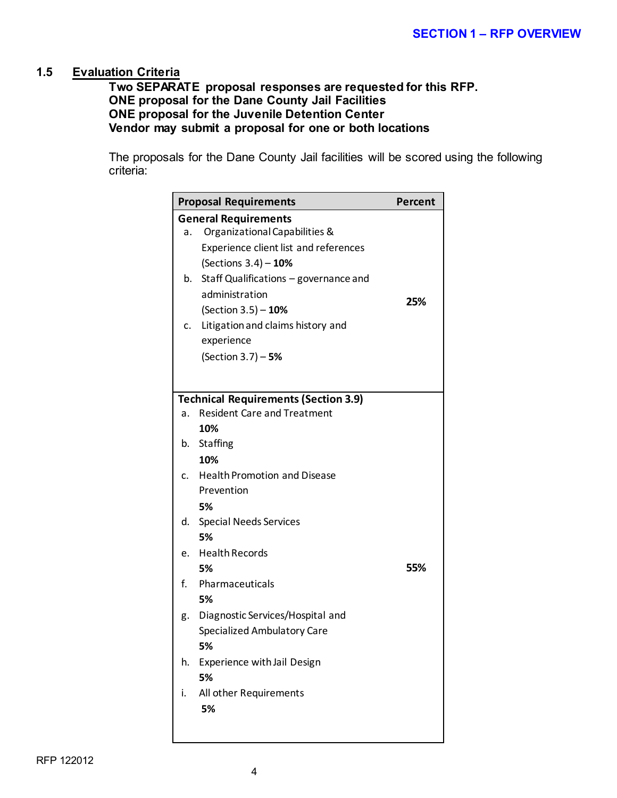# **1.5 Evaluation Criteria**

**Two SEPARATE proposal responses are requested for this RFP. ONE proposal for the Dane County Jail Facilities ONE proposal for the Juvenile Detention Center Vendor may submit a proposal for one or both locations**

The proposals for the Dane County Jail facilities will be scored using the following criteria:

|    | <b>Proposal Requirements</b>                                                      | Percent |
|----|-----------------------------------------------------------------------------------|---------|
|    | <b>General Requirements</b>                                                       |         |
| a. | Organizational Capabilities &                                                     |         |
|    | Experience client list and references                                             |         |
|    | (Sections $3.4$ ) - 10%                                                           |         |
|    | b. Staff Qualifications - governance and                                          |         |
|    | administration                                                                    | 25%     |
|    | (Section 3.5) - 10%                                                               |         |
|    | c. Litigation and claims history and                                              |         |
|    | experience                                                                        |         |
|    | (Section 3.7) - 5%                                                                |         |
|    |                                                                                   |         |
|    |                                                                                   |         |
|    | <b>Technical Requirements (Section 3.9)</b><br><b>Resident Care and Treatment</b> |         |
| a. | 10%                                                                               |         |
|    |                                                                                   |         |
| b. | Staffing                                                                          |         |
|    | 10%                                                                               |         |
| C. | <b>Health Promotion and Disease</b>                                               |         |
|    | Prevention                                                                        |         |
|    | 5%                                                                                |         |
| d. | <b>Special Needs Services</b>                                                     |         |
|    | 5%                                                                                |         |
| e. | <b>Health Records</b>                                                             |         |
|    | 5%                                                                                | 55%     |
| f. | Pharmaceuticals                                                                   |         |
|    | 5%                                                                                |         |
| g. | Diagnostic Services/Hospital and                                                  |         |
|    | Specialized Ambulatory Care                                                       |         |
|    | 5%                                                                                |         |
| h. | Experience with Jail Design                                                       |         |
|    | 5%                                                                                |         |
| i. | All other Requirements                                                            |         |
|    | 5%                                                                                |         |
|    |                                                                                   |         |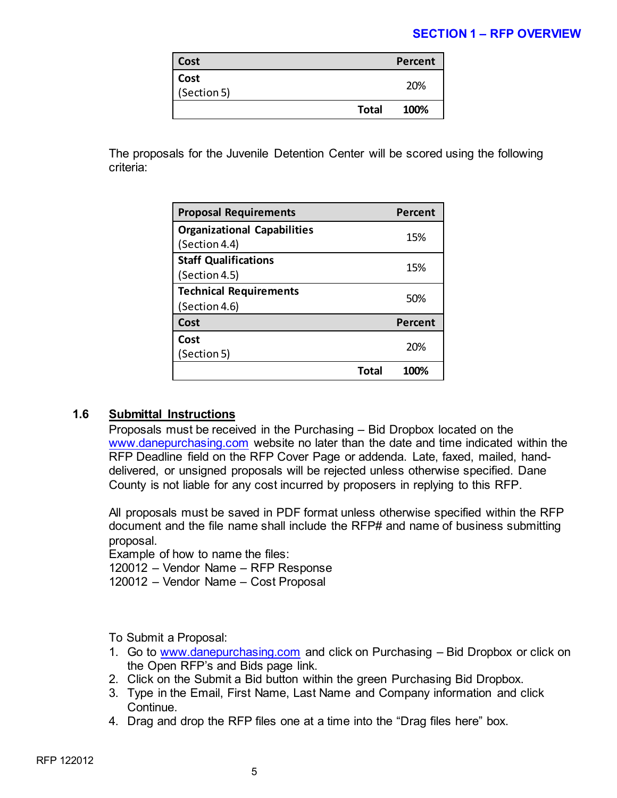# **SECTION 1 – RFP OVERVIEW**

| Cost                |              | Percent |
|---------------------|--------------|---------|
| Cost<br>(Section 5) |              | 20%     |
|                     | <b>Total</b> | 100%    |

 The proposals for the Juvenile Detention Center will be scored using the following criteria:

| <b>Proposal Requirements</b>       |       | <b>Percent</b> |
|------------------------------------|-------|----------------|
| <b>Organizational Capabilities</b> |       | 15%            |
| (Section 4.4)                      |       |                |
| <b>Staff Qualifications</b>        |       | 15%            |
| (Section 4.5)                      |       |                |
| <b>Technical Requirements</b>      |       | 50%            |
| (Section 4.6)                      |       |                |
| Cost                               |       | Percent        |
| Cost                               |       | 20%            |
| (Section 5)                        |       |                |
|                                    | Total | 100%           |

# **1.6 Submittal Instructions**

Proposals must be received in the Purchasing – Bid Dropbox located on the [www.danepurchasing.com](http://www.danepurchasing.com/) website no later than the date and time indicated within the RFP Deadline field on the RFP Cover Page or addenda. Late, faxed, mailed, handdelivered, or unsigned proposals will be rejected unless otherwise specified. Dane County is not liable for any cost incurred by proposers in replying to this RFP.

All proposals must be saved in PDF format unless otherwise specified within the RFP document and the file name shall include the RFP# and name of business submitting proposal.

Example of how to name the files:

120012 – Vendor Name – RFP Response

120012 – Vendor Name – Cost Proposal

To Submit a Proposal:

- 1. Go to [www.danepurchasing.com](http://www.danepurchasing.com/) and click on Purchasing Bid Dropbox or click on the Open RFP's and Bids page link.
- 2. Click on the Submit a Bid button within the green Purchasing Bid Dropbox.
- 3. Type in the Email, First Name, Last Name and Company information and click Continue.
- 4. Drag and drop the RFP files one at a time into the "Drag files here" box.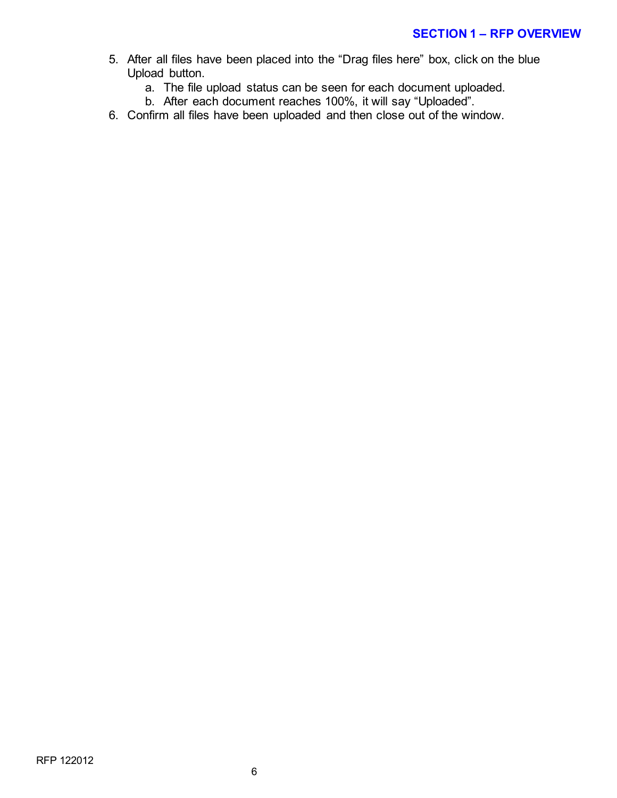- 5. After all files have been placed into the "Drag files here" box, click on the blue Upload button.
	- a. The file upload status can be seen for each document uploaded.
	- b. After each document reaches 100%, it will say "Uploaded".
- 6. Confirm all files have been uploaded and then close out of the window.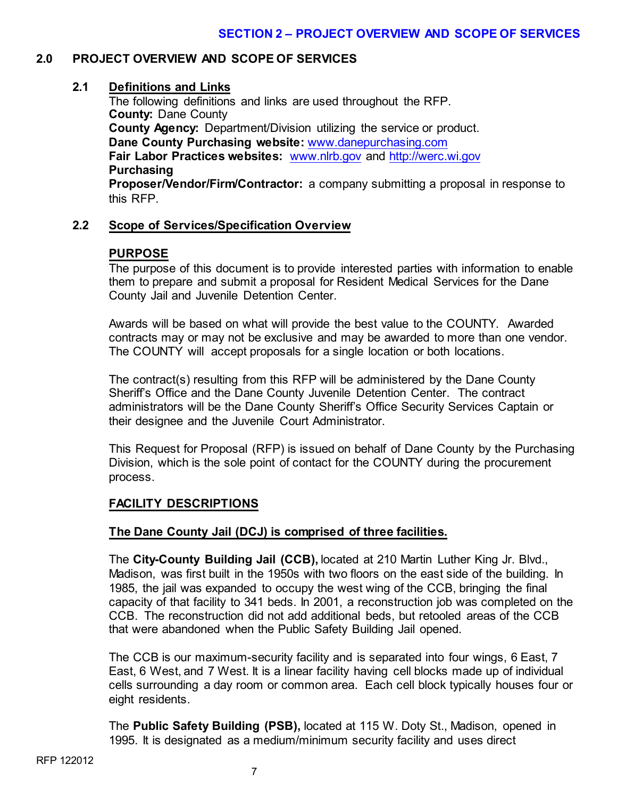# **2.0 PROJECT OVERVIEW AND SCOPE OF SERVICES**

# **2.1 Definitions and Links**

The following definitions and links are used throughout the RFP. **County:** Dane County **County Agency:** Department/Division utilizing the service or product. **Dane County Purchasing website:** [www.danepurchasing.com](http://www.danepurchasing.com/) **Fair Labor Practices websites:** [www.nlrb.gov](http://www.nlrb.gov/) and [http://werc.wi.gov](http://werc.wi.gov/) **Purchasing Proposer/Vendor/Firm/Contractor:** a company submitting a proposal in response to

this RFP.

# **2.2 Scope of Services/Specification Overview**

# **PURPOSE**

The purpose of this document is to provide interested parties with information to enable them to prepare and submit a proposal for Resident Medical Services for the Dane County Jail and Juvenile Detention Center.

Awards will be based on what will provide the best value to the COUNTY. Awarded contracts may or may not be exclusive and may be awarded to more than one vendor. The COUNTY will accept proposals for a single location or both locations.

The contract(s) resulting from this RFP will be administered by the Dane County Sheriff's Office and the Dane County Juvenile Detention Center. The contract administrators will be the Dane County Sheriff's Office Security Services Captain or their designee and the Juvenile Court Administrator.

This Request for Proposal (RFP) is issued on behalf of Dane County by the Purchasing Division, which is the sole point of contact for the COUNTY during the procurement process.

# **FACILITY DESCRIPTIONS**

# **The Dane County Jail (DCJ) is comprised of three facilities.**

The **City-County Building Jail (CCB),** located at 210 Martin Luther King Jr. Blvd., Madison, was first built in the 1950s with two floors on the east side of the building. In 1985, the jail was expanded to occupy the west wing of the CCB, bringing the final capacity of that facility to 341 beds. In 2001, a reconstruction job was completed on the CCB. The reconstruction did not add additional beds, but retooled areas of the CCB that were abandoned when the Public Safety Building Jail opened.

The CCB is our maximum-security facility and is separated into four wings, 6 East, 7 East, 6 West, and 7 West. It is a linear facility having cell blocks made up of individual cells surrounding a day room or common area. Each cell block typically houses four or eight residents.

The **Public Safety Building (PSB),** located at 115 W. Doty St., Madison, opened in 1995. It is designated as a medium/minimum security facility and uses direct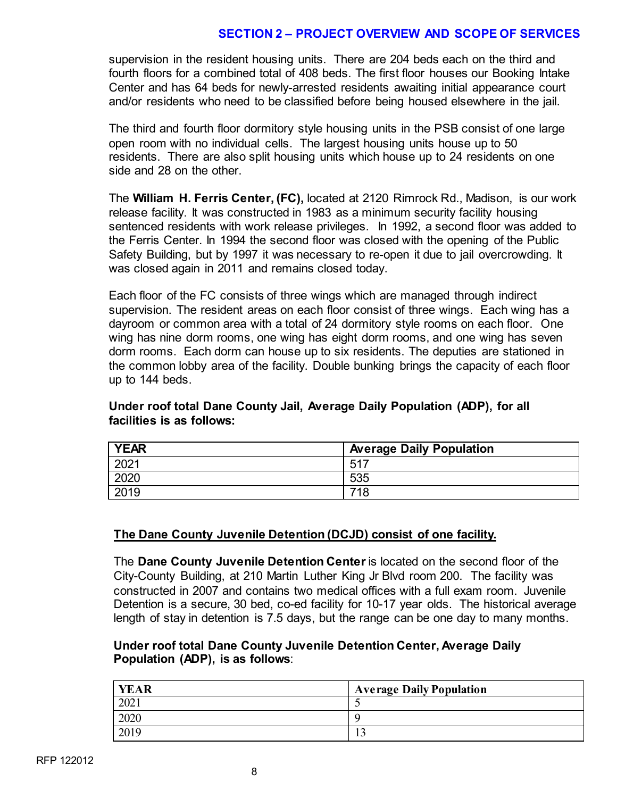# **SECTION 2 – PROJECT OVERVIEW AND SCOPE OF SERVICES**

supervision in the resident housing units. There are 204 beds each on the third and fourth floors for a combined total of 408 beds. The first floor houses our Booking Intake Center and has 64 beds for newly-arrested residents awaiting initial appearance court and/or residents who need to be classified before being housed elsewhere in the jail.

The third and fourth floor dormitory style housing units in the PSB consist of one large open room with no individual cells. The largest housing units house up to 50 residents. There are also split housing units which house up to 24 residents on one side and 28 on the other.

The **William H. Ferris Center, (FC),** located at 2120 Rimrock Rd., Madison, is our work release facility. It was constructed in 1983 as a minimum security facility housing sentenced residents with work release privileges. In 1992, a second floor was added to the Ferris Center. In 1994 the second floor was closed with the opening of the Public Safety Building, but by 1997 it was necessary to re-open it due to jail overcrowding. It was closed again in 2011 and remains closed today.

Each floor of the FC consists of three wings which are managed through indirect supervision. The resident areas on each floor consist of three wings. Each wing has a dayroom or common area with a total of 24 dormitory style rooms on each floor. One wing has nine dorm rooms, one wing has eight dorm rooms, and one wing has seven dorm rooms. Each dorm can house up to six residents. The deputies are stationed in the common lobby area of the facility. Double bunking brings the capacity of each floor up to 144 beds.

# **Under roof total Dane County Jail, Average Daily Population (ADP), for all facilities is as follows:**

| <b>YEAR</b>      | <b>Average Daily Population</b> |
|------------------|---------------------------------|
| 202 <sup>4</sup> | $-517$                          |
| 2020             | 535                             |
| 2019             | 740                             |

# **The Dane County Juvenile Detention (DCJD) consist of one facility.**

The **Dane County Juvenile Detention Center** is located on the second floor of the City-County Building, at 210 Martin Luther King Jr Blvd room 200. The facility was constructed in 2007 and contains two medical offices with a full exam room. Juvenile Detention is a secure, 30 bed, co-ed facility for 10-17 year olds. The historical average length of stay in detention is 7.5 days, but the range can be one day to many months.

#### **Under roof total Dane County Juvenile Detention Center, Average Daily Population (ADP), is as follows**:

| <b>YEAR</b> | <b>Average Daily Population</b> |
|-------------|---------------------------------|
| 2021        |                                 |
| 2020        |                                 |
| 2019        |                                 |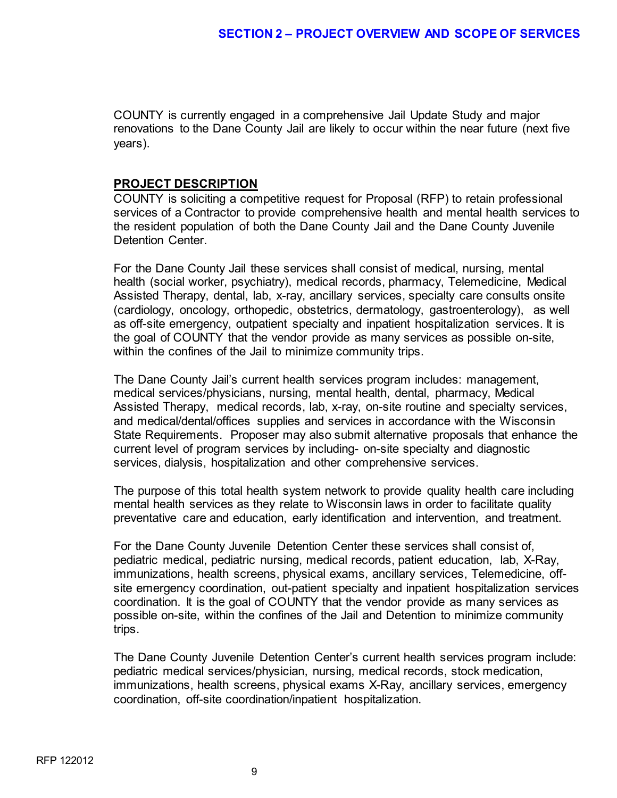COUNTY is currently engaged in a comprehensive Jail Update Study and major renovations to the Dane County Jail are likely to occur within the near future (next five years).

#### **PROJECT DESCRIPTION**

COUNTY is soliciting a competitive request for Proposal (RFP) to retain professional services of a Contractor to provide comprehensive health and mental health services to the resident population of both the Dane County Jail and the Dane County Juvenile Detention Center.

For the Dane County Jail these services shall consist of medical, nursing, mental health (social worker, psychiatry), medical records, pharmacy, Telemedicine, Medical Assisted Therapy, dental, lab, x-ray, ancillary services, specialty care consults onsite (cardiology, oncology, orthopedic, obstetrics, dermatology, gastroenterology), as well as off-site emergency, outpatient specialty and inpatient hospitalization services. It is the goal of COUNTY that the vendor provide as many services as possible on-site, within the confines of the Jail to minimize community trips.

The Dane County Jail's current health services program includes: management, medical services/physicians, nursing, mental health, dental, pharmacy, Medical Assisted Therapy, medical records, lab, x-ray, on-site routine and specialty services, and medical/dental/offices supplies and services in accordance with the Wisconsin State Requirements. Proposer may also submit alternative proposals that enhance the current level of program services by including- on-site specialty and diagnostic services, dialysis, hospitalization and other comprehensive services.

The purpose of this total health system network to provide quality health care including mental health services as they relate to Wisconsin laws in order to facilitate quality preventative care and education, early identification and intervention, and treatment.

For the Dane County Juvenile Detention Center these services shall consist of, pediatric medical, pediatric nursing, medical records, patient education, lab, X-Ray, immunizations, health screens, physical exams, ancillary services, Telemedicine, offsite emergency coordination, out-patient specialty and inpatient hospitalization services coordination. It is the goal of COUNTY that the vendor provide as many services as possible on-site, within the confines of the Jail and Detention to minimize community trips.

The Dane County Juvenile Detention Center's current health services program include: pediatric medical services/physician, nursing, medical records, stock medication, immunizations, health screens, physical exams X-Ray, ancillary services, emergency coordination, off-site coordination/inpatient hospitalization.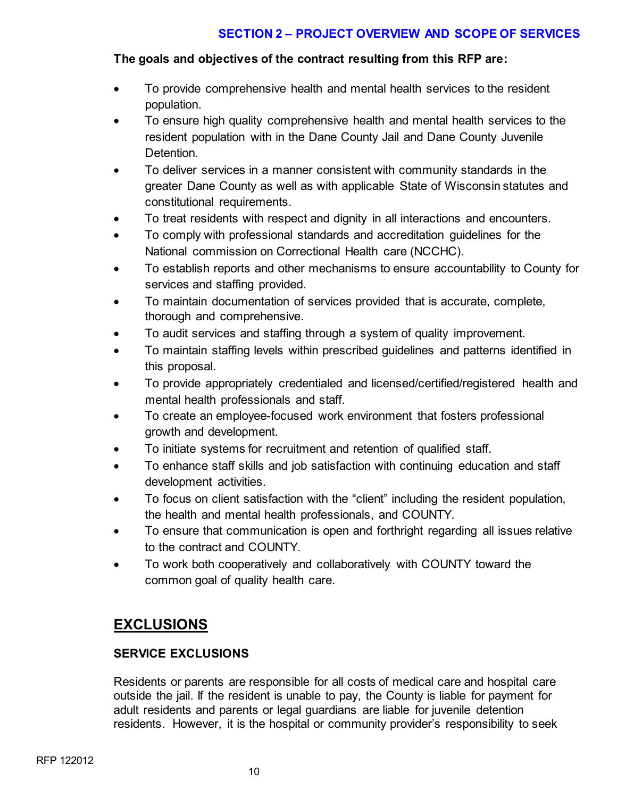# **SECTION 2 – PROJECT OVERVIEW AND SCOPE OF SERVICES**

# **The goals and objectives of the contract resulting from this RFP are:**

- To provide comprehensive health and mental health services to the resident population.
- To ensure high quality comprehensive health and mental health services to the resident population with in the Dane County Jail and Dane County Juvenile Detention.
- To deliver services in a manner consistent with community standards in the greater Dane County as well as with applicable State of Wisconsin statutes and constitutional requirements.
- To treat residents with respect and dignity in all interactions and encounters.
- To comply with professional standards and accreditation guidelines for the National commission on Correctional Health care (NCCHC).
- To establish reports and other mechanisms to ensure accountability to County for services and staffing provided.
- To maintain documentation of services provided that is accurate, complete, thorough and comprehensive.
- To audit services and staffing through a system of quality improvement.
- To maintain staffing levels within prescribed guidelines and patterns identified in this proposal.
- To provide appropriately credentialed and licensed/certified/registered health and mental health professionals and staff.
- To create an employee-focused work environment that fosters professional growth and development.
- To initiate systems for recruitment and retention of qualified staff.
- To enhance staff skills and job satisfaction with continuing education and staff development activities.
- To focus on client satisfaction with the "client" including the resident population, the health and mental health professionals, and COUNTY.
- To ensure that communication is open and forthright regarding all issues relative to the contract and COUNTY.
- To work both cooperatively and collaboratively with COUNTY toward the common goal of quality health care.

# **EXCLUSIONS**

# **SERVICE EXCLUSIONS**

Residents or parents are responsible for all costs of medical care and hospital care outside the jail. If the resident is unable to pay, the County is liable for payment for adult residents and parents or legal guardians are liable for juvenile detention residents. However, it is the hospital or community provider's responsibility to seek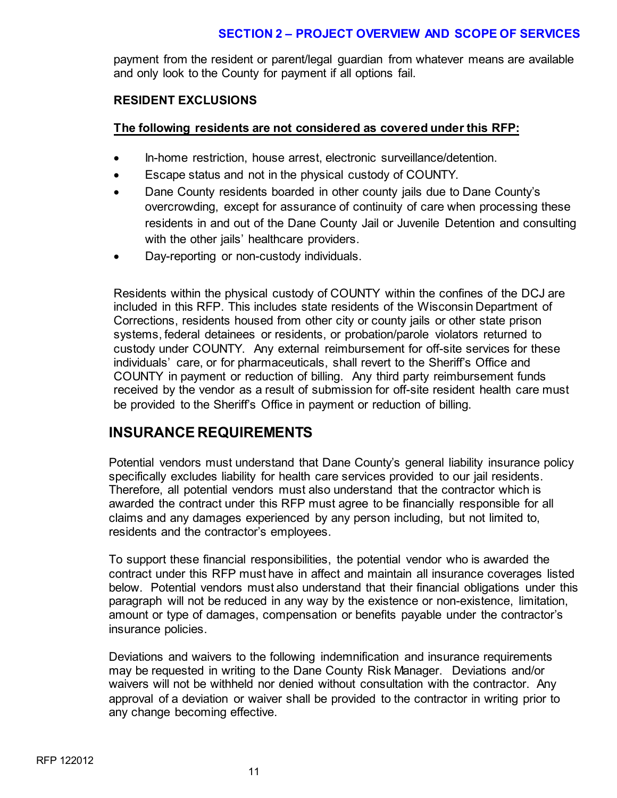# **SECTION 2 – PROJECT OVERVIEW AND SCOPE OF SERVICES**

payment from the resident or parent/legal guardian from whatever means are available and only look to the County for payment if all options fail.

#### **RESIDENT EXCLUSIONS**

# **The following residents are not considered as covered under this RFP:**

- In-home restriction, house arrest, electronic surveillance/detention.
- Escape status and not in the physical custody of COUNTY.
- Dane County residents boarded in other county jails due to Dane County's overcrowding, except for assurance of continuity of care when processing these residents in and out of the Dane County Jail or Juvenile Detention and consulting with the other jails' healthcare providers.
- Day-reporting or non-custody individuals.

Residents within the physical custody of COUNTY within the confines of the DCJ are included in this RFP. This includes state residents of the Wisconsin Department of Corrections, residents housed from other city or county jails or other state prison systems, federal detainees or residents, or probation/parole violators returned to custody under COUNTY. Any external reimbursement for off-site services for these individuals' care, or for pharmaceuticals, shall revert to the Sheriff's Office and COUNTY in payment or reduction of billing. Any third party reimbursement funds received by the vendor as a result of submission for off-site resident health care must be provided to the Sheriff's Office in payment or reduction of billing.

# **INSURANCE REQUIREMENTS**

Potential vendors must understand that Dane County's general liability insurance policy specifically excludes liability for health care services provided to our jail residents. Therefore, all potential vendors must also understand that the contractor which is awarded the contract under this RFP must agree to be financially responsible for all claims and any damages experienced by any person including, but not limited to, residents and the contractor's employees.

To support these financial responsibilities, the potential vendor who is awarded the contract under this RFP must have in affect and maintain all insurance coverages listed below. Potential vendors must also understand that their financial obligations under this paragraph will not be reduced in any way by the existence or non-existence, limitation, amount or type of damages, compensation or benefits payable under the contractor's insurance policies.

Deviations and waivers to the following indemnification and insurance requirements may be requested in writing to the Dane County Risk Manager. Deviations and/or waivers will not be withheld nor denied without consultation with the contractor. Any approval of a deviation or waiver shall be provided to the contractor in writing prior to any change becoming effective.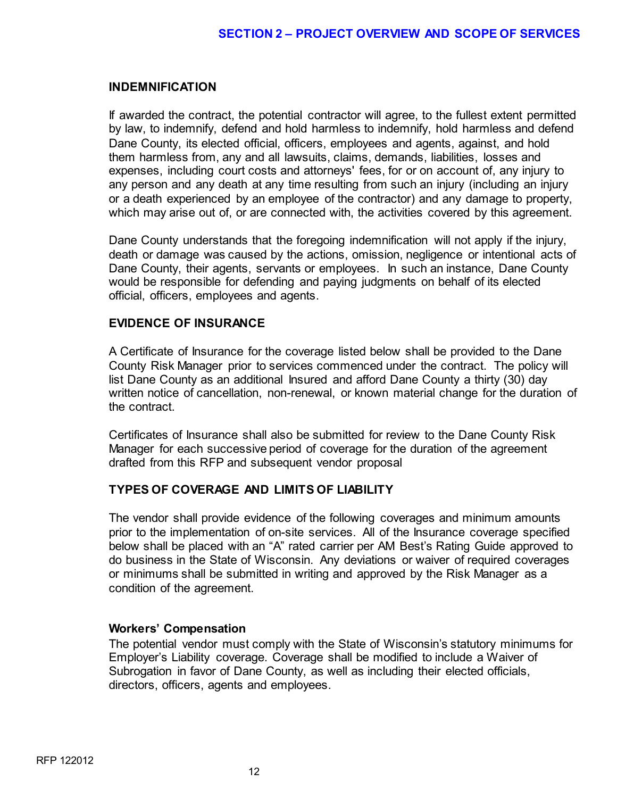#### **INDEMNIFICATION**

If awarded the contract, the potential contractor will agree, to the fullest extent permitted by law, to indemnify, defend and hold harmless to indemnify, hold harmless and defend Dane County, its elected official, officers, employees and agents, against, and hold them harmless from, any and all lawsuits, claims, demands, liabilities, losses and expenses, including court costs and attorneys' fees, for or on account of, any injury to any person and any death at any time resulting from such an injury (including an injury or a death experienced by an employee of the contractor) and any damage to property, which may arise out of, or are connected with, the activities covered by this agreement.

Dane County understands that the foregoing indemnification will not apply if the injury, death or damage was caused by the actions, omission, negligence or intentional acts of Dane County, their agents, servants or employees. In such an instance, Dane County would be responsible for defending and paying judgments on behalf of its elected official, officers, employees and agents.

# **EVIDENCE OF INSURANCE**

A Certificate of Insurance for the coverage listed below shall be provided to the Dane County Risk Manager prior to services commenced under the contract. The policy will list Dane County as an additional Insured and afford Dane County a thirty (30) day written notice of cancellation, non-renewal, or known material change for the duration of the contract.

Certificates of Insurance shall also be submitted for review to the Dane County Risk Manager for each successive period of coverage for the duration of the agreement drafted from this RFP and subsequent vendor proposal

# **TYPES OF COVERAGE AND LIMITS OF LIABILITY**

The vendor shall provide evidence of the following coverages and minimum amounts prior to the implementation of on-site services. All of the Insurance coverage specified below shall be placed with an "A" rated carrier per AM Best's Rating Guide approved to do business in the State of Wisconsin. Any deviations or waiver of required coverages or minimums shall be submitted in writing and approved by the Risk Manager as a condition of the agreement.

#### **Workers' Compensation**

The potential vendor must comply with the State of Wisconsin's statutory minimums for Employer's Liability coverage. Coverage shall be modified to include a Waiver of Subrogation in favor of Dane County, as well as including their elected officials, directors, officers, agents and employees.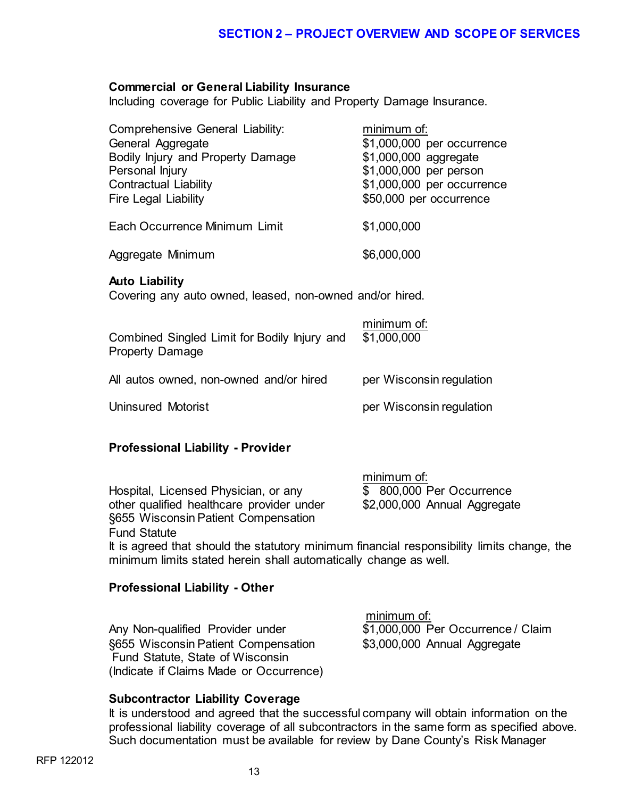#### **Commercial or General Liability Insurance**

Including coverage for Public Liability and Property Damage Insurance.

| Comprehensive General Liability:<br>General Aggregate<br>Bodily Injury and Property Damage<br>Personal Injury<br><b>Contractual Liability</b><br><b>Fire Legal Liability</b> | minimum of:<br>\$1,000,000 per occurrence<br>\$1,000,000 aggregate<br>\$1,000,000 per person<br>\$1,000,000 per occurrence<br>\$50,000 per occurrence |
|------------------------------------------------------------------------------------------------------------------------------------------------------------------------------|-------------------------------------------------------------------------------------------------------------------------------------------------------|
| Each Occurrence Minimum Limit                                                                                                                                                | \$1,000,000                                                                                                                                           |
| Aggregate Minimum                                                                                                                                                            | \$6,000,000                                                                                                                                           |
| <b>Auto Liability</b><br>Covering any auto owned, leased, non-owned and/or hired.                                                                                            |                                                                                                                                                       |
| Combined Singled Limit for Bodily Injury and<br><b>Property Damage</b>                                                                                                       | minimum of:<br>\$1,000,000                                                                                                                            |
| All autos owned, non-owned and/or hired                                                                                                                                      | per Wisconsin regulation                                                                                                                              |
| <b>Uninsured Motorist</b>                                                                                                                                                    | per Wisconsin regulation                                                                                                                              |

#### **Professional Liability - Provider**

|                                                                                     | minimum of:                  |
|-------------------------------------------------------------------------------------|------------------------------|
| Hospital, Licensed Physician, or any                                                | \$ 800,000 Per Occurrence    |
| other qualified healthcare provider under                                           | \$2,000,000 Annual Aggregate |
| §655 Wisconsin Patient Compensation                                                 |                              |
| <b>Fund Statute</b>                                                                 |                              |
| It is agreed that should the statutory minimum financial responsibility limits char |                              |

It is agreed that should the statutory minimum financial responsibility limits change, the minimum limits stated herein shall automatically change as well.

#### **Professional Liability - Other**

Any Non-qualified Provider under §655 Wisconsin Patient Compensation \$3,000,000 Annual Aggregate Fund Statute, State of Wisconsin (Indicate if Claims Made or Occurrence)

minimum of:<br>\$1,000,000 Per Occurrence / Claim

# **Subcontractor Liability Coverage**

It is understood and agreed that the successful company will obtain information on the professional liability coverage of all subcontractors in the same form as specified above. Such documentation must be available for review by Dane County's Risk Manager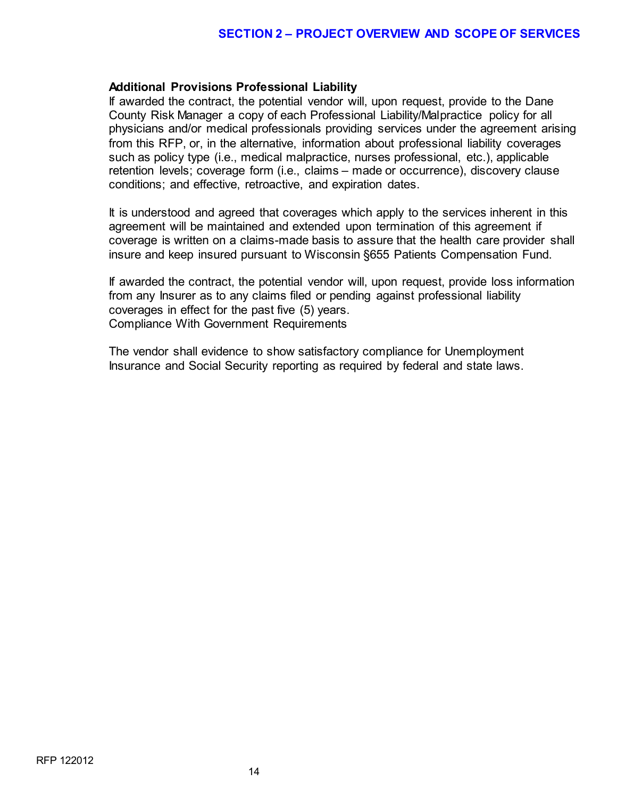#### **Additional Provisions Professional Liability**

If awarded the contract, the potential vendor will, upon request, provide to the Dane County Risk Manager a copy of each Professional Liability/Malpractice policy for all physicians and/or medical professionals providing services under the agreement arising from this RFP, or, in the alternative, information about professional liability coverages such as policy type (i.e., medical malpractice, nurses professional, etc.), applicable retention levels; coverage form (i.e., claims – made or occurrence), discovery clause conditions; and effective, retroactive, and expiration dates.

It is understood and agreed that coverages which apply to the services inherent in this agreement will be maintained and extended upon termination of this agreement if coverage is written on a claims-made basis to assure that the health care provider shall insure and keep insured pursuant to Wisconsin §655 Patients Compensation Fund.

If awarded the contract, the potential vendor will, upon request, provide loss information from any Insurer as to any claims filed or pending against professional liability coverages in effect for the past five (5) years. Compliance With Government Requirements

The vendor shall evidence to show satisfactory compliance for Unemployment Insurance and Social Security reporting as required by federal and state laws.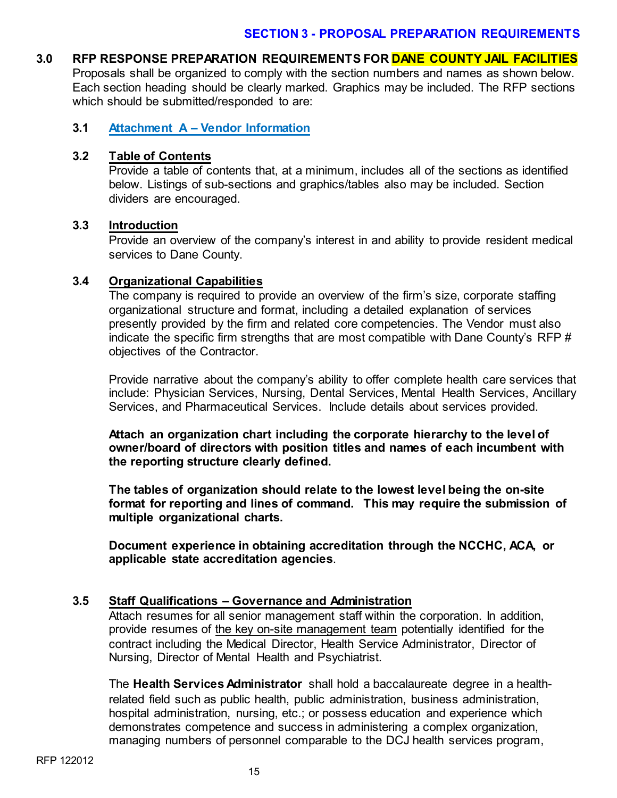#### **3.0 RFP RESPONSE PREPARATION REQUIREMENTS FOR DANE COUNTY JAIL FACILITIES**

Proposals shall be organized to comply with the section numbers and names as shown below. Each section heading should be clearly marked. Graphics may be included. The RFP sections which should be submitted/responded to are:

#### **3.1 Attachment A – Vendor Information**

#### **3.2 Table of Contents**

Provide a table of contents that, at a minimum, includes all of the sections as identified below. Listings of sub-sections and graphics/tables also may be included. Section dividers are encouraged.

#### **3.3 Introduction**

Provide an overview of the company's interest in and ability to provide resident medical services to Dane County.

#### **3.4 Organizational Capabilities**

The company is required to provide an overview of the firm's size, corporate staffing organizational structure and format, including a detailed explanation of services presently provided by the firm and related core competencies. The Vendor must also indicate the specific firm strengths that are most compatible with Dane County's RFP # objectives of the Contractor.

Provide narrative about the company's ability to offer complete health care services that include: Physician Services, Nursing, Dental Services, Mental Health Services, Ancillary Services, and Pharmaceutical Services. Include details about services provided.

**Attach an organization chart including the corporate hierarchy to the level of owner/board of directors with position titles and names of each incumbent with the reporting structure clearly defined.**

**The tables of organization should relate to the lowest level being the on-site format for reporting and lines of command. This may require the submission of multiple organizational charts.**

**Document experience in obtaining accreditation through the NCCHC, ACA, or applicable state accreditation agencies**.

# **3.5 Staff Qualifications – Governance and Administration**

Attach resumes for all senior management staff within the corporation. In addition, provide resumes of the key on-site management team potentially identified for the contract including the Medical Director, Health Service Administrator, Director of Nursing, Director of Mental Health and Psychiatrist.

The **Health Services Administrator** shall hold a baccalaureate degree in a healthrelated field such as public health, public administration, business administration, hospital administration, nursing, etc.; or possess education and experience which demonstrates competence and success in administering a complex organization, managing numbers of personnel comparable to the DCJ health services program,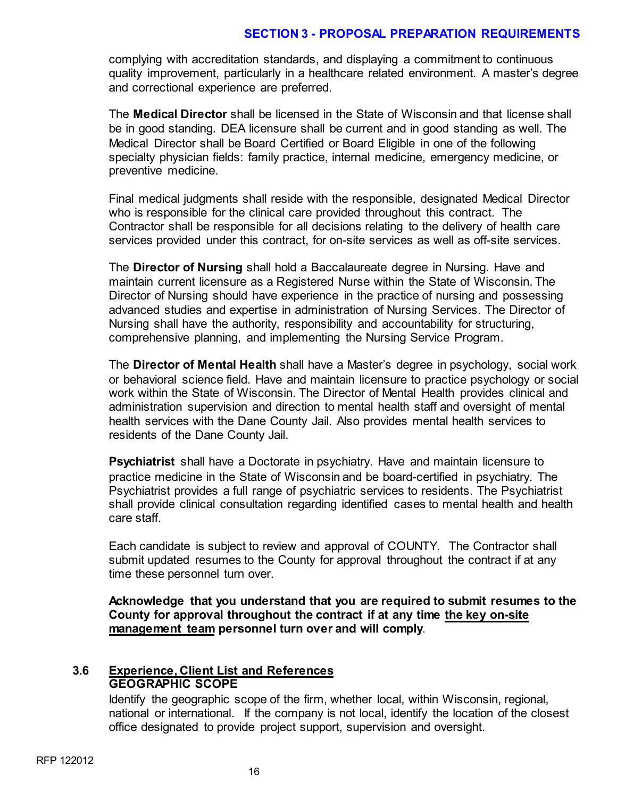complying with accreditation standards, and displaying a commitment to continuous quality improvement, particularly in a healthcare related environment. A master's degree and correctional experience are preferred.

The **Medical Director** shall be licensed in the State of Wisconsin and that license shall be in good standing. DEA licensure shall be current and in good standing as well. The Medical Director shall be Board Certified or Board Eligible in one of the following specialty physician fields: family practice, internal medicine, emergency medicine, or preventive medicine.

Final medical judgments shall reside with the responsible, designated Medical Director who is responsible for the clinical care provided throughout this contract. The Contractor shall be responsible for all decisions relating to the delivery of health care services provided under this contract, for on-site services as well as off-site services.

The **Director of Nursing** shall hold a Baccalaureate degree in Nursing. Have and maintain current licensure as a Registered Nurse within the State of Wisconsin. The Director of Nursing should have experience in the practice of nursing and possessing advanced studies and expertise in administration of Nursing Services. The Director of Nursing shall have the authority, responsibility and accountability for structuring, comprehensive planning, and implementing the Nursing Service Program.

The **Director of Mental Health** shall have a Master's degree in psychology, social work or behavioral science field. Have and maintain licensure to practice psychology or social work within the State of Wisconsin. The Director of Mental Health provides clinical and administration supervision and direction to mental health staff and oversight of mental health services with the Dane County Jail. Also provides mental health services to residents of the Dane County Jail.

**Psychiatrist** shall have a Doctorate in psychiatry. Have and maintain licensure to practice medicine in the State of Wisconsin and be board-certified in psychiatry. The Psychiatrist provides a full range of psychiatric services to residents. The Psychiatrist shall provide clinical consultation regarding identified cases to mental health and health care staff.

Each candidate is subject to review and approval of COUNTY. The Contractor shall submit updated resumes to the County for approval throughout the contract if at any time these personnel turn over.

**Acknowledge that you understand that you are required to submit resumes to the County for approval throughout the contract if at any time the key on-site management team personnel turn over and will comply**.

#### **3.6 Experience, Client List and References GEOGRAPHIC SCOPE**

Identify the geographic scope of the firm, whether local, within Wisconsin, regional, national or international. If the company is not local, identify the location of the closest office designated to provide project support, supervision and oversight.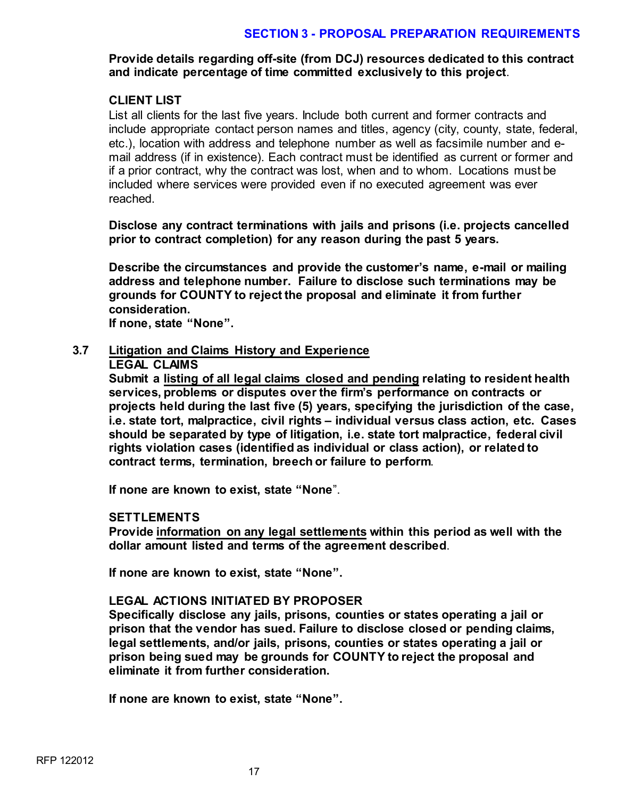**Provide details regarding off-site (from DCJ) resources dedicated to this contract and indicate percentage of time committed exclusively to this project**.

#### **CLIENT LIST**

List all clients for the last five years. Include both current and former contracts and include appropriate contact person names and titles, agency (city, county, state, federal, etc.), location with address and telephone number as well as facsimile number and email address (if in existence). Each contract must be identified as current or former and if a prior contract, why the contract was lost, when and to whom. Locations must be included where services were provided even if no executed agreement was ever reached.

**Disclose any contract terminations with jails and prisons (i.e. projects cancelled prior to contract completion) for any reason during the past 5 years.** 

**Describe the circumstances and provide the customer's name, e-mail or mailing address and telephone number. Failure to disclose such terminations may be grounds for COUNTY to reject the proposal and eliminate it from further consideration.**

**If none, state "None".**

#### **3.7 Litigation and Claims History and Experience**

#### **LEGAL CLAIMS**

**Submit a listing of all legal claims closed and pending relating to resident health services, problems or disputes over the firm's performance on contracts or projects held during the last five (5) years, specifying the jurisdiction of the case, i.e. state tort, malpractice, civil rights – individual versus class action, etc. Cases should be separated by type of litigation, i.e. state tort malpractice, federal civil rights violation cases (identified as individual or class action), or related to contract terms, termination, breech or failure to perform**.

**If none are known to exist, state "None**".

#### **SETTLEMENTS**

**Provide information on any legal settlements within this period as well with the dollar amount listed and terms of the agreement described**.

**If none are known to exist, state "None".** 

# **LEGAL ACTIONS INITIATED BY PROPOSER**

**Specifically disclose any jails, prisons, counties or states operating a jail or prison that the vendor has sued. Failure to disclose closed or pending claims, legal settlements, and/or jails, prisons, counties or states operating a jail or prison being sued may be grounds for COUNTY to reject the proposal and eliminate it from further consideration.**

**If none are known to exist, state "None".**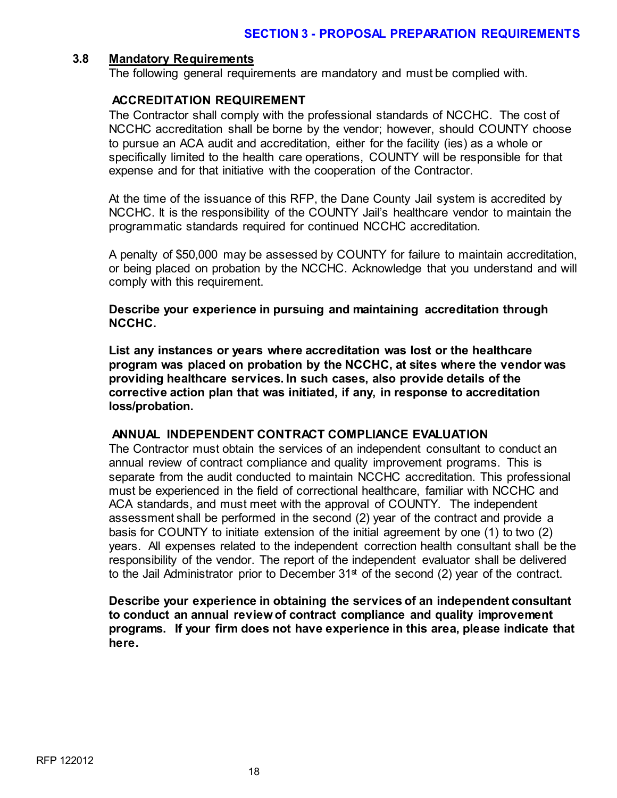#### **3.8 Mandatory Requirements**

The following general requirements are mandatory and must be complied with.

#### **ACCREDITATION REQUIREMENT**

The Contractor shall comply with the professional standards of NCCHC. The cost of NCCHC accreditation shall be borne by the vendor; however, should COUNTY choose to pursue an ACA audit and accreditation, either for the facility (ies) as a whole or specifically limited to the health care operations, COUNTY will be responsible for that expense and for that initiative with the cooperation of the Contractor.

At the time of the issuance of this RFP, the Dane County Jail system is accredited by NCCHC. It is the responsibility of the COUNTY Jail's healthcare vendor to maintain the programmatic standards required for continued NCCHC accreditation.

A penalty of \$50,000 may be assessed by COUNTY for failure to maintain accreditation, or being placed on probation by the NCCHC. Acknowledge that you understand and will comply with this requirement.

**Describe your experience in pursuing and maintaining accreditation through NCCHC.** 

**List any instances or years where accreditation was lost or the healthcare program was placed on probation by the NCCHC, at sites where the vendor was providing healthcare services. In such cases, also provide details of the corrective action plan that was initiated, if any, in response to accreditation loss/probation.**

# **ANNUAL INDEPENDENT CONTRACT COMPLIANCE EVALUATION**

The Contractor must obtain the services of an independent consultant to conduct an annual review of contract compliance and quality improvement programs. This is separate from the audit conducted to maintain NCCHC accreditation. This professional must be experienced in the field of correctional healthcare, familiar with NCCHC and ACA standards, and must meet with the approval of COUNTY. The independent assessment shall be performed in the second (2) year of the contract and provide a basis for COUNTY to initiate extension of the initial agreement by one (1) to two (2) years. All expenses related to the independent correction health consultant shall be the responsibility of the vendor. The report of the independent evaluator shall be delivered to the Jail Administrator prior to December  $31<sup>st</sup>$  of the second (2) year of the contract.

**Describe your experience in obtaining the services of an independent consultant to conduct an annual review of contract compliance and quality improvement programs. If your firm does not have experience in this area, please indicate that here.**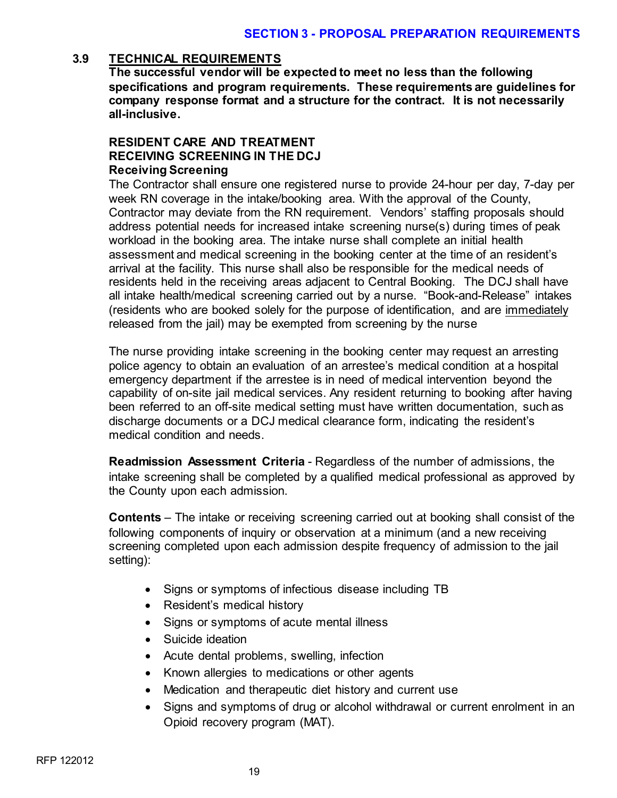#### **3.9 TECHNICAL REQUIREMENTS**

**The successful vendor will be expected to meet no less than the following specifications and program requirements. These requirements are guidelines for company response format and a structure for the contract. It is not necessarily all-inclusive.**

# **RESIDENT CARE AND TREATMENT RECEIVING SCREENING IN THE DCJ Receiving Screening**

The Contractor shall ensure one registered nurse to provide 24-hour per day, 7-day per week RN coverage in the intake/booking area. With the approval of the County, Contractor may deviate from the RN requirement. Vendors' staffing proposals should address potential needs for increased intake screening nurse(s) during times of peak workload in the booking area. The intake nurse shall complete an initial health assessment and medical screening in the booking center at the time of an resident's arrival at the facility. This nurse shall also be responsible for the medical needs of residents held in the receiving areas adjacent to Central Booking. The DCJ shall have all intake health/medical screening carried out by a nurse. "Book-and-Release" intakes (residents who are booked solely for the purpose of identification, and are immediately released from the jail) may be exempted from screening by the nurse

The nurse providing intake screening in the booking center may request an arresting police agency to obtain an evaluation of an arrestee's medical condition at a hospital emergency department if the arrestee is in need of medical intervention beyond the capability of on-site jail medical services. Any resident returning to booking after having been referred to an off-site medical setting must have written documentation, such as discharge documents or a DCJ medical clearance form, indicating the resident's medical condition and needs.

**Readmission Assessment Criteria** - Regardless of the number of admissions, the intake screening shall be completed by a qualified medical professional as approved by the County upon each admission.

**Contents** – The intake or receiving screening carried out at booking shall consist of the following components of inquiry or observation at a minimum (and a new receiving screening completed upon each admission despite frequency of admission to the jail setting):

- Signs or symptoms of infectious disease including TB
- Resident's medical history
- Signs or symptoms of acute mental illness
- Suicide ideation
- Acute dental problems, swelling, infection
- Known allergies to medications or other agents
- Medication and therapeutic diet history and current use
- Signs and symptoms of drug or alcohol withdrawal or current enrolment in an Opioid recovery program (MAT).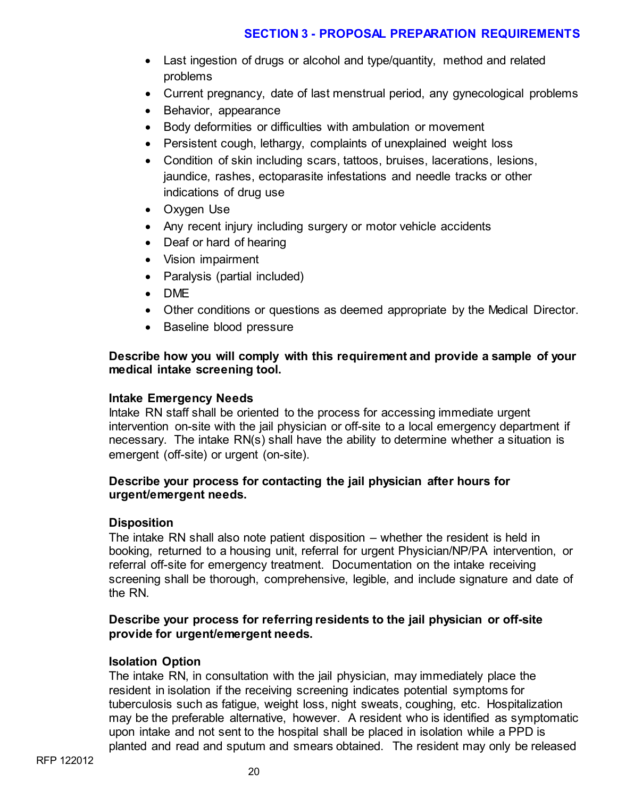- Last ingestion of drugs or alcohol and type/quantity, method and related problems
- Current pregnancy, date of last menstrual period, any gynecological problems
- Behavior, appearance
- Body deformities or difficulties with ambulation or movement
- Persistent cough, lethargy, complaints of unexplained weight loss
- Condition of skin including scars, tattoos, bruises, lacerations, lesions, jaundice, rashes, ectoparasite infestations and needle tracks or other indications of drug use
- Oxygen Use
- Any recent injury including surgery or motor vehicle accidents
- Deaf or hard of hearing
- Vision impairment
- Paralysis (partial included)
- DME
- Other conditions or questions as deemed appropriate by the Medical Director.
- Baseline blood pressure

# **Describe how you will comply with this requirement and provide a sample of your medical intake screening tool.**

# **Intake Emergency Needs**

Intake RN staff shall be oriented to the process for accessing immediate urgent intervention on-site with the jail physician or off-site to a local emergency department if necessary. The intake RN(s) shall have the ability to determine whether a situation is emergent (off-site) or urgent (on-site).

#### **Describe your process for contacting the jail physician after hours for urgent/emergent needs.**

#### **Disposition**

The intake RN shall also note patient disposition – whether the resident is held in booking, returned to a housing unit, referral for urgent Physician/NP/PA intervention, or referral off-site for emergency treatment. Documentation on the intake receiving screening shall be thorough, comprehensive, legible, and include signature and date of the RN.

# **Describe your process for referring residents to the jail physician or off-site provide for urgent/emergent needs.**

# **Isolation Option**

The intake RN, in consultation with the jail physician, may immediately place the resident in isolation if the receiving screening indicates potential symptoms for tuberculosis such as fatigue, weight loss, night sweats, coughing, etc. Hospitalization may be the preferable alternative, however. A resident who is identified as symptomatic upon intake and not sent to the hospital shall be placed in isolation while a PPD is planted and read and sputum and smears obtained. The resident may only be released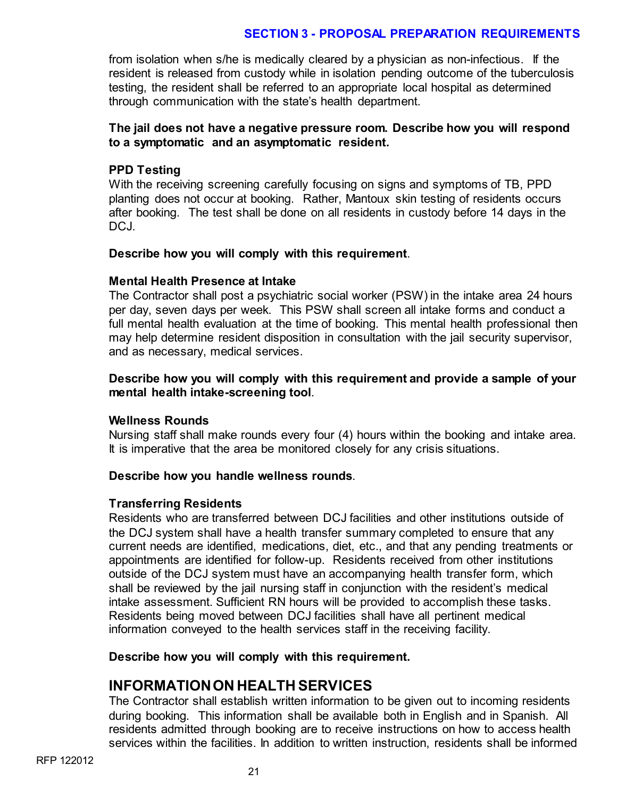from isolation when s/he is medically cleared by a physician as non-infectious. If the resident is released from custody while in isolation pending outcome of the tuberculosis testing, the resident shall be referred to an appropriate local hospital as determined through communication with the state's health department.

# **The jail does not have a negative pressure room. Describe how you will respond to a symptomatic and an asymptomatic resident.**

#### **PPD Testing**

With the receiving screening carefully focusing on signs and symptoms of TB, PPD planting does not occur at booking. Rather, Mantoux skin testing of residents occurs after booking. The test shall be done on all residents in custody before 14 days in the DCJ.

#### **Describe how you will comply with this requirement**.

#### **Mental Health Presence at Intake**

The Contractor shall post a psychiatric social worker (PSW) in the intake area 24 hours per day, seven days per week. This PSW shall screen all intake forms and conduct a full mental health evaluation at the time of booking. This mental health professional then may help determine resident disposition in consultation with the jail security supervisor, and as necessary, medical services.

#### **Describe how you will comply with this requirement and provide a sample of your mental health intake-screening tool**.

#### **Wellness Rounds**

Nursing staff shall make rounds every four (4) hours within the booking and intake area. It is imperative that the area be monitored closely for any crisis situations.

#### **Describe how you handle wellness rounds**.

#### **Transferring Residents**

Residents who are transferred between DCJ facilities and other institutions outside of the DCJ system shall have a health transfer summary completed to ensure that any current needs are identified, medications, diet, etc., and that any pending treatments or appointments are identified for follow-up. Residents received from other institutions outside of the DCJ system must have an accompanying health transfer form, which shall be reviewed by the jail nursing staff in conjunction with the resident's medical intake assessment. Sufficient RN hours will be provided to accomplish these tasks. Residents being moved between DCJ facilities shall have all pertinent medical information conveyed to the health services staff in the receiving facility.

#### **Describe how you will comply with this requirement.**

# **INFORMATION ON HEALTH SERVICES**

The Contractor shall establish written information to be given out to incoming residents during booking. This information shall be available both in English and in Spanish. All residents admitted through booking are to receive instructions on how to access health services within the facilities. In addition to written instruction, residents shall be informed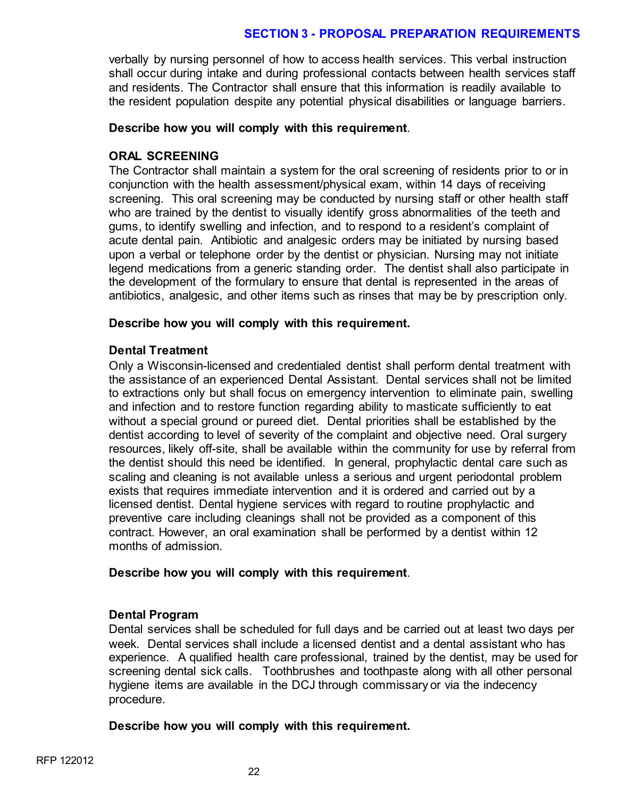verbally by nursing personnel of how to access health services. This verbal instruction shall occur during intake and during professional contacts between health services staff and residents. The Contractor shall ensure that this information is readily available to the resident population despite any potential physical disabilities or language barriers.

#### **Describe how you will comply with this requirement**.

# **ORAL SCREENING**

The Contractor shall maintain a system for the oral screening of residents prior to or in conjunction with the health assessment/physical exam, within 14 days of receiving screening. This oral screening may be conducted by nursing staff or other health staff who are trained by the dentist to visually identify gross abnormalities of the teeth and gums, to identify swelling and infection, and to respond to a resident's complaint of acute dental pain. Antibiotic and analgesic orders may be initiated by nursing based upon a verbal or telephone order by the dentist or physician. Nursing may not initiate legend medications from a generic standing order. The dentist shall also participate in the development of the formulary to ensure that dental is represented in the areas of antibiotics, analgesic, and other items such as rinses that may be by prescription only.

#### **Describe how you will comply with this requirement.**

#### **Dental Treatment**

Only a Wisconsin-licensed and credentialed dentist shall perform dental treatment with the assistance of an experienced Dental Assistant. Dental services shall not be limited to extractions only but shall focus on emergency intervention to eliminate pain, swelling and infection and to restore function regarding ability to masticate sufficiently to eat without a special ground or pureed diet. Dental priorities shall be established by the dentist according to level of severity of the complaint and objective need. Oral surgery resources, likely off-site, shall be available within the community for use by referral from the dentist should this need be identified. In general, prophylactic dental care such as scaling and cleaning is not available unless a serious and urgent periodontal problem exists that requires immediate intervention and it is ordered and carried out by a licensed dentist. Dental hygiene services with regard to routine prophylactic and preventive care including cleanings shall not be provided as a component of this contract. However, an oral examination shall be performed by a dentist within 12 months of admission.

# **Describe how you will comply with this requirement**.

# **Dental Program**

Dental services shall be scheduled for full days and be carried out at least two days per week. Dental services shall include a licensed dentist and a dental assistant who has experience. A qualified health care professional, trained by the dentist, may be used for screening dental sick calls. Toothbrushes and toothpaste along with all other personal hygiene items are available in the DCJ through commissary or via the indecency procedure.

# **Describe how you will comply with this requirement.**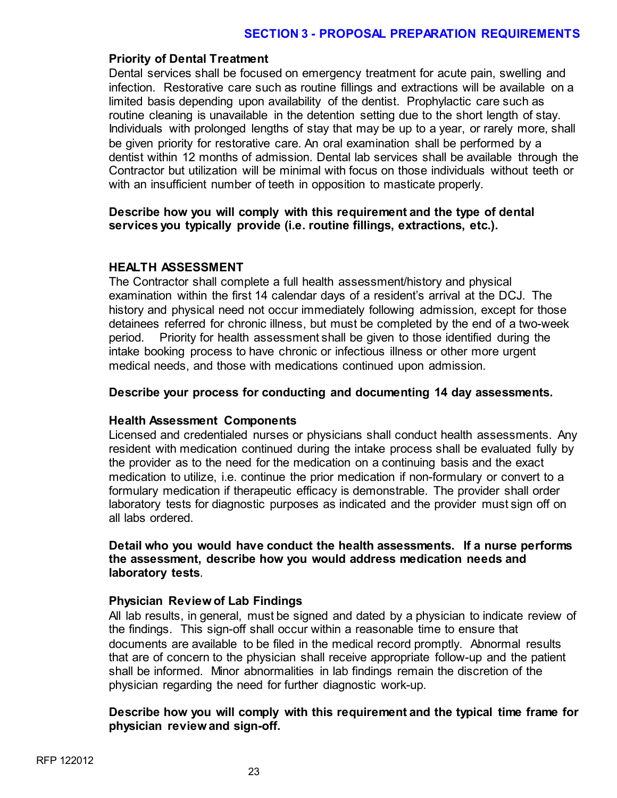#### **Priority of Dental Treatment**

Dental services shall be focused on emergency treatment for acute pain, swelling and infection. Restorative care such as routine fillings and extractions will be available on a limited basis depending upon availability of the dentist. Prophylactic care such as routine cleaning is unavailable in the detention setting due to the short length of stay. Individuals with prolonged lengths of stay that may be up to a year, or rarely more, shall be given priority for restorative care. An oral examination shall be performed by a dentist within 12 months of admission. Dental lab services shall be available through the Contractor but utilization will be minimal with focus on those individuals without teeth or with an insufficient number of teeth in opposition to masticate properly.

#### **Describe how you will comply with this requirement and the type of dental services you typically provide (i.e. routine fillings, extractions, etc.).**

#### **HEALTH ASSESSMENT**

The Contractor shall complete a full health assessment/history and physical examination within the first 14 calendar days of a resident's arrival at the DCJ. The history and physical need not occur immediately following admission, except for those detainees referred for chronic illness, but must be completed by the end of a two-week period. Priority for health assessment shall be given to those identified during the intake booking process to have chronic or infectious illness or other more urgent medical needs, and those with medications continued upon admission.

#### **Describe your process for conducting and documenting 14 day assessments.**

#### **Health Assessment Components**

Licensed and credentialed nurses or physicians shall conduct health assessments. Any resident with medication continued during the intake process shall be evaluated fully by the provider as to the need for the medication on a continuing basis and the exact medication to utilize, i.e. continue the prior medication if non-formulary or convert to a formulary medication if therapeutic efficacy is demonstrable. The provider shall order laboratory tests for diagnostic purposes as indicated and the provider must sign off on all labs ordered.

**Detail who you would have conduct the health assessments. If a nurse performs the assessment, describe how you would address medication needs and laboratory tests**.

#### **Physician Review of Lab Findings**

All lab results, in general, must be signed and dated by a physician to indicate review of the findings. This sign-off shall occur within a reasonable time to ensure that documents are available to be filed in the medical record promptly. Abnormal results that are of concern to the physician shall receive appropriate follow-up and the patient shall be informed. Minor abnormalities in lab findings remain the discretion of the physician regarding the need for further diagnostic work-up.

#### **Describe how you will comply with this requirement and the typical time frame for physician review and sign-off.**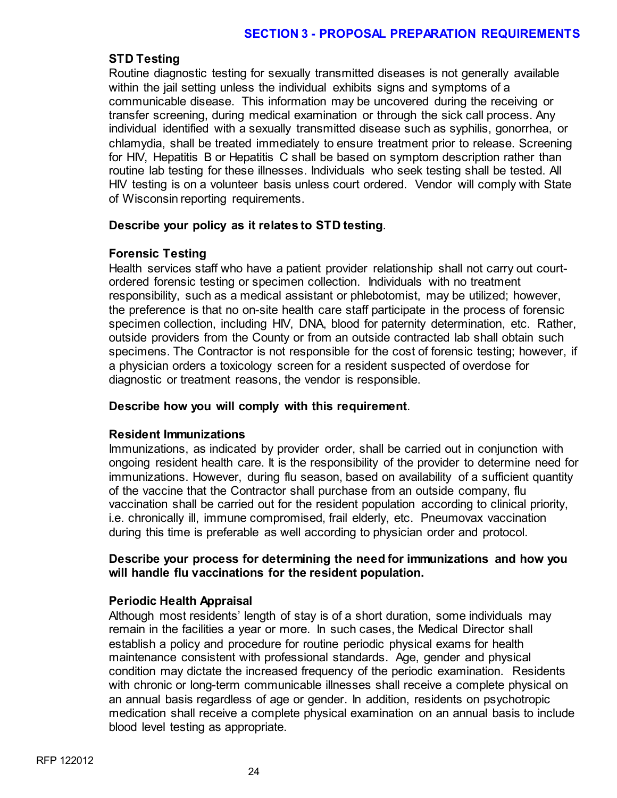# **STD Testing**

Routine diagnostic testing for sexually transmitted diseases is not generally available within the jail setting unless the individual exhibits signs and symptoms of a communicable disease. This information may be uncovered during the receiving or transfer screening, during medical examination or through the sick call process. Any individual identified with a sexually transmitted disease such as syphilis, gonorrhea, or chlamydia, shall be treated immediately to ensure treatment prior to release. Screening for HIV, Hepatitis B or Hepatitis C shall be based on symptom description rather than routine lab testing for these illnesses. Individuals who seek testing shall be tested. All HIV testing is on a volunteer basis unless court ordered. Vendor will comply with State of Wisconsin reporting requirements.

#### **Describe your policy as it relates to STD testing**.

#### **Forensic Testing**

Health services staff who have a patient provider relationship shall not carry out courtordered forensic testing or specimen collection. Individuals with no treatment responsibility, such as a medical assistant or phlebotomist, may be utilized; however, the preference is that no on-site health care staff participate in the process of forensic specimen collection, including HIV, DNA, blood for paternity determination, etc. Rather, outside providers from the County or from an outside contracted lab shall obtain such specimens. The Contractor is not responsible for the cost of forensic testing; however, if a physician orders a toxicology screen for a resident suspected of overdose for diagnostic or treatment reasons, the vendor is responsible.

# **Describe how you will comply with this requirement**.

#### **Resident Immunizations**

Immunizations, as indicated by provider order, shall be carried out in conjunction with ongoing resident health care. It is the responsibility of the provider to determine need for immunizations. However, during flu season, based on availability of a sufficient quantity of the vaccine that the Contractor shall purchase from an outside company, flu vaccination shall be carried out for the resident population according to clinical priority, i.e. chronically ill, immune compromised, frail elderly, etc. Pneumovax vaccination during this time is preferable as well according to physician order and protocol.

#### **Describe your process for determining the need for immunizations and how you will handle flu vaccinations for the resident population.**

# **Periodic Health Appraisal**

Although most residents' length of stay is of a short duration, some individuals may remain in the facilities a year or more. In such cases, the Medical Director shall establish a policy and procedure for routine periodic physical exams for health maintenance consistent with professional standards. Age, gender and physical condition may dictate the increased frequency of the periodic examination. Residents with chronic or long-term communicable illnesses shall receive a complete physical on an annual basis regardless of age or gender. In addition, residents on psychotropic medication shall receive a complete physical examination on an annual basis to include blood level testing as appropriate.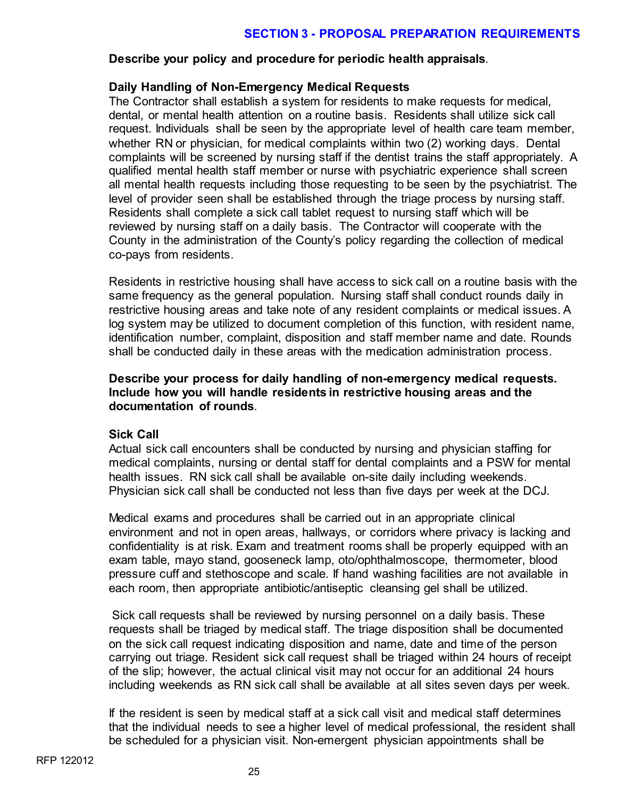#### **Describe your policy and procedure for periodic health appraisals**.

# **Daily Handling of Non-Emergency Medical Requests**

The Contractor shall establish a system for residents to make requests for medical, dental, or mental health attention on a routine basis. Residents shall utilize sick call request. Individuals shall be seen by the appropriate level of health care team member, whether RN or physician, for medical complaints within two (2) working days. Dental complaints will be screened by nursing staff if the dentist trains the staff appropriately. A qualified mental health staff member or nurse with psychiatric experience shall screen all mental health requests including those requesting to be seen by the psychiatrist. The level of provider seen shall be established through the triage process by nursing staff. Residents shall complete a sick call tablet request to nursing staff which will be reviewed by nursing staff on a daily basis. The Contractor will cooperate with the County in the administration of the County's policy regarding the collection of medical co-pays from residents.

Residents in restrictive housing shall have access to sick call on a routine basis with the same frequency as the general population. Nursing staff shall conduct rounds daily in restrictive housing areas and take note of any resident complaints or medical issues. A log system may be utilized to document completion of this function, with resident name, identification number, complaint, disposition and staff member name and date. Rounds shall be conducted daily in these areas with the medication administration process.

#### **Describe your process for daily handling of non-emergency medical requests. Include how you will handle residents in restrictive housing areas and the documentation of rounds**.

#### **Sick Call**

Actual sick call encounters shall be conducted by nursing and physician staffing for medical complaints, nursing or dental staff for dental complaints and a PSW for mental health issues. RN sick call shall be available on-site daily including weekends. Physician sick call shall be conducted not less than five days per week at the DCJ.

Medical exams and procedures shall be carried out in an appropriate clinical environment and not in open areas, hallways, or corridors where privacy is lacking and confidentiality is at risk. Exam and treatment rooms shall be properly equipped with an exam table, mayo stand, gooseneck lamp, oto/ophthalmoscope, thermometer, blood pressure cuff and stethoscope and scale. If hand washing facilities are not available in each room, then appropriate antibiotic/antiseptic cleansing gel shall be utilized.

Sick call requests shall be reviewed by nursing personnel on a daily basis. These requests shall be triaged by medical staff. The triage disposition shall be documented on the sick call request indicating disposition and name, date and time of the person carrying out triage. Resident sick call request shall be triaged within 24 hours of receipt of the slip; however, the actual clinical visit may not occur for an additional 24 hours including weekends as RN sick call shall be available at all sites seven days per week.

If the resident is seen by medical staff at a sick call visit and medical staff determines that the individual needs to see a higher level of medical professional, the resident shall be scheduled for a physician visit. Non-emergent physician appointments shall be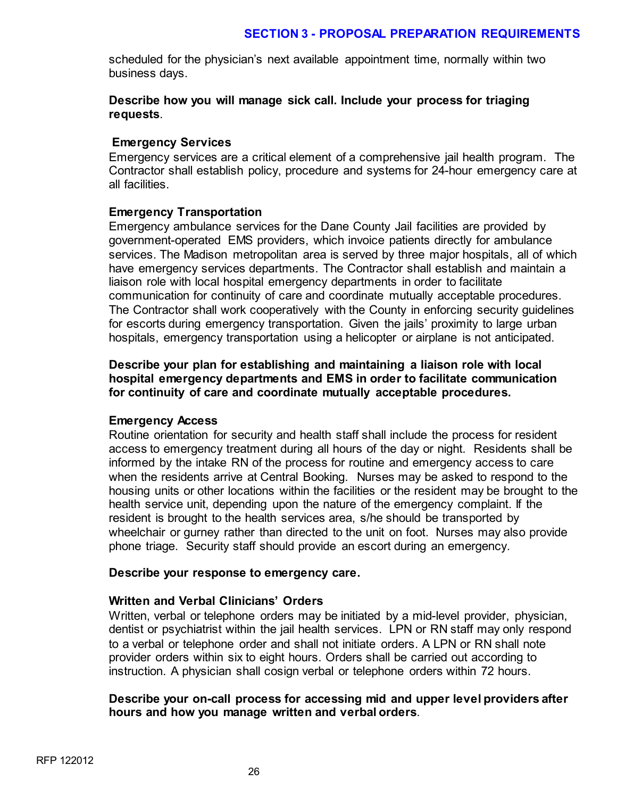scheduled for the physician's next available appointment time, normally within two business days.

# **Describe how you will manage sick call. Include your process for triaging requests**.

# **Emergency Services**

Emergency services are a critical element of a comprehensive jail health program. The Contractor shall establish policy, procedure and systems for 24-hour emergency care at all facilities.

# **Emergency Transportation**

Emergency ambulance services for the Dane County Jail facilities are provided by government-operated EMS providers, which invoice patients directly for ambulance services. The Madison metropolitan area is served by three major hospitals, all of which have emergency services departments. The Contractor shall establish and maintain a liaison role with local hospital emergency departments in order to facilitate communication for continuity of care and coordinate mutually acceptable procedures. The Contractor shall work cooperatively with the County in enforcing security guidelines for escorts during emergency transportation. Given the jails' proximity to large urban hospitals, emergency transportation using a helicopter or airplane is not anticipated.

**Describe your plan for establishing and maintaining a liaison role with local hospital emergency departments and EMS in order to facilitate communication for continuity of care and coordinate mutually acceptable procedures.**

#### **Emergency Access**

Routine orientation for security and health staff shall include the process for resident access to emergency treatment during all hours of the day or night. Residents shall be informed by the intake RN of the process for routine and emergency access to care when the residents arrive at Central Booking. Nurses may be asked to respond to the housing units or other locations within the facilities or the resident may be brought to the health service unit, depending upon the nature of the emergency complaint. If the resident is brought to the health services area, s/he should be transported by wheelchair or gurney rather than directed to the unit on foot. Nurses may also provide phone triage. Security staff should provide an escort during an emergency.

#### **Describe your response to emergency care.**

# **Written and Verbal Clinicians' Orders**

Written, verbal or telephone orders may be initiated by a mid-level provider, physician, dentist or psychiatrist within the jail health services. LPN or RN staff may only respond to a verbal or telephone order and shall not initiate orders. A LPN or RN shall note provider orders within six to eight hours. Orders shall be carried out according to instruction. A physician shall cosign verbal or telephone orders within 72 hours.

#### **Describe your on-call process for accessing mid and upper level providers after hours and how you manage written and verbal orders**.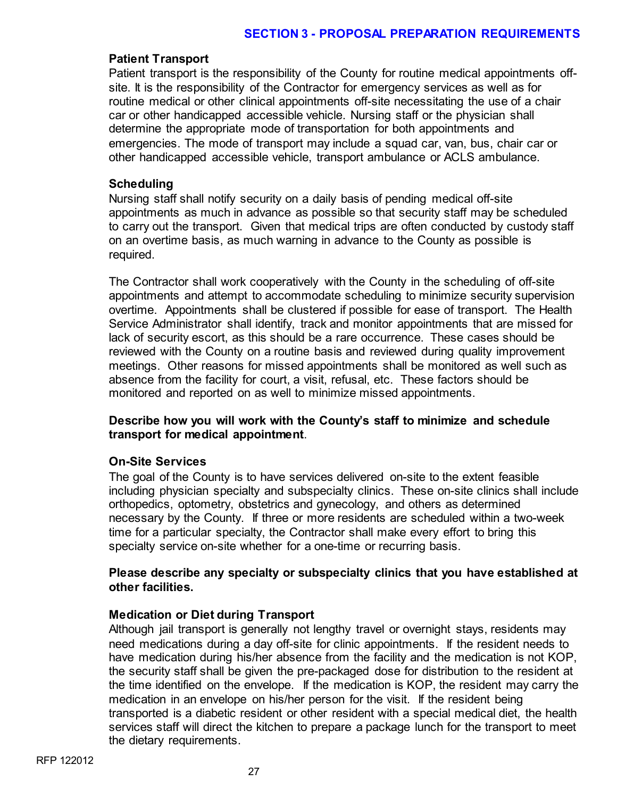#### **Patient Transport**

Patient transport is the responsibility of the County for routine medical appointments offsite. It is the responsibility of the Contractor for emergency services as well as for routine medical or other clinical appointments off-site necessitating the use of a chair car or other handicapped accessible vehicle. Nursing staff or the physician shall determine the appropriate mode of transportation for both appointments and emergencies. The mode of transport may include a squad car, van, bus, chair car or other handicapped accessible vehicle, transport ambulance or ACLS ambulance.

#### **Scheduling**

Nursing staff shall notify security on a daily basis of pending medical off-site appointments as much in advance as possible so that security staff may be scheduled to carry out the transport. Given that medical trips are often conducted by custody staff on an overtime basis, as much warning in advance to the County as possible is required.

The Contractor shall work cooperatively with the County in the scheduling of off-site appointments and attempt to accommodate scheduling to minimize security supervision overtime. Appointments shall be clustered if possible for ease of transport. The Health Service Administrator shall identify, track and monitor appointments that are missed for lack of security escort, as this should be a rare occurrence. These cases should be reviewed with the County on a routine basis and reviewed during quality improvement meetings. Other reasons for missed appointments shall be monitored as well such as absence from the facility for court, a visit, refusal, etc. These factors should be monitored and reported on as well to minimize missed appointments.

# **Describe how you will work with the County's staff to minimize and schedule transport for medical appointment**.

# **On-Site Services**

The goal of the County is to have services delivered on-site to the extent feasible including physician specialty and subspecialty clinics. These on-site clinics shall include orthopedics, optometry, obstetrics and gynecology, and others as determined necessary by the County. If three or more residents are scheduled within a two-week time for a particular specialty, the Contractor shall make every effort to bring this specialty service on-site whether for a one-time or recurring basis.

# **Please describe any specialty or subspecialty clinics that you have established at other facilities.**

# **Medication or Diet during Transport**

Although jail transport is generally not lengthy travel or overnight stays, residents may need medications during a day off-site for clinic appointments. If the resident needs to have medication during his/her absence from the facility and the medication is not KOP, the security staff shall be given the pre-packaged dose for distribution to the resident at the time identified on the envelope. If the medication is KOP, the resident may carry the medication in an envelope on his/her person for the visit. If the resident being transported is a diabetic resident or other resident with a special medical diet, the health services staff will direct the kitchen to prepare a package lunch for the transport to meet the dietary requirements.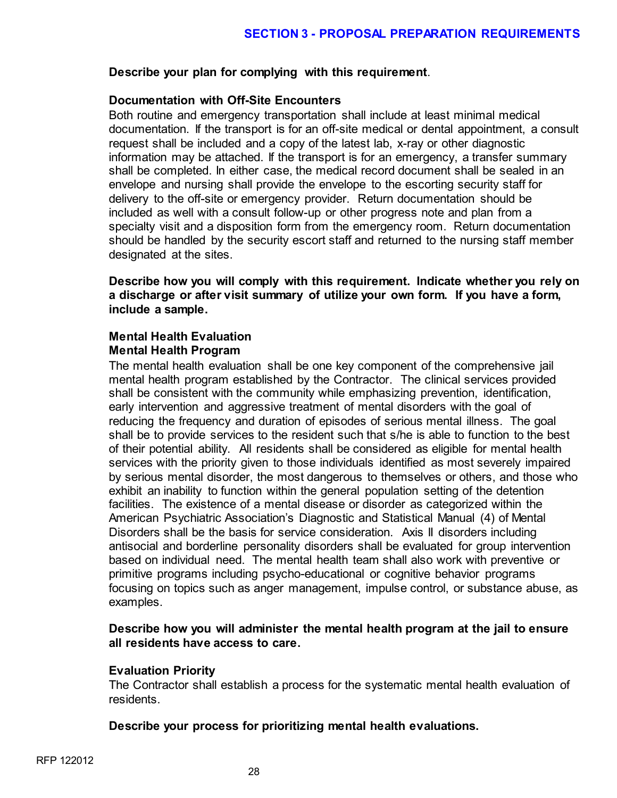#### **Describe your plan for complying with this requirement**.

# **Documentation with Off-Site Encounters**

Both routine and emergency transportation shall include at least minimal medical documentation. If the transport is for an off-site medical or dental appointment, a consult request shall be included and a copy of the latest lab, x-ray or other diagnostic information may be attached. If the transport is for an emergency, a transfer summary shall be completed. In either case, the medical record document shall be sealed in an envelope and nursing shall provide the envelope to the escorting security staff for delivery to the off-site or emergency provider. Return documentation should be included as well with a consult follow-up or other progress note and plan from a specialty visit and a disposition form from the emergency room. Return documentation should be handled by the security escort staff and returned to the nursing staff member designated at the sites.

**Describe how you will comply with this requirement. Indicate whether you rely on a discharge or after visit summary of utilize your own form. If you have a form, include a sample.**

# **Mental Health Evaluation Mental Health Program**

The mental health evaluation shall be one key component of the comprehensive jail mental health program established by the Contractor. The clinical services provided shall be consistent with the community while emphasizing prevention, identification, early intervention and aggressive treatment of mental disorders with the goal of reducing the frequency and duration of episodes of serious mental illness. The goal shall be to provide services to the resident such that s/he is able to function to the best of their potential ability. All residents shall be considered as eligible for mental health services with the priority given to those individuals identified as most severely impaired by serious mental disorder, the most dangerous to themselves or others, and those who exhibit an inability to function within the general population setting of the detention facilities. The existence of a mental disease or disorder as categorized within the American Psychiatric Association's Diagnostic and Statistical Manual (4) of Mental Disorders shall be the basis for service consideration. Axis II disorders including antisocial and borderline personality disorders shall be evaluated for group intervention based on individual need. The mental health team shall also work with preventive or primitive programs including psycho-educational or cognitive behavior programs focusing on topics such as anger management, impulse control, or substance abuse, as examples.

# **Describe how you will administer the mental health program at the jail to ensure all residents have access to care.**

# **Evaluation Priority**

The Contractor shall establish a process for the systematic mental health evaluation of residents.

# **Describe your process for prioritizing mental health evaluations.**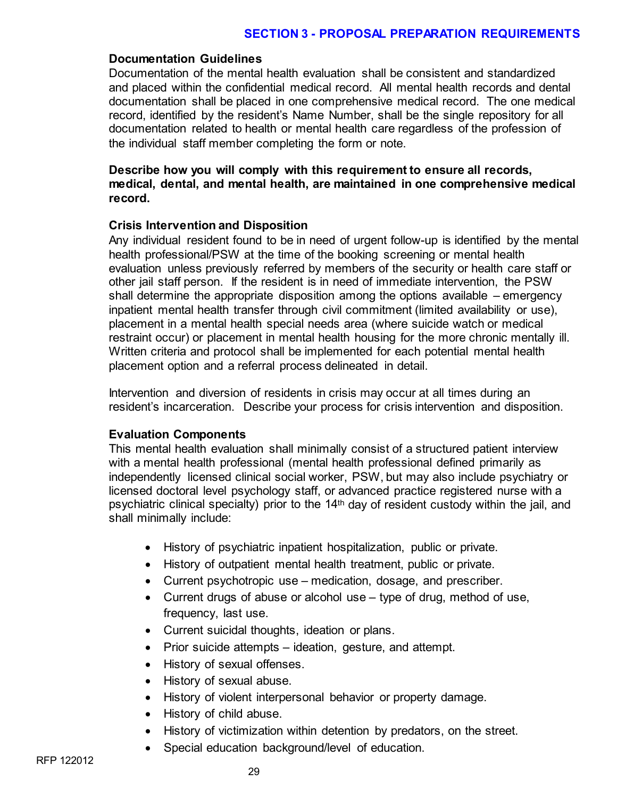#### **Documentation Guidelines**

Documentation of the mental health evaluation shall be consistent and standardized and placed within the confidential medical record. All mental health records and dental documentation shall be placed in one comprehensive medical record. The one medical record, identified by the resident's Name Number, shall be the single repository for all documentation related to health or mental health care regardless of the profession of the individual staff member completing the form or note.

#### **Describe how you will comply with this requirement to ensure all records, medical, dental, and mental health, are maintained in one comprehensive medical record.**

#### **Crisis Intervention and Disposition**

Any individual resident found to be in need of urgent follow-up is identified by the mental health professional/PSW at the time of the booking screening or mental health evaluation unless previously referred by members of the security or health care staff or other jail staff person. If the resident is in need of immediate intervention, the PSW shall determine the appropriate disposition among the options available – emergency inpatient mental health transfer through civil commitment (limited availability or use), placement in a mental health special needs area (where suicide watch or medical restraint occur) or placement in mental health housing for the more chronic mentally ill. Written criteria and protocol shall be implemented for each potential mental health placement option and a referral process delineated in detail.

Intervention and diversion of residents in crisis may occur at all times during an resident's incarceration. Describe your process for crisis intervention and disposition.

#### **Evaluation Components**

This mental health evaluation shall minimally consist of a structured patient interview with a mental health professional (mental health professional defined primarily as independently licensed clinical social worker, PSW, but may also include psychiatry or licensed doctoral level psychology staff, or advanced practice registered nurse with a psychiatric clinical specialty) prior to the 14th day of resident custody within the jail, and shall minimally include:

- History of psychiatric inpatient hospitalization, public or private.
- History of outpatient mental health treatment, public or private.
- Current psychotropic use medication, dosage, and prescriber.
- Current drugs of abuse or alcohol use type of drug, method of use, frequency, last use.
- Current suicidal thoughts, ideation or plans.
- Prior suicide attempts ideation, gesture, and attempt.
- History of sexual offenses.
- History of sexual abuse.
- History of violent interpersonal behavior or property damage.
- History of child abuse.
- History of victimization within detention by predators, on the street.
- Special education background/level of education.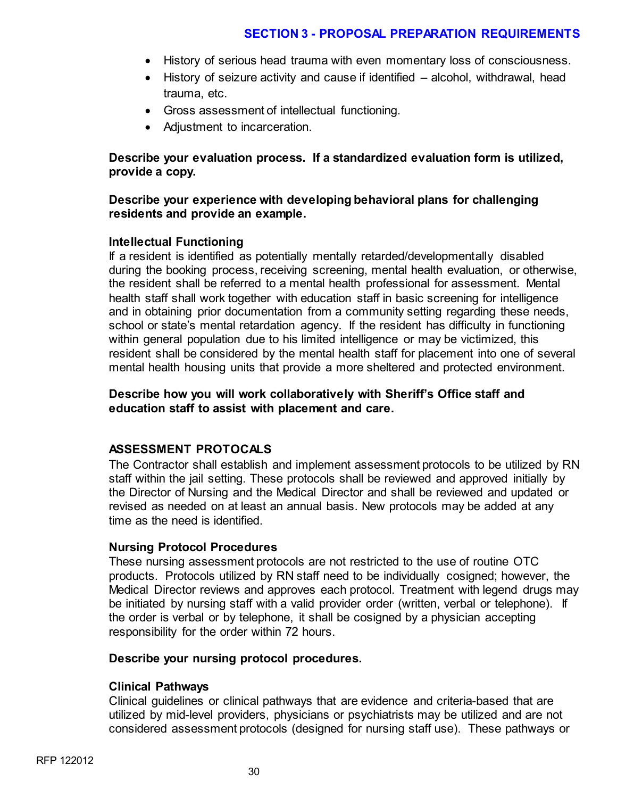- History of serious head trauma with even momentary loss of consciousness.
- History of seizure activity and cause if identified alcohol, withdrawal, head trauma, etc.
- Gross assessment of intellectual functioning.
- Adjustment to incarceration.

**Describe your evaluation process. If a standardized evaluation form is utilized, provide a copy.** 

#### **Describe your experience with developing behavioral plans for challenging residents and provide an example.**

#### **Intellectual Functioning**

If a resident is identified as potentially mentally retarded/developmentally disabled during the booking process, receiving screening, mental health evaluation, or otherwise, the resident shall be referred to a mental health professional for assessment. Mental health staff shall work together with education staff in basic screening for intelligence and in obtaining prior documentation from a community setting regarding these needs, school or state's mental retardation agency. If the resident has difficulty in functioning within general population due to his limited intelligence or may be victimized, this resident shall be considered by the mental health staff for placement into one of several mental health housing units that provide a more sheltered and protected environment.

# **Describe how you will work collaboratively with Sheriff's Office staff and education staff to assist with placement and care.**

# **ASSESSMENT PROTOCALS**

The Contractor shall establish and implement assessment protocols to be utilized by RN staff within the jail setting. These protocols shall be reviewed and approved initially by the Director of Nursing and the Medical Director and shall be reviewed and updated or revised as needed on at least an annual basis. New protocols may be added at any time as the need is identified.

#### **Nursing Protocol Procedures**

These nursing assessment protocols are not restricted to the use of routine OTC products. Protocols utilized by RN staff need to be individually cosigned; however, the Medical Director reviews and approves each protocol. Treatment with legend drugs may be initiated by nursing staff with a valid provider order (written, verbal or telephone). If the order is verbal or by telephone, it shall be cosigned by a physician accepting responsibility for the order within 72 hours.

#### **Describe your nursing protocol procedures.**

#### **Clinical Pathways**

Clinical guidelines or clinical pathways that are evidence and criteria-based that are utilized by mid-level providers, physicians or psychiatrists may be utilized and are not considered assessment protocols (designed for nursing staff use). These pathways or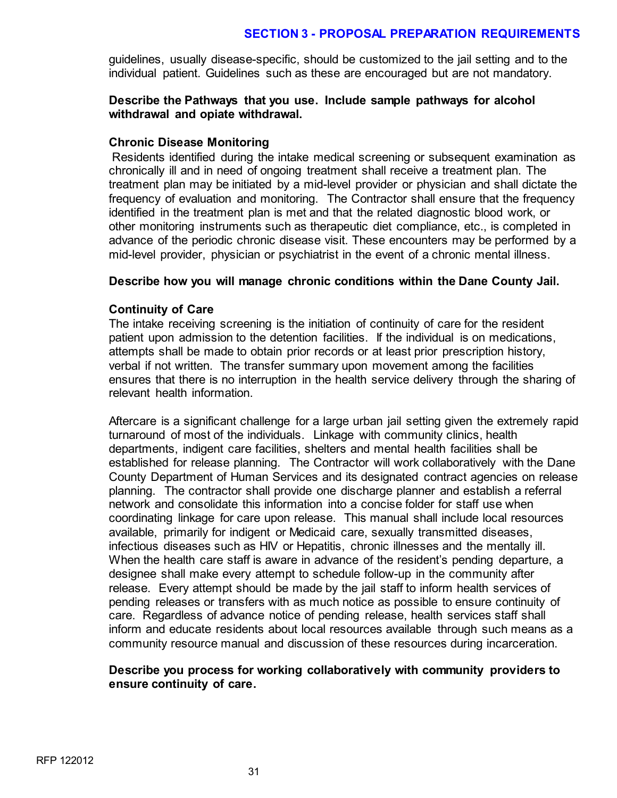guidelines, usually disease-specific, should be customized to the jail setting and to the individual patient. Guidelines such as these are encouraged but are not mandatory.

#### **Describe the Pathways that you use. Include sample pathways for alcohol withdrawal and opiate withdrawal.**

#### **Chronic Disease Monitoring**

Residents identified during the intake medical screening or subsequent examination as chronically ill and in need of ongoing treatment shall receive a treatment plan. The treatment plan may be initiated by a mid-level provider or physician and shall dictate the frequency of evaluation and monitoring. The Contractor shall ensure that the frequency identified in the treatment plan is met and that the related diagnostic blood work, or other monitoring instruments such as therapeutic diet compliance, etc., is completed in advance of the periodic chronic disease visit. These encounters may be performed by a mid-level provider, physician or psychiatrist in the event of a chronic mental illness.

#### **Describe how you will manage chronic conditions within the Dane County Jail.**

#### **Continuity of Care**

The intake receiving screening is the initiation of continuity of care for the resident patient upon admission to the detention facilities. If the individual is on medications, attempts shall be made to obtain prior records or at least prior prescription history, verbal if not written. The transfer summary upon movement among the facilities ensures that there is no interruption in the health service delivery through the sharing of relevant health information.

Aftercare is a significant challenge for a large urban jail setting given the extremely rapid turnaround of most of the individuals. Linkage with community clinics, health departments, indigent care facilities, shelters and mental health facilities shall be established for release planning. The Contractor will work collaboratively with the Dane County Department of Human Services and its designated contract agencies on release planning. The contractor shall provide one discharge planner and establish a referral network and consolidate this information into a concise folder for staff use when coordinating linkage for care upon release. This manual shall include local resources available, primarily for indigent or Medicaid care, sexually transmitted diseases, infectious diseases such as HIV or Hepatitis, chronic illnesses and the mentally ill. When the health care staff is aware in advance of the resident's pending departure, a designee shall make every attempt to schedule follow-up in the community after release. Every attempt should be made by the jail staff to inform health services of pending releases or transfers with as much notice as possible to ensure continuity of care. Regardless of advance notice of pending release, health services staff shall inform and educate residents about local resources available through such means as a community resource manual and discussion of these resources during incarceration.

#### **Describe you process for working collaboratively with community providers to ensure continuity of care.**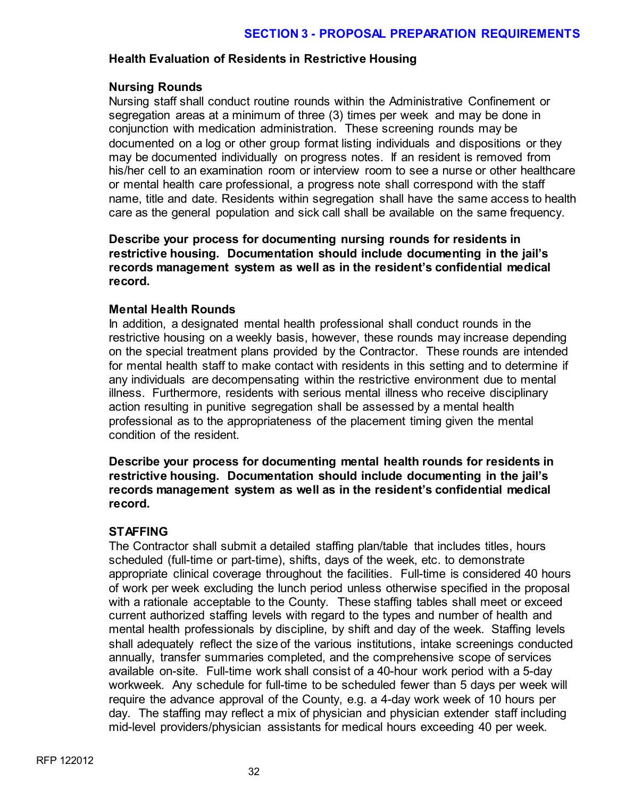# **Health Evaluation of Residents in Restrictive Housing**

#### **Nursing Rounds**

Nursing staff shall conduct routine rounds within the Administrative Confinement or segregation areas at a minimum of three (3) times per week and may be done in conjunction with medication administration. These screening rounds may be documented on a log or other group format listing individuals and dispositions or they may be documented individually on progress notes. If an resident is removed from his/her cell to an examination room or interview room to see a nurse or other healthcare or mental health care professional, a progress note shall correspond with the staff name, title and date. Residents within segregation shall have the same access to health care as the general population and sick call shall be available on the same frequency.

**Describe your process for documenting nursing rounds for residents in restrictive housing. Documentation should include documenting in the jail's records management system as well as in the resident's confidential medical record.** 

#### **Mental Health Rounds**

In addition, a designated mental health professional shall conduct rounds in the restrictive housing on a weekly basis, however, these rounds may increase depending on the special treatment plans provided by the Contractor. These rounds are intended for mental health staff to make contact with residents in this setting and to determine if any individuals are decompensating within the restrictive environment due to mental illness. Furthermore, residents with serious mental illness who receive disciplinary action resulting in punitive segregation shall be assessed by a mental health professional as to the appropriateness of the placement timing given the mental condition of the resident.

**Describe your process for documenting mental health rounds for residents in restrictive housing. Documentation should include documenting in the jail's records management system as well as in the resident's confidential medical record.** 

# **STAFFING**

The Contractor shall submit a detailed staffing plan/table that includes titles, hours scheduled (full-time or part-time), shifts, days of the week, etc. to demonstrate appropriate clinical coverage throughout the facilities. Full-time is considered 40 hours of work per week excluding the lunch period unless otherwise specified in the proposal with a rationale acceptable to the County. These staffing tables shall meet or exceed current authorized staffing levels with regard to the types and number of health and mental health professionals by discipline, by shift and day of the week. Staffing levels shall adequately reflect the size of the various institutions, intake screenings conducted annually, transfer summaries completed, and the comprehensive scope of services available on-site. Full-time work shall consist of a 40-hour work period with a 5-day workweek. Any schedule for full-time to be scheduled fewer than 5 days per week will require the advance approval of the County, e.g. a 4-day work week of 10 hours per day. The staffing may reflect a mix of physician and physician extender staff including mid-level providers/physician assistants for medical hours exceeding 40 per week.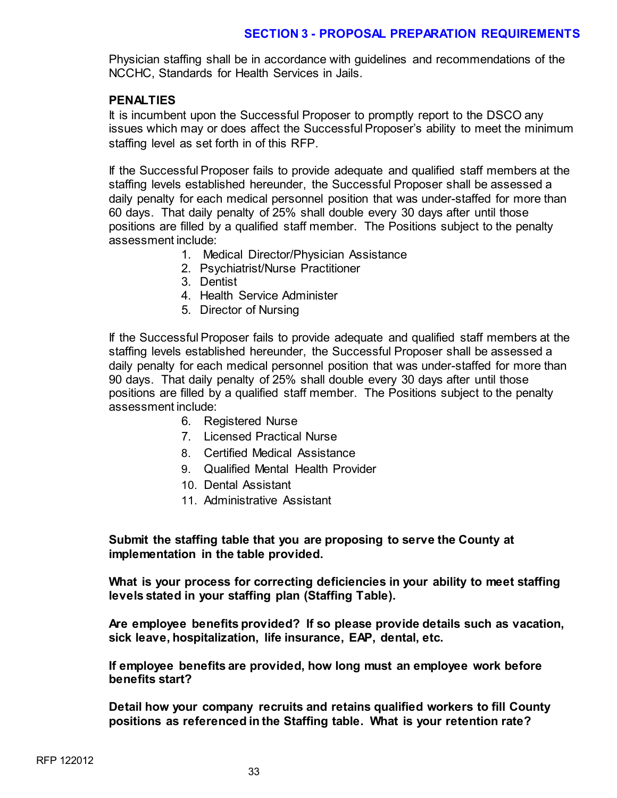Physician staffing shall be in accordance with guidelines and recommendations of the NCCHC, Standards for Health Services in Jails.

#### **PENALTIES**

It is incumbent upon the Successful Proposer to promptly report to the DSCO any issues which may or does affect the Successful Proposer's ability to meet the minimum staffing level as set forth in of this RFP.

If the Successful Proposer fails to provide adequate and qualified staff members at the staffing levels established hereunder, the Successful Proposer shall be assessed a daily penalty for each medical personnel position that was under-staffed for more than 60 days. That daily penalty of 25% shall double every 30 days after until those positions are filled by a qualified staff member. The Positions subject to the penalty assessment include:

- 1. Medical Director/Physician Assistance
- 2. Psychiatrist/Nurse Practitioner
- 3. Dentist
- 4. Health Service Administer
- 5. Director of Nursing

If the Successful Proposer fails to provide adequate and qualified staff members at the staffing levels established hereunder, the Successful Proposer shall be assessed a daily penalty for each medical personnel position that was under-staffed for more than 90 days. That daily penalty of 25% shall double every 30 days after until those positions are filled by a qualified staff member. The Positions subject to the penalty assessment include:

- 6. Registered Nurse
- 7. Licensed Practical Nurse
- 8. Certified Medical Assistance
- 9. Qualified Mental Health Provider
- 10. Dental Assistant
- 11. Administrative Assistant

**Submit the staffing table that you are proposing to serve the County at implementation in the table provided.**

**What is your process for correcting deficiencies in your ability to meet staffing levels stated in your staffing plan (Staffing Table).**

**Are employee benefits provided? If so please provide details such as vacation, sick leave, hospitalization, life insurance, EAP, dental, etc.**

**If employee benefits are provided, how long must an employee work before benefits start?**

**Detail how your company recruits and retains qualified workers to fill County positions as referenced in the Staffing table. What is your retention rate?**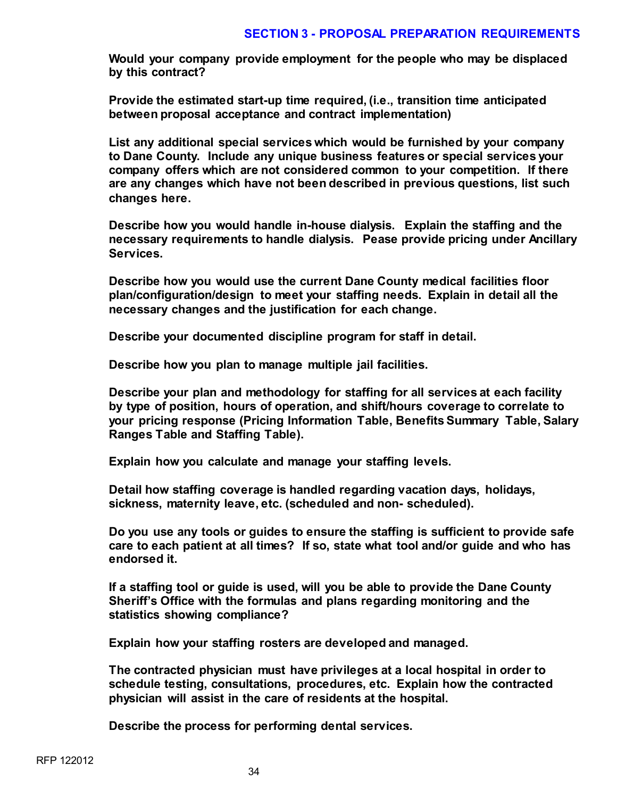**Would your company provide employment for the people who may be displaced by this contract?**

**Provide the estimated start-up time required, (i.e., transition time anticipated between proposal acceptance and contract implementation)**

**List any additional special services which would be furnished by your company to Dane County. Include any unique business features or special services your company offers which are not considered common to your competition. If there are any changes which have not been described in previous questions, list such changes here.**

**Describe how you would handle in-house dialysis. Explain the staffing and the necessary requirements to handle dialysis. Pease provide pricing under Ancillary Services.**

**Describe how you would use the current Dane County medical facilities floor plan/configuration/design to meet your staffing needs. Explain in detail all the necessary changes and the justification for each change.**

**Describe your documented discipline program for staff in detail.**

**Describe how you plan to manage multiple jail facilities.**

**Describe your plan and methodology for staffing for all services at each facility by type of position, hours of operation, and shift/hours coverage to correlate to your pricing response (Pricing Information Table, Benefits Summary Table, Salary Ranges Table and Staffing Table).**

**Explain how you calculate and manage your staffing levels.**

**Detail how staffing coverage is handled regarding vacation days, holidays, sickness, maternity leave, etc. (scheduled and non- scheduled).**

**Do you use any tools or guides to ensure the staffing is sufficient to provide safe care to each patient at all times? If so, state what tool and/or guide and who has endorsed it.**

**If a staffing tool or guide is used, will you be able to provide the Dane County Sheriff's Office with the formulas and plans regarding monitoring and the statistics showing compliance?** 

**Explain how your staffing rosters are developed and managed.**

**The contracted physician must have privileges at a local hospital in order to schedule testing, consultations, procedures, etc. Explain how the contracted physician will assist in the care of residents at the hospital.**

**Describe the process for performing dental services.**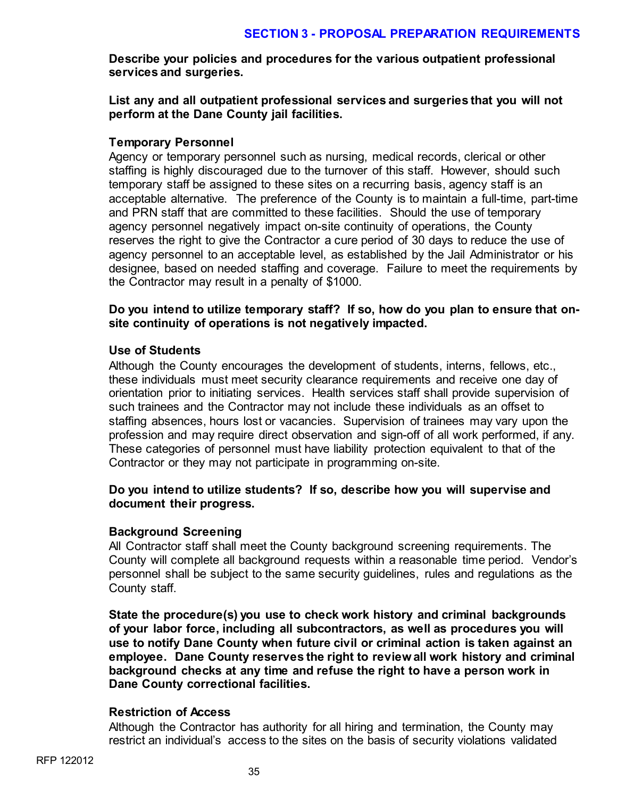**Describe your policies and procedures for the various outpatient professional services and surgeries.**

**List any and all outpatient professional services and surgeries that you will not perform at the Dane County jail facilities.**

#### **Temporary Personnel**

Agency or temporary personnel such as nursing, medical records, clerical or other staffing is highly discouraged due to the turnover of this staff. However, should such temporary staff be assigned to these sites on a recurring basis, agency staff is an acceptable alternative. The preference of the County is to maintain a full-time, part-time and PRN staff that are committed to these facilities. Should the use of temporary agency personnel negatively impact on-site continuity of operations, the County reserves the right to give the Contractor a cure period of 30 days to reduce the use of agency personnel to an acceptable level, as established by the Jail Administrator or his designee, based on needed staffing and coverage. Failure to meet the requirements by the Contractor may result in a penalty of \$1000.

**Do you intend to utilize temporary staff? If so, how do you plan to ensure that onsite continuity of operations is not negatively impacted.** 

#### **Use of Students**

Although the County encourages the development of students, interns, fellows, etc., these individuals must meet security clearance requirements and receive one day of orientation prior to initiating services. Health services staff shall provide supervision of such trainees and the Contractor may not include these individuals as an offset to staffing absences, hours lost or vacancies. Supervision of trainees may vary upon the profession and may require direct observation and sign-off of all work performed, if any. These categories of personnel must have liability protection equivalent to that of the Contractor or they may not participate in programming on-site.

# **Do you intend to utilize students? If so, describe how you will supervise and document their progress.**

# **Background Screening**

All Contractor staff shall meet the County background screening requirements. The County will complete all background requests within a reasonable time period. Vendor's personnel shall be subject to the same security guidelines, rules and regulations as the County staff.

**State the procedure(s) you use to check work history and criminal backgrounds of your labor force, including all subcontractors, as well as procedures you will use to notify Dane County when future civil or criminal action is taken against an employee. Dane County reserves the right to review all work history and criminal background checks at any time and refuse the right to have a person work in Dane County correctional facilities.**

# **Restriction of Access**

Although the Contractor has authority for all hiring and termination, the County may restrict an individual's access to the sites on the basis of security violations validated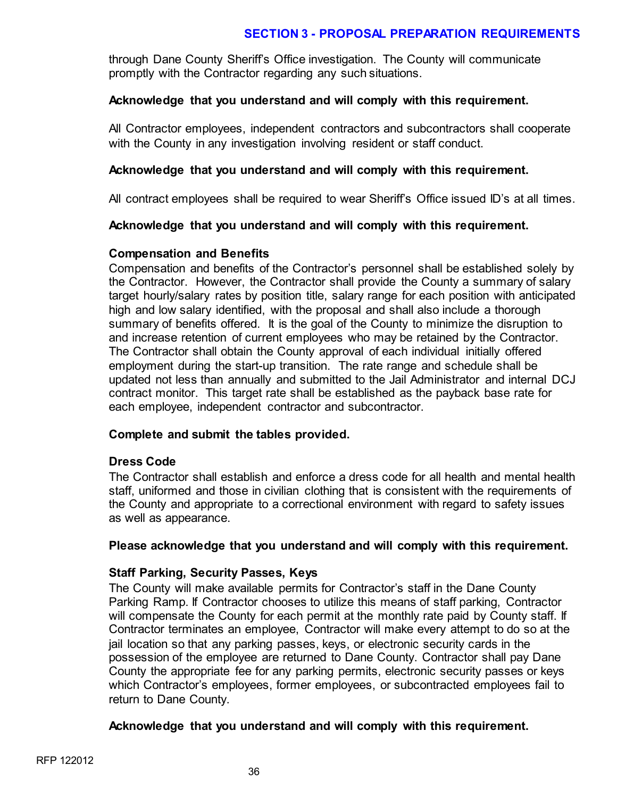through Dane County Sheriff's Office investigation. The County will communicate promptly with the Contractor regarding any such situations.

# **Acknowledge that you understand and will comply with this requirement.**

All Contractor employees, independent contractors and subcontractors shall cooperate with the County in any investigation involving resident or staff conduct.

### **Acknowledge that you understand and will comply with this requirement.**

All contract employees shall be required to wear Sheriff's Office issued ID's at all times.

# **Acknowledge that you understand and will comply with this requirement.**

#### **Compensation and Benefits**

Compensation and benefits of the Contractor's personnel shall be established solely by the Contractor. However, the Contractor shall provide the County a summary of salary target hourly/salary rates by position title, salary range for each position with anticipated high and low salary identified, with the proposal and shall also include a thorough summary of benefits offered. It is the goal of the County to minimize the disruption to and increase retention of current employees who may be retained by the Contractor. The Contractor shall obtain the County approval of each individual initially offered employment during the start-up transition. The rate range and schedule shall be updated not less than annually and submitted to the Jail Administrator and internal DCJ contract monitor. This target rate shall be established as the payback base rate for each employee, independent contractor and subcontractor.

#### **Complete and submit the tables provided.**

#### **Dress Code**

The Contractor shall establish and enforce a dress code for all health and mental health staff, uniformed and those in civilian clothing that is consistent with the requirements of the County and appropriate to a correctional environment with regard to safety issues as well as appearance.

#### **Please acknowledge that you understand and will comply with this requirement.**

#### **Staff Parking, Security Passes, Keys**

The County will make available permits for Contractor's staff in the Dane County Parking Ramp. If Contractor chooses to utilize this means of staff parking, Contractor will compensate the County for each permit at the monthly rate paid by County staff. If Contractor terminates an employee, Contractor will make every attempt to do so at the jail location so that any parking passes, keys, or electronic security cards in the possession of the employee are returned to Dane County. Contractor shall pay Dane County the appropriate fee for any parking permits, electronic security passes or keys which Contractor's employees, former employees, or subcontracted employees fail to return to Dane County.

#### **Acknowledge that you understand and will comply with this requirement.**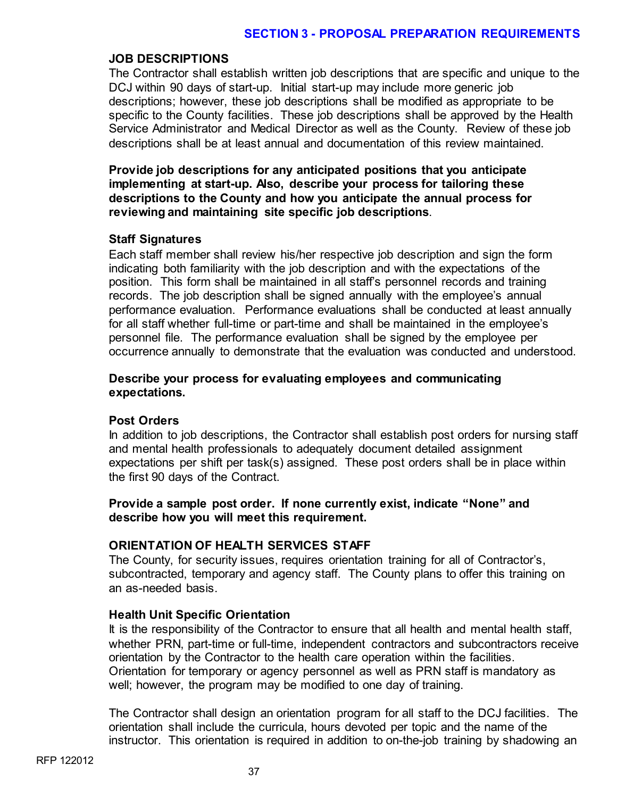# **JOB DESCRIPTIONS**

The Contractor shall establish written job descriptions that are specific and unique to the DCJ within 90 days of start-up. Initial start-up may include more generic job descriptions; however, these job descriptions shall be modified as appropriate to be specific to the County facilities. These job descriptions shall be approved by the Health Service Administrator and Medical Director as well as the County. Review of these job descriptions shall be at least annual and documentation of this review maintained.

**Provide job descriptions for any anticipated positions that you anticipate implementing at start-up. Also, describe your process for tailoring these descriptions to the County and how you anticipate the annual process for reviewing and maintaining site specific job descriptions**.

# **Staff Signatures**

Each staff member shall review his/her respective job description and sign the form indicating both familiarity with the job description and with the expectations of the position. This form shall be maintained in all staff's personnel records and training records. The job description shall be signed annually with the employee's annual performance evaluation. Performance evaluations shall be conducted at least annually for all staff whether full-time or part-time and shall be maintained in the employee's personnel file. The performance evaluation shall be signed by the employee per occurrence annually to demonstrate that the evaluation was conducted and understood.

### **Describe your process for evaluating employees and communicating expectations.**

#### **Post Orders**

In addition to job descriptions, the Contractor shall establish post orders for nursing staff and mental health professionals to adequately document detailed assignment expectations per shift per task(s) assigned. These post orders shall be in place within the first 90 days of the Contract.

# **Provide a sample post order. If none currently exist, indicate "None" and describe how you will meet this requirement.**

# **ORIENTATION OF HEALTH SERVICES STAFF**

The County, for security issues, requires orientation training for all of Contractor's, subcontracted, temporary and agency staff. The County plans to offer this training on an as-needed basis.

# **Health Unit Specific Orientation**

It is the responsibility of the Contractor to ensure that all health and mental health staff, whether PRN, part-time or full-time, independent contractors and subcontractors receive orientation by the Contractor to the health care operation within the facilities. Orientation for temporary or agency personnel as well as PRN staff is mandatory as well; however, the program may be modified to one day of training.

The Contractor shall design an orientation program for all staff to the DCJ facilities. The orientation shall include the curricula, hours devoted per topic and the name of the instructor. This orientation is required in addition to on-the-job training by shadowing an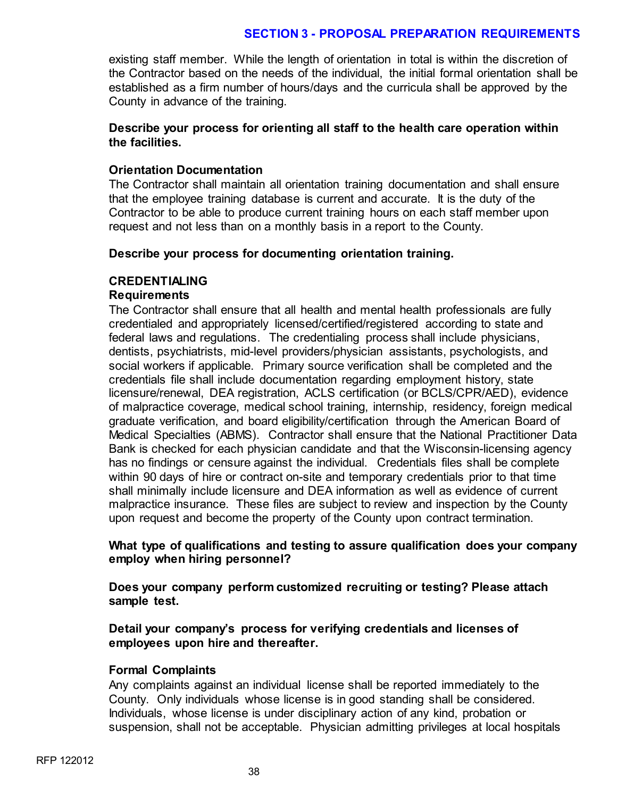existing staff member. While the length of orientation in total is within the discretion of the Contractor based on the needs of the individual, the initial formal orientation shall be established as a firm number of hours/days and the curricula shall be approved by the County in advance of the training.

# **Describe your process for orienting all staff to the health care operation within the facilities.**

# **Orientation Documentation**

The Contractor shall maintain all orientation training documentation and shall ensure that the employee training database is current and accurate. It is the duty of the Contractor to be able to produce current training hours on each staff member upon request and not less than on a monthly basis in a report to the County.

#### **Describe your process for documenting orientation training.**

# **CREDENTIALING**

# **Requirements**

The Contractor shall ensure that all health and mental health professionals are fully credentialed and appropriately licensed/certified/registered according to state and federal laws and regulations. The credentialing process shall include physicians, dentists, psychiatrists, mid-level providers/physician assistants, psychologists, and social workers if applicable. Primary source verification shall be completed and the credentials file shall include documentation regarding employment history, state licensure/renewal, DEA registration, ACLS certification (or BCLS/CPR/AED), evidence of malpractice coverage, medical school training, internship, residency, foreign medical graduate verification, and board eligibility/certification through the American Board of Medical Specialties (ABMS). Contractor shall ensure that the National Practitioner Data Bank is checked for each physician candidate and that the Wisconsin-licensing agency has no findings or censure against the individual. Credentials files shall be complete within 90 days of hire or contract on-site and temporary credentials prior to that time shall minimally include licensure and DEA information as well as evidence of current malpractice insurance. These files are subject to review and inspection by the County upon request and become the property of the County upon contract termination.

# **What type of qualifications and testing to assure qualification does your company employ when hiring personnel?**

**Does your company perform customized recruiting or testing? Please attach sample test.**

# **Detail your company's process for verifying credentials and licenses of employees upon hire and thereafter.**

#### **Formal Complaints**

Any complaints against an individual license shall be reported immediately to the County. Only individuals whose license is in good standing shall be considered. Individuals, whose license is under disciplinary action of any kind, probation or suspension, shall not be acceptable. Physician admitting privileges at local hospitals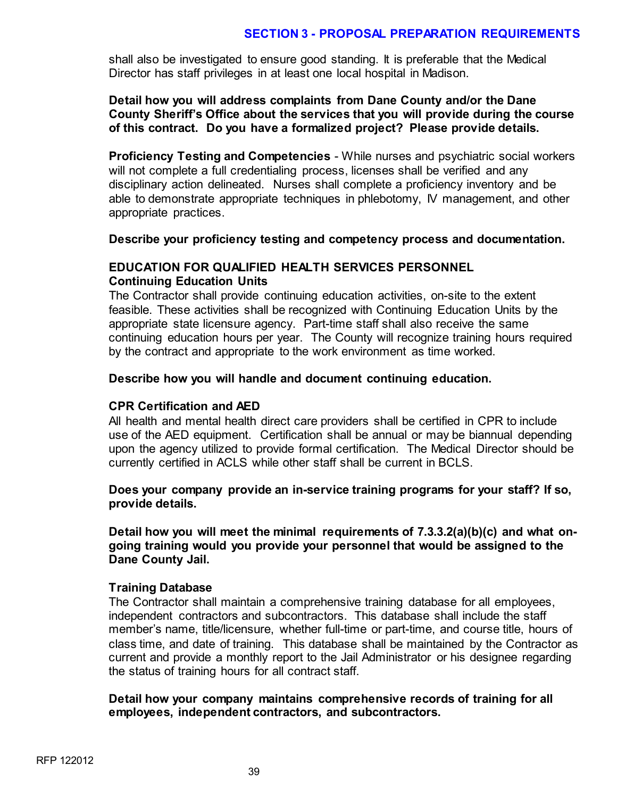shall also be investigated to ensure good standing. It is preferable that the Medical Director has staff privileges in at least one local hospital in Madison.

### **Detail how you will address complaints from Dane County and/or the Dane County Sheriff's Office about the services that you will provide during the course of this contract. Do you have a formalized project? Please provide details.**

**Proficiency Testing and Competencies** - While nurses and psychiatric social workers will not complete a full credentialing process, licenses shall be verified and any disciplinary action delineated. Nurses shall complete a proficiency inventory and be able to demonstrate appropriate techniques in phlebotomy, IV management, and other appropriate practices.

#### **Describe your proficiency testing and competency process and documentation.**

#### **EDUCATION FOR QUALIFIED HEALTH SERVICES PERSONNEL Continuing Education Units**

The Contractor shall provide continuing education activities, on-site to the extent feasible. These activities shall be recognized with Continuing Education Units by the appropriate state licensure agency. Part-time staff shall also receive the same continuing education hours per year. The County will recognize training hours required by the contract and appropriate to the work environment as time worked.

#### **Describe how you will handle and document continuing education.**

#### **CPR Certification and AED**

All health and mental health direct care providers shall be certified in CPR to include use of the AED equipment. Certification shall be annual or may be biannual depending upon the agency utilized to provide formal certification. The Medical Director should be currently certified in ACLS while other staff shall be current in BCLS.

#### **Does your company provide an in-service training programs for your staff? If so, provide details.**

**Detail how you will meet the minimal requirements of 7.3.3.2(a)(b)(c) and what ongoing training would you provide your personnel that would be assigned to the Dane County Jail.** 

#### **Training Database**

The Contractor shall maintain a comprehensive training database for all employees, independent contractors and subcontractors. This database shall include the staff member's name, title/licensure, whether full-time or part-time, and course title, hours of class time, and date of training. This database shall be maintained by the Contractor as current and provide a monthly report to the Jail Administrator or his designee regarding the status of training hours for all contract staff.

#### **Detail how your company maintains comprehensive records of training for all employees, independent contractors, and subcontractors.**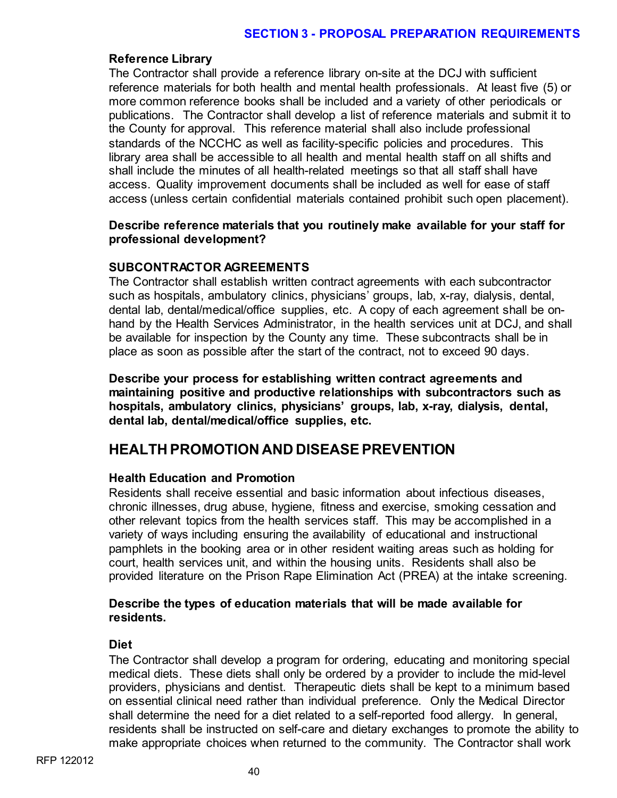### **Reference Library**

The Contractor shall provide a reference library on-site at the DCJ with sufficient reference materials for both health and mental health professionals. At least five (5) or more common reference books shall be included and a variety of other periodicals or publications. The Contractor shall develop a list of reference materials and submit it to the County for approval. This reference material shall also include professional standards of the NCCHC as well as facility-specific policies and procedures. This library area shall be accessible to all health and mental health staff on all shifts and shall include the minutes of all health-related meetings so that all staff shall have access. Quality improvement documents shall be included as well for ease of staff access (unless certain confidential materials contained prohibit such open placement).

# **Describe reference materials that you routinely make available for your staff for professional development?**

# **SUBCONTRACTOR AGREEMENTS**

The Contractor shall establish written contract agreements with each subcontractor such as hospitals, ambulatory clinics, physicians' groups, lab, x-ray, dialysis, dental, dental lab, dental/medical/office supplies, etc. A copy of each agreement shall be onhand by the Health Services Administrator, in the health services unit at DCJ, and shall be available for inspection by the County any time. These subcontracts shall be in place as soon as possible after the start of the contract, not to exceed 90 days.

**Describe your process for establishing written contract agreements and maintaining positive and productive relationships with subcontractors such as hospitals, ambulatory clinics, physicians' groups, lab, x-ray, dialysis, dental, dental lab, dental/medical/office supplies, etc.**

# **HEALTH PROMOTION AND DISEASE PREVENTION**

# **Health Education and Promotion**

Residents shall receive essential and basic information about infectious diseases, chronic illnesses, drug abuse, hygiene, fitness and exercise, smoking cessation and other relevant topics from the health services staff. This may be accomplished in a variety of ways including ensuring the availability of educational and instructional pamphlets in the booking area or in other resident waiting areas such as holding for court, health services unit, and within the housing units. Residents shall also be provided literature on the Prison Rape Elimination Act (PREA) at the intake screening.

# **Describe the types of education materials that will be made available for residents.**

#### **Diet**

The Contractor shall develop a program for ordering, educating and monitoring special medical diets. These diets shall only be ordered by a provider to include the mid-level providers, physicians and dentist. Therapeutic diets shall be kept to a minimum based on essential clinical need rather than individual preference. Only the Medical Director shall determine the need for a diet related to a self-reported food allergy. In general, residents shall be instructed on self-care and dietary exchanges to promote the ability to make appropriate choices when returned to the community. The Contractor shall work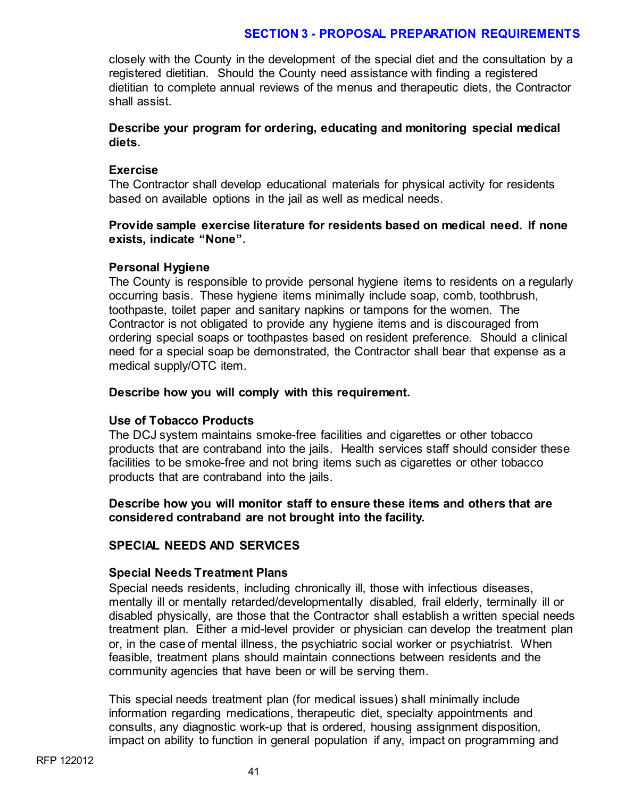closely with the County in the development of the special diet and the consultation by a registered dietitian. Should the County need assistance with finding a registered dietitian to complete annual reviews of the menus and therapeutic diets, the Contractor shall assist.

# **Describe your program for ordering, educating and monitoring special medical diets.**

### **Exercise**

The Contractor shall develop educational materials for physical activity for residents based on available options in the jail as well as medical needs.

# **Provide sample exercise literature for residents based on medical need. If none exists, indicate "None".**

# **Personal Hygiene**

The County is responsible to provide personal hygiene items to residents on a regularly occurring basis. These hygiene items minimally include soap, comb, toothbrush, toothpaste, toilet paper and sanitary napkins or tampons for the women. The Contractor is not obligated to provide any hygiene items and is discouraged from ordering special soaps or toothpastes based on resident preference. Should a clinical need for a special soap be demonstrated, the Contractor shall bear that expense as a medical supply/OTC item.

# **Describe how you will comply with this requirement.**

# **Use of Tobacco Products**

The DCJ system maintains smoke-free facilities and cigarettes or other tobacco products that are contraband into the jails. Health services staff should consider these facilities to be smoke-free and not bring items such as cigarettes or other tobacco products that are contraband into the jails.

# **Describe how you will monitor staff to ensure these items and others that are considered contraband are not brought into the facility.**

# **SPECIAL NEEDS AND SERVICES**

#### **Special Needs Treatment Plans**

Special needs residents, including chronically ill, those with infectious diseases, mentally ill or mentally retarded/developmentally disabled, frail elderly, terminally ill or disabled physically, are those that the Contractor shall establish a written special needs treatment plan. Either a mid-level provider or physician can develop the treatment plan or, in the case of mental illness, the psychiatric social worker or psychiatrist. When feasible, treatment plans should maintain connections between residents and the community agencies that have been or will be serving them.

This special needs treatment plan (for medical issues) shall minimally include information regarding medications, therapeutic diet, specialty appointments and consults, any diagnostic work-up that is ordered, housing assignment disposition, impact on ability to function in general population if any, impact on programming and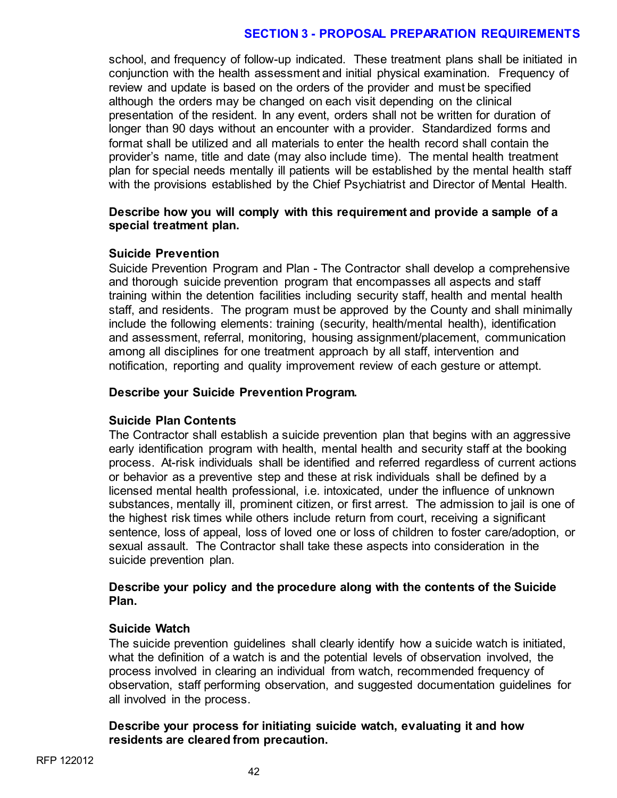school, and frequency of follow-up indicated. These treatment plans shall be initiated in conjunction with the health assessment and initial physical examination. Frequency of review and update is based on the orders of the provider and must be specified although the orders may be changed on each visit depending on the clinical presentation of the resident. In any event, orders shall not be written for duration of longer than 90 days without an encounter with a provider. Standardized forms and format shall be utilized and all materials to enter the health record shall contain the provider's name, title and date (may also include time). The mental health treatment plan for special needs mentally ill patients will be established by the mental health staff with the provisions established by the Chief Psychiatrist and Director of Mental Health.

#### **Describe how you will comply with this requirement and provide a sample of a special treatment plan.**

#### **Suicide Prevention**

Suicide Prevention Program and Plan - The Contractor shall develop a comprehensive and thorough suicide prevention program that encompasses all aspects and staff training within the detention facilities including security staff, health and mental health staff, and residents. The program must be approved by the County and shall minimally include the following elements: training (security, health/mental health), identification and assessment, referral, monitoring, housing assignment/placement, communication among all disciplines for one treatment approach by all staff, intervention and notification, reporting and quality improvement review of each gesture or attempt.

#### **Describe your Suicide Prevention Program.**

#### **Suicide Plan Contents**

The Contractor shall establish a suicide prevention plan that begins with an aggressive early identification program with health, mental health and security staff at the booking process. At-risk individuals shall be identified and referred regardless of current actions or behavior as a preventive step and these at risk individuals shall be defined by a licensed mental health professional, i.e. intoxicated, under the influence of unknown substances, mentally ill, prominent citizen, or first arrest. The admission to jail is one of the highest risk times while others include return from court, receiving a significant sentence, loss of appeal, loss of loved one or loss of children to foster care/adoption, or sexual assault. The Contractor shall take these aspects into consideration in the suicide prevention plan.

#### **Describe your policy and the procedure along with the contents of the Suicide Plan.**

#### **Suicide Watch**

The suicide prevention guidelines shall clearly identify how a suicide watch is initiated, what the definition of a watch is and the potential levels of observation involved, the process involved in clearing an individual from watch, recommended frequency of observation, staff performing observation, and suggested documentation guidelines for all involved in the process.

#### **Describe your process for initiating suicide watch, evaluating it and how residents are cleared from precaution.**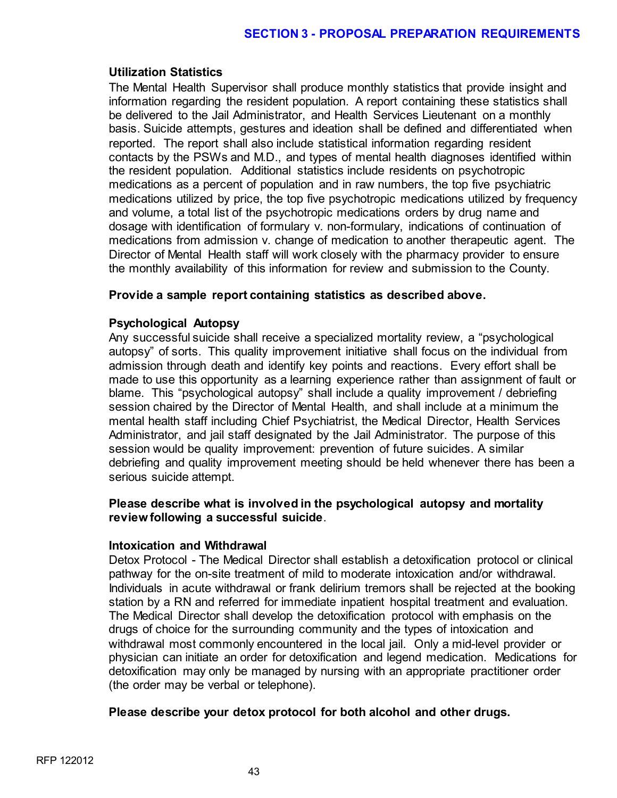# **Utilization Statistics**

The Mental Health Supervisor shall produce monthly statistics that provide insight and information regarding the resident population. A report containing these statistics shall be delivered to the Jail Administrator, and Health Services Lieutenant on a monthly basis. Suicide attempts, gestures and ideation shall be defined and differentiated when reported. The report shall also include statistical information regarding resident contacts by the PSWs and M.D., and types of mental health diagnoses identified within the resident population. Additional statistics include residents on psychotropic medications as a percent of population and in raw numbers, the top five psychiatric medications utilized by price, the top five psychotropic medications utilized by frequency and volume, a total list of the psychotropic medications orders by drug name and dosage with identification of formulary v. non-formulary, indications of continuation of medications from admission v. change of medication to another therapeutic agent. The Director of Mental Health staff will work closely with the pharmacy provider to ensure the monthly availability of this information for review and submission to the County.

# **Provide a sample report containing statistics as described above.**

# **Psychological Autopsy**

Any successful suicide shall receive a specialized mortality review, a "psychological autopsy" of sorts. This quality improvement initiative shall focus on the individual from admission through death and identify key points and reactions. Every effort shall be made to use this opportunity as a learning experience rather than assignment of fault or blame. This "psychological autopsy" shall include a quality improvement / debriefing session chaired by the Director of Mental Health, and shall include at a minimum the mental health staff including Chief Psychiatrist, the Medical Director, Health Services Administrator, and jail staff designated by the Jail Administrator. The purpose of this session would be quality improvement: prevention of future suicides. A similar debriefing and quality improvement meeting should be held whenever there has been a serious suicide attempt.

# **Please describe what is involved in the psychological autopsy and mortality review following a successful suicide**.

#### **Intoxication and Withdrawal**

Detox Protocol - The Medical Director shall establish a detoxification protocol or clinical pathway for the on-site treatment of mild to moderate intoxication and/or withdrawal. Individuals in acute withdrawal or frank delirium tremors shall be rejected at the booking station by a RN and referred for immediate inpatient hospital treatment and evaluation. The Medical Director shall develop the detoxification protocol with emphasis on the drugs of choice for the surrounding community and the types of intoxication and withdrawal most commonly encountered in the local jail. Only a mid-level provider or physician can initiate an order for detoxification and legend medication. Medications for detoxification may only be managed by nursing with an appropriate practitioner order (the order may be verbal or telephone).

#### **Please describe your detox protocol for both alcohol and other drugs.**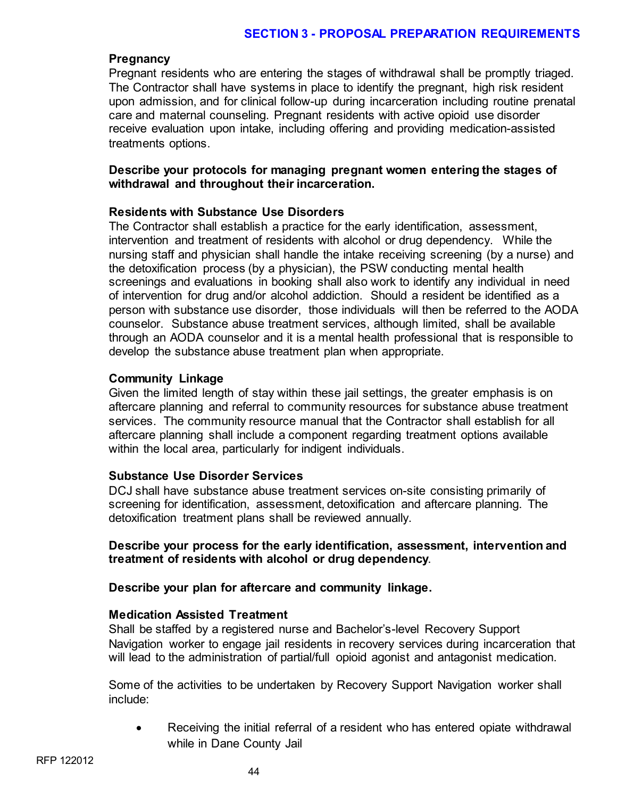### **Pregnancy**

Pregnant residents who are entering the stages of withdrawal shall be promptly triaged. The Contractor shall have systems in place to identify the pregnant, high risk resident upon admission, and for clinical follow-up during incarceration including routine prenatal care and maternal counseling. Pregnant residents with active opioid use disorder receive evaluation upon intake, including offering and providing medication-assisted treatments options.

# **Describe your protocols for managing pregnant women entering the stages of withdrawal and throughout their incarceration.**

# **Residents with Substance Use Disorders**

The Contractor shall establish a practice for the early identification, assessment, intervention and treatment of residents with alcohol or drug dependency. While the nursing staff and physician shall handle the intake receiving screening (by a nurse) and the detoxification process (by a physician), the PSW conducting mental health screenings and evaluations in booking shall also work to identify any individual in need of intervention for drug and/or alcohol addiction. Should a resident be identified as a person with substance use disorder, those individuals will then be referred to the AODA counselor. Substance abuse treatment services, although limited, shall be available through an AODA counselor and it is a mental health professional that is responsible to develop the substance abuse treatment plan when appropriate.

# **Community Linkage**

Given the limited length of stay within these jail settings, the greater emphasis is on aftercare planning and referral to community resources for substance abuse treatment services. The community resource manual that the Contractor shall establish for all aftercare planning shall include a component regarding treatment options available within the local area, particularly for indigent individuals.

#### **Substance Use Disorder Services**

DCJ shall have substance abuse treatment services on-site consisting primarily of screening for identification, assessment, detoxification and aftercare planning. The detoxification treatment plans shall be reviewed annually.

# **Describe your process for the early identification, assessment, intervention and treatment of residents with alcohol or drug dependency**.

#### **Describe your plan for aftercare and community linkage.**

#### **Medication Assisted Treatment**

Shall be staffed by a registered nurse and Bachelor's-level Recovery Support Navigation worker to engage jail residents in recovery services during incarceration that will lead to the administration of partial/full opioid agonist and antagonist medication.

Some of the activities to be undertaken by Recovery Support Navigation worker shall include:

• Receiving the initial referral of a resident who has entered opiate withdrawal while in Dane County Jail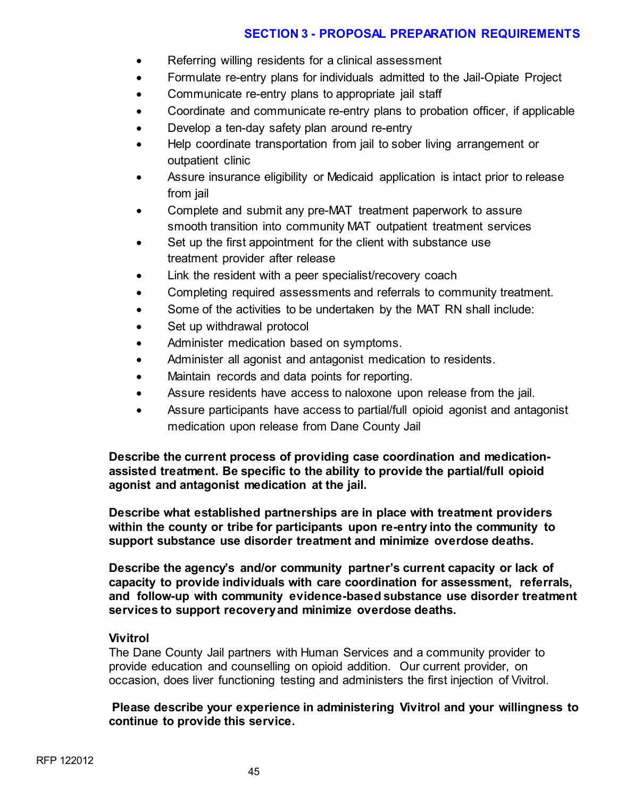- Referring willing residents for a clinical assessment
- Formulate re-entry plans for individuals admitted to the Jail-Opiate Project
- Communicate re-entry plans to appropriate jail staff
- Coordinate and communicate re-entry plans to probation officer, if applicable
- Develop a ten-day safety plan around re-entry
- Help coordinate transportation from jail to sober living arrangement or outpatient clinic
- Assure insurance eligibility or Medicaid application is intact prior to release from jail
- Complete and submit any pre-MAT treatment paperwork to assure smooth transition into community MAT outpatient treatment services
- Set up the first appointment for the client with substance use treatment provider after release
- Link the resident with a peer specialist/recovery coach
- Completing required assessments and referrals to community treatment.
- Some of the activities to be undertaken by the MAT RN shall include:
- Set up withdrawal protocol
- Administer medication based on symptoms.
- Administer all agonist and antagonist medication to residents.
- Maintain records and data points for reporting.
- Assure residents have access to naloxone upon release from the jail.
- Assure participants have access to partial/full opioid agonist and antagonist medication upon release from Dane County Jail

**Describe the current process of providing case coordination and medicationassisted treatment. Be specific to the ability to provide the partial/full opioid agonist and antagonist medication at the jail.** 

**Describe what established partnerships are in place with treatment providers within the county or tribe for participants upon re-entry into the community to support substance use disorder treatment and minimize overdose deaths.**

**Describe the agency's and/or community partner's current capacity or lack of capacity to provide individuals with care coordination for assessment, referrals, and follow-up with community evidence-based substance use disorder treatment services to support recovery and minimize overdose deaths.**

# **Vivitrol**

The Dane County Jail partners with Human Services and a community provider to provide education and counselling on opioid addition. Our current provider, on occasion, does liver functioning testing and administers the first injection of Vivitrol.

**Please describe your experience in administering Vivitrol and your willingness to continue to provide this service.**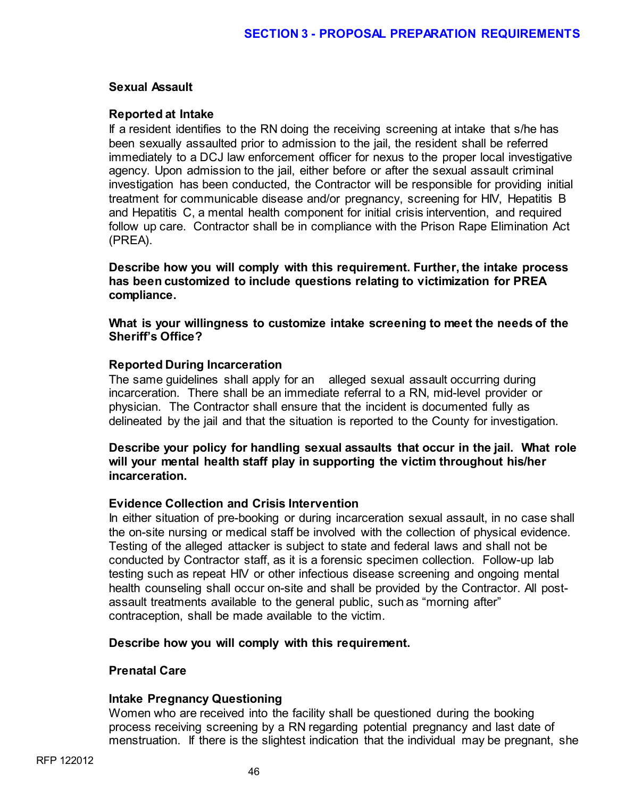### **Sexual Assault**

# **Reported at Intake**

If a resident identifies to the RN doing the receiving screening at intake that s/he has been sexually assaulted prior to admission to the jail, the resident shall be referred immediately to a DCJ law enforcement officer for nexus to the proper local investigative agency. Upon admission to the jail, either before or after the sexual assault criminal investigation has been conducted, the Contractor will be responsible for providing initial treatment for communicable disease and/or pregnancy, screening for HIV, Hepatitis B and Hepatitis C, a mental health component for initial crisis intervention, and required follow up care. Contractor shall be in compliance with the Prison Rape Elimination Act (PREA).

**Describe how you will comply with this requirement. Further, the intake process has been customized to include questions relating to victimization for PREA compliance.** 

**What is your willingness to customize intake screening to meet the needs of the Sheriff's Office?**

# **Reported During Incarceration**

The same guidelines shall apply for an alleged sexual assault occurring during incarceration. There shall be an immediate referral to a RN, mid-level provider or physician. The Contractor shall ensure that the incident is documented fully as delineated by the jail and that the situation is reported to the County for investigation.

# **Describe your policy for handling sexual assaults that occur in the jail. What role will your mental health staff play in supporting the victim throughout his/her incarceration.**

# **Evidence Collection and Crisis Intervention**

In either situation of pre-booking or during incarceration sexual assault, in no case shall the on-site nursing or medical staff be involved with the collection of physical evidence. Testing of the alleged attacker is subject to state and federal laws and shall not be conducted by Contractor staff, as it is a forensic specimen collection. Follow-up lab testing such as repeat HIV or other infectious disease screening and ongoing mental health counseling shall occur on-site and shall be provided by the Contractor. All postassault treatments available to the general public, such as "morning after" contraception, shall be made available to the victim.

#### **Describe how you will comply with this requirement.**

#### **Prenatal Care**

#### **Intake Pregnancy Questioning**

Women who are received into the facility shall be questioned during the booking process receiving screening by a RN regarding potential pregnancy and last date of menstruation. If there is the slightest indication that the individual may be pregnant, she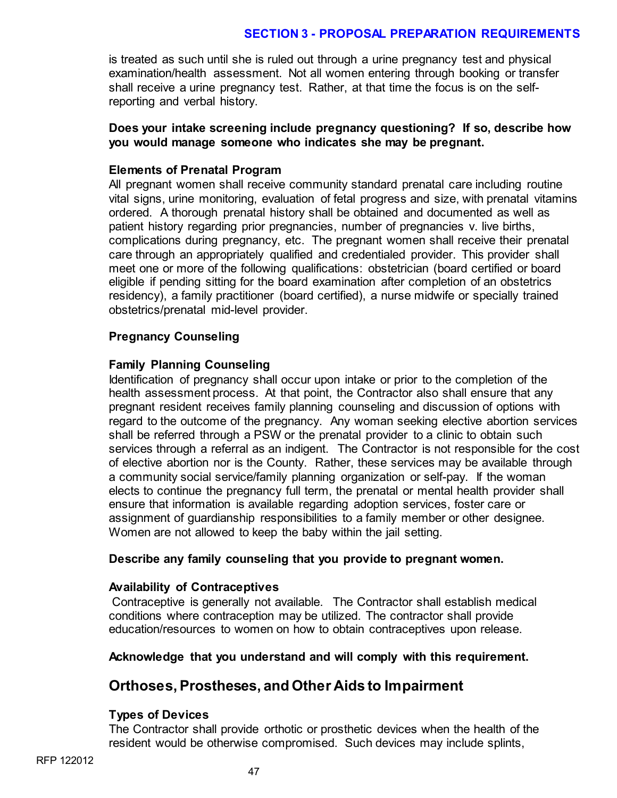is treated as such until she is ruled out through a urine pregnancy test and physical examination/health assessment. Not all women entering through booking or transfer shall receive a urine pregnancy test. Rather, at that time the focus is on the selfreporting and verbal history.

# **Does your intake screening include pregnancy questioning? If so, describe how you would manage someone who indicates she may be pregnant.**

# **Elements of Prenatal Program**

All pregnant women shall receive community standard prenatal care including routine vital signs, urine monitoring, evaluation of fetal progress and size, with prenatal vitamins ordered. A thorough prenatal history shall be obtained and documented as well as patient history regarding prior pregnancies, number of pregnancies v. live births, complications during pregnancy, etc. The pregnant women shall receive their prenatal care through an appropriately qualified and credentialed provider. This provider shall meet one or more of the following qualifications: obstetrician (board certified or board eligible if pending sitting for the board examination after completion of an obstetrics residency), a family practitioner (board certified), a nurse midwife or specially trained obstetrics/prenatal mid-level provider.

# **Pregnancy Counseling**

# **Family Planning Counseling**

Identification of pregnancy shall occur upon intake or prior to the completion of the health assessment process. At that point, the Contractor also shall ensure that any pregnant resident receives family planning counseling and discussion of options with regard to the outcome of the pregnancy. Any woman seeking elective abortion services shall be referred through a PSW or the prenatal provider to a clinic to obtain such services through a referral as an indigent. The Contractor is not responsible for the cost of elective abortion nor is the County. Rather, these services may be available through a community social service/family planning organization or self-pay. If the woman elects to continue the pregnancy full term, the prenatal or mental health provider shall ensure that information is available regarding adoption services, foster care or assignment of guardianship responsibilities to a family member or other designee. Women are not allowed to keep the baby within the jail setting.

#### **Describe any family counseling that you provide to pregnant women.**

# **Availability of Contraceptives**

Contraceptive is generally not available. The Contractor shall establish medical conditions where contraception may be utilized. The contractor shall provide education/resources to women on how to obtain contraceptives upon release.

# **Acknowledge that you understand and will comply with this requirement.**

# **Orthoses, Prostheses, and Other Aids to Impairment**

# **Types of Devices**

The Contractor shall provide orthotic or prosthetic devices when the health of the resident would be otherwise compromised. Such devices may include splints,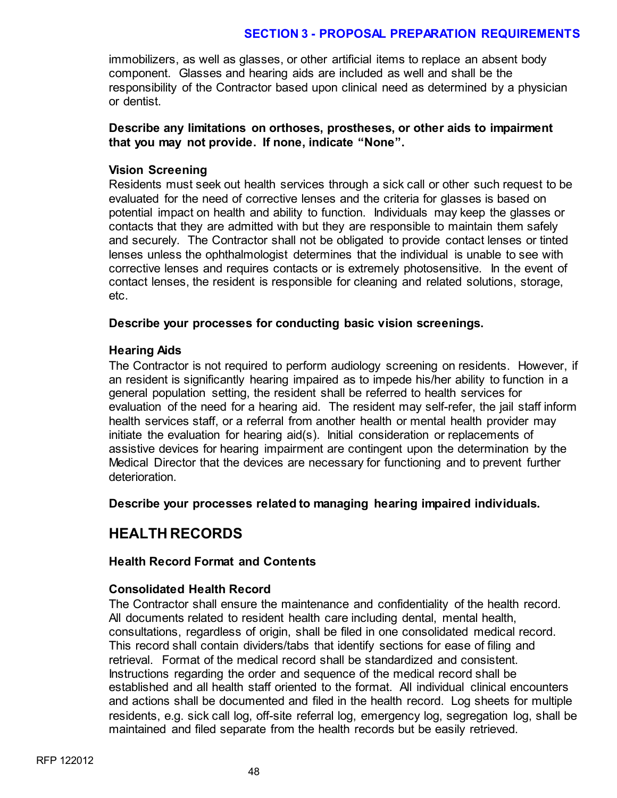immobilizers, as well as glasses, or other artificial items to replace an absent body component. Glasses and hearing aids are included as well and shall be the responsibility of the Contractor based upon clinical need as determined by a physician or dentist.

# **Describe any limitations on orthoses, prostheses, or other aids to impairment that you may not provide. If none, indicate "None".**

# **Vision Screening**

Residents must seek out health services through a sick call or other such request to be evaluated for the need of corrective lenses and the criteria for glasses is based on potential impact on health and ability to function. Individuals may keep the glasses or contacts that they are admitted with but they are responsible to maintain them safely and securely. The Contractor shall not be obligated to provide contact lenses or tinted lenses unless the ophthalmologist determines that the individual is unable to see with corrective lenses and requires contacts or is extremely photosensitive. In the event of contact lenses, the resident is responsible for cleaning and related solutions, storage, etc.

# **Describe your processes for conducting basic vision screenings.**

# **Hearing Aids**

The Contractor is not required to perform audiology screening on residents. However, if an resident is significantly hearing impaired as to impede his/her ability to function in a general population setting, the resident shall be referred to health services for evaluation of the need for a hearing aid. The resident may self-refer, the jail staff inform health services staff, or a referral from another health or mental health provider may initiate the evaluation for hearing aid(s). Initial consideration or replacements of assistive devices for hearing impairment are contingent upon the determination by the Medical Director that the devices are necessary for functioning and to prevent further deterioration.

**Describe your processes related to managing hearing impaired individuals.** 

# **HEALTH RECORDS**

# **Health Record Format and Contents**

# **Consolidated Health Record**

The Contractor shall ensure the maintenance and confidentiality of the health record. All documents related to resident health care including dental, mental health, consultations, regardless of origin, shall be filed in one consolidated medical record. This record shall contain dividers/tabs that identify sections for ease of filing and retrieval. Format of the medical record shall be standardized and consistent. Instructions regarding the order and sequence of the medical record shall be established and all health staff oriented to the format. All individual clinical encounters and actions shall be documented and filed in the health record. Log sheets for multiple residents, e.g. sick call log, off-site referral log, emergency log, segregation log, shall be maintained and filed separate from the health records but be easily retrieved.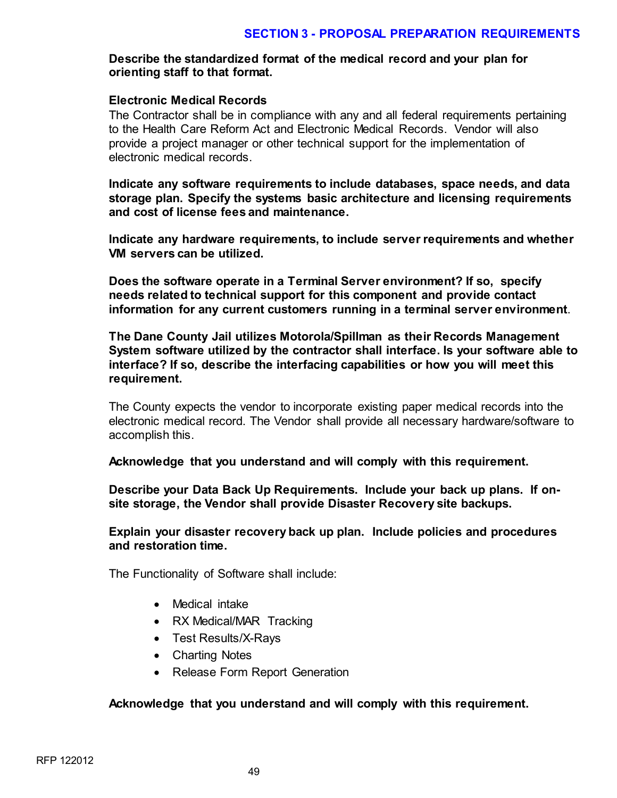# **Describe the standardized format of the medical record and your plan for orienting staff to that format.**

#### **Electronic Medical Records**

The Contractor shall be in compliance with any and all federal requirements pertaining to the Health Care Reform Act and Electronic Medical Records. Vendor will also provide a project manager or other technical support for the implementation of electronic medical records.

**Indicate any software requirements to include databases, space needs, and data storage plan. Specify the systems basic architecture and licensing requirements and cost of license fees and maintenance.** 

**Indicate any hardware requirements, to include server requirements and whether VM servers can be utilized.** 

**Does the software operate in a Terminal Server environment? If so, specify needs related to technical support for this component and provide contact information for any current customers running in a terminal server environment**.

**The Dane County Jail utilizes Motorola/Spillman as their Records Management System software utilized by the contractor shall interface. Is your software able to interface? If so, describe the interfacing capabilities or how you will meet this requirement.**

The County expects the vendor to incorporate existing paper medical records into the electronic medical record. The Vendor shall provide all necessary hardware/software to accomplish this.

**Acknowledge that you understand and will comply with this requirement.** 

**Describe your Data Back Up Requirements. Include your back up plans. If onsite storage, the Vendor shall provide Disaster Recovery site backups.** 

**Explain your disaster recovery back up plan. Include policies and procedures and restoration time.**

The Functionality of Software shall include:

- Medical intake
- RX Medical/MAR Tracking
- Test Results/X-Rays
- Charting Notes
- Release Form Report Generation

#### **Acknowledge that you understand and will comply with this requirement.**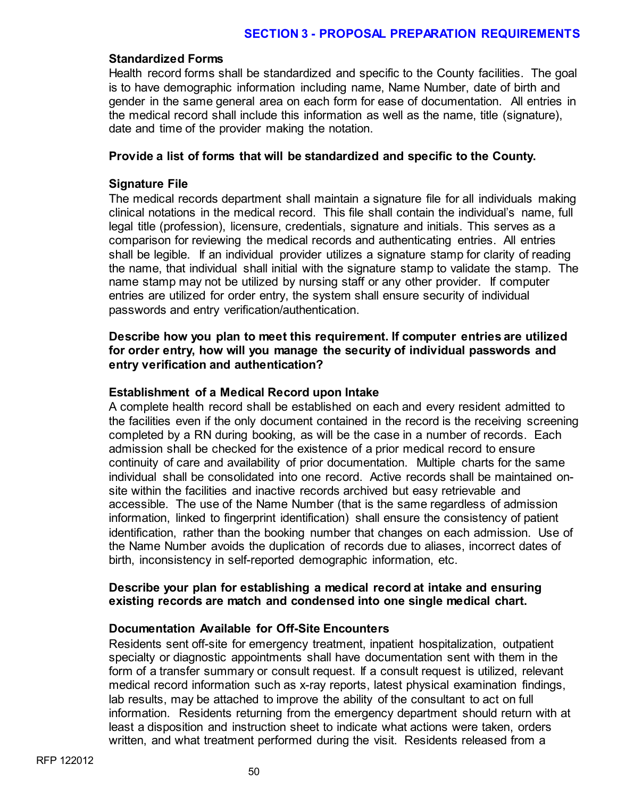#### **Standardized Forms**

Health record forms shall be standardized and specific to the County facilities. The goal is to have demographic information including name, Name Number, date of birth and gender in the same general area on each form for ease of documentation. All entries in the medical record shall include this information as well as the name, title (signature), date and time of the provider making the notation.

#### **Provide a list of forms that will be standardized and specific to the County.**

#### **Signature File**

The medical records department shall maintain a signature file for all individuals making clinical notations in the medical record. This file shall contain the individual's name, full legal title (profession), licensure, credentials, signature and initials. This serves as a comparison for reviewing the medical records and authenticating entries. All entries shall be legible. If an individual provider utilizes a signature stamp for clarity of reading the name, that individual shall initial with the signature stamp to validate the stamp. The name stamp may not be utilized by nursing staff or any other provider. If computer entries are utilized for order entry, the system shall ensure security of individual passwords and entry verification/authentication.

### **Describe how you plan to meet this requirement. If computer entries are utilized for order entry, how will you manage the security of individual passwords and entry verification and authentication?**

#### **Establishment of a Medical Record upon Intake**

A complete health record shall be established on each and every resident admitted to the facilities even if the only document contained in the record is the receiving screening completed by a RN during booking, as will be the case in a number of records. Each admission shall be checked for the existence of a prior medical record to ensure continuity of care and availability of prior documentation. Multiple charts for the same individual shall be consolidated into one record. Active records shall be maintained onsite within the facilities and inactive records archived but easy retrievable and accessible. The use of the Name Number (that is the same regardless of admission information, linked to fingerprint identification) shall ensure the consistency of patient identification, rather than the booking number that changes on each admission. Use of the Name Number avoids the duplication of records due to aliases, incorrect dates of birth, inconsistency in self-reported demographic information, etc.

#### **Describe your plan for establishing a medical record at intake and ensuring existing records are match and condensed into one single medical chart.**

#### **Documentation Available for Off-Site Encounters**

Residents sent off-site for emergency treatment, inpatient hospitalization, outpatient specialty or diagnostic appointments shall have documentation sent with them in the form of a transfer summary or consult request. If a consult request is utilized, relevant medical record information such as x-ray reports, latest physical examination findings, lab results, may be attached to improve the ability of the consultant to act on full information. Residents returning from the emergency department should return with at least a disposition and instruction sheet to indicate what actions were taken, orders written, and what treatment performed during the visit. Residents released from a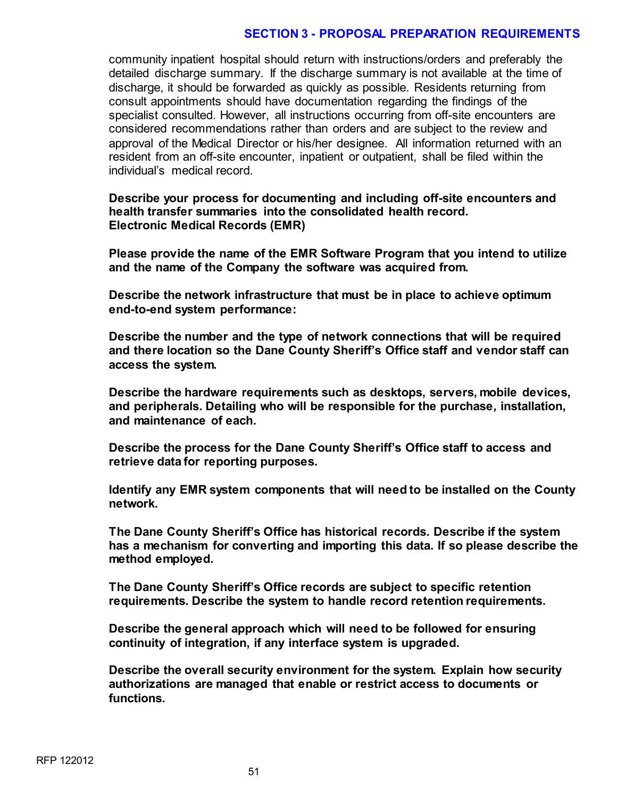community inpatient hospital should return with instructions/orders and preferably the detailed discharge summary. If the discharge summary is not available at the time of discharge, it should be forwarded as quickly as possible. Residents returning from consult appointments should have documentation regarding the findings of the specialist consulted. However, all instructions occurring from off-site encounters are considered recommendations rather than orders and are subject to the review and approval of the Medical Director or his/her designee. All information returned with an resident from an off-site encounter, inpatient or outpatient, shall be filed within the individual's medical record.

**Describe your process for documenting and including off-site encounters and health transfer summaries into the consolidated health record. Electronic Medical Records (EMR)**

**Please provide the name of the EMR Software Program that you intend to utilize and the name of the Company the software was acquired from.**

**Describe the network infrastructure that must be in place to achieve optimum end-to-end system performance:**

**Describe the number and the type of network connections that will be required and there location so the Dane County Sheriff's Office staff and vendor staff can access the system.**

**Describe the hardware requirements such as desktops, servers, mobile devices, and peripherals. Detailing who will be responsible for the purchase, installation, and maintenance of each.**

**Describe the process for the Dane County Sheriff's Office staff to access and retrieve data for reporting purposes.**

**Identify any EMR system components that will need to be installed on the County network.**

**The Dane County Sheriff's Office has historical records. Describe if the system has a mechanism for converting and importing this data. If so please describe the method employed.**

**The Dane County Sheriff's Office records are subject to specific retention requirements. Describe the system to handle record retention requirements.**

**Describe the general approach which will need to be followed for ensuring continuity of integration, if any interface system is upgraded.**

**Describe the overall security environment for the system. Explain how security authorizations are managed that enable or restrict access to documents or functions.**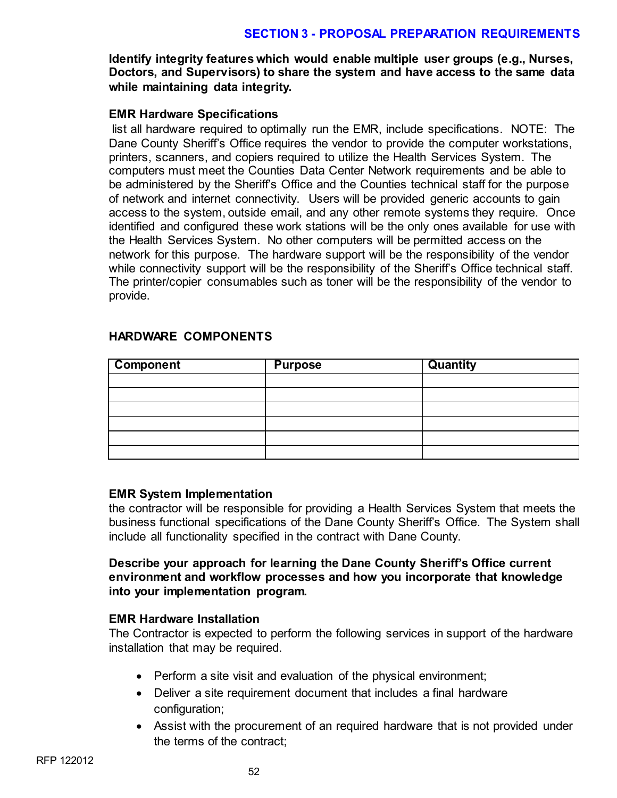**Identify integrity features which would enable multiple user groups (e.g., Nurses, Doctors, and Supervisors) to share the system and have access to the same data while maintaining data integrity.**

# **EMR Hardware Specifications**

list all hardware required to optimally run the EMR, include specifications. NOTE: The Dane County Sheriff's Office requires the vendor to provide the computer workstations, printers, scanners, and copiers required to utilize the Health Services System. The computers must meet the Counties Data Center Network requirements and be able to be administered by the Sheriff's Office and the Counties technical staff for the purpose of network and internet connectivity. Users will be provided generic accounts to gain access to the system, outside email, and any other remote systems they require. Once identified and configured these work stations will be the only ones available for use with the Health Services System. No other computers will be permitted access on the network for this purpose. The hardware support will be the responsibility of the vendor while connectivity support will be the responsibility of the Sheriff's Office technical staff. The printer/copier consumables such as toner will be the responsibility of the vendor to provide.

| <b>Component</b> | <b>Purpose</b> | <b>Quantity</b> |
|------------------|----------------|-----------------|
|                  |                |                 |
|                  |                |                 |
|                  |                |                 |
|                  |                |                 |
|                  |                |                 |
|                  |                |                 |

# **HARDWARE COMPONENTS**

# **EMR System Implementation**

the contractor will be responsible for providing a Health Services System that meets the business functional specifications of the Dane County Sheriff's Office. The System shall include all functionality specified in the contract with Dane County.

# **Describe your approach for learning the Dane County Sheriff's Office current environment and workflow processes and how you incorporate that knowledge into your implementation program.**

# **EMR Hardware Installation**

The Contractor is expected to perform the following services in support of the hardware installation that may be required.

- Perform a site visit and evaluation of the physical environment;
- Deliver a site requirement document that includes a final hardware configuration;
- Assist with the procurement of an required hardware that is not provided under the terms of the contract;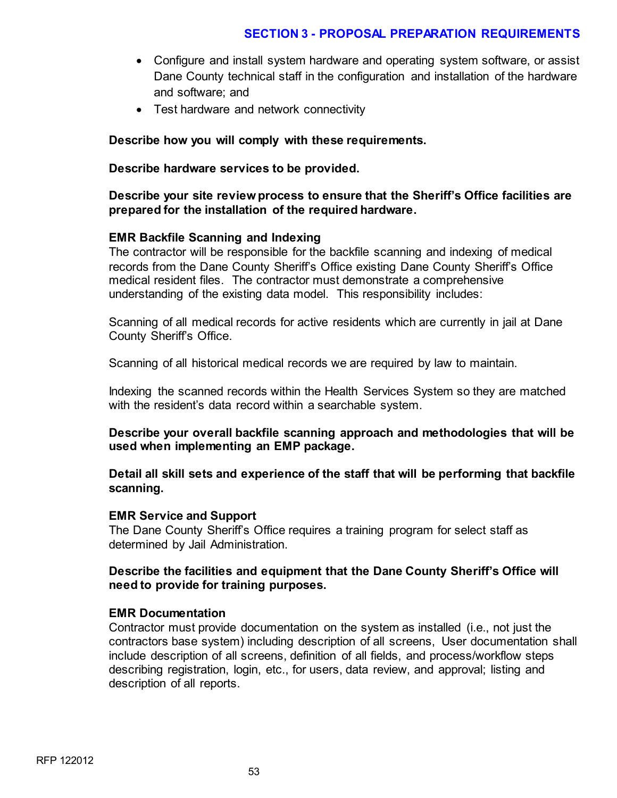- Configure and install system hardware and operating system software, or assist Dane County technical staff in the configuration and installation of the hardware and software; and
- Test hardware and network connectivity

# **Describe how you will comply with these requirements.**

### **Describe hardware services to be provided.**

# **Describe your site review process to ensure that the Sheriff's Office facilities are prepared for the installation of the required hardware.**

# **EMR Backfile Scanning and Indexing**

The contractor will be responsible for the backfile scanning and indexing of medical records from the Dane County Sheriff's Office existing Dane County Sheriff's Office medical resident files. The contractor must demonstrate a comprehensive understanding of the existing data model. This responsibility includes:

Scanning of all medical records for active residents which are currently in jail at Dane County Sheriff's Office.

Scanning of all historical medical records we are required by law to maintain.

Indexing the scanned records within the Health Services System so they are matched with the resident's data record within a searchable system.

**Describe your overall backfile scanning approach and methodologies that will be used when implementing an EMP package.**

**Detail all skill sets and experience of the staff that will be performing that backfile scanning.**

#### **EMR Service and Support**

The Dane County Sheriff's Office requires a training program for select staff as determined by Jail Administration.

# **Describe the facilities and equipment that the Dane County Sheriff's Office will need to provide for training purposes.**

#### **EMR Documentation**

Contractor must provide documentation on the system as installed (i.e., not just the contractors base system) including description of all screens, User documentation shall include description of all screens, definition of all fields, and process/workflow steps describing registration, login, etc., for users, data review, and approval; listing and description of all reports.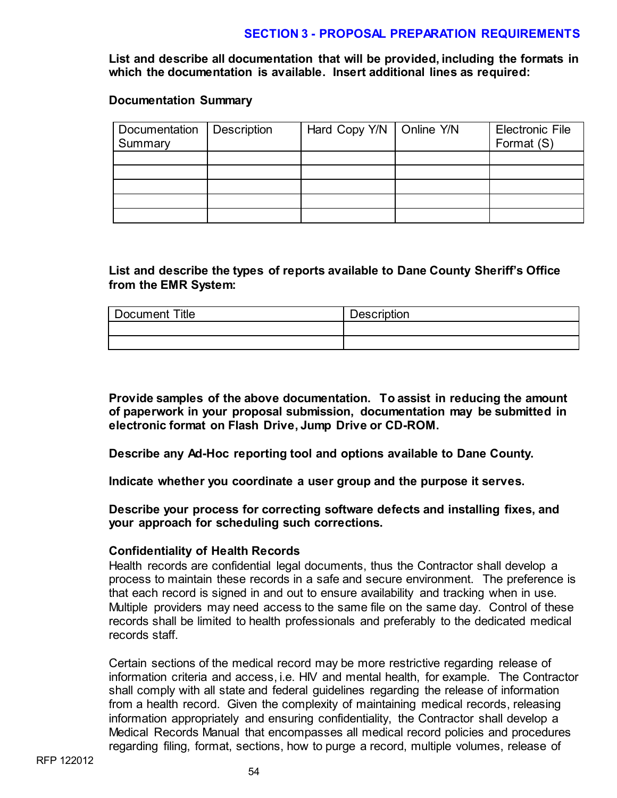**List and describe all documentation that will be provided, including the formats in which the documentation is available. Insert additional lines as required:** 

#### **Documentation Summary**

| Documentation   Description<br>Summary | Hard Copy Y/N   Online Y/N | <b>Electronic File</b><br>Format (S) |
|----------------------------------------|----------------------------|--------------------------------------|
|                                        |                            |                                      |
|                                        |                            |                                      |
|                                        |                            |                                      |
|                                        |                            |                                      |
|                                        |                            |                                      |

# **List and describe the types of reports available to Dane County Sheriff's Office from the EMR System:**

| Title<br>Document | <b>Description</b> |
|-------------------|--------------------|
|                   |                    |
|                   |                    |

**Provide samples of the above documentation. To assist in reducing the amount of paperwork in your proposal submission, documentation may be submitted in electronic format on Flash Drive, Jump Drive or CD-ROM.**

**Describe any Ad-Hoc reporting tool and options available to Dane County.**

**Indicate whether you coordinate a user group and the purpose it serves.**

**Describe your process for correcting software defects and installing fixes, and your approach for scheduling such corrections.**

#### **Confidentiality of Health Records**

Health records are confidential legal documents, thus the Contractor shall develop a process to maintain these records in a safe and secure environment. The preference is that each record is signed in and out to ensure availability and tracking when in use. Multiple providers may need access to the same file on the same day. Control of these records shall be limited to health professionals and preferably to the dedicated medical records staff.

Certain sections of the medical record may be more restrictive regarding release of information criteria and access, i.e. HIV and mental health, for example. The Contractor shall comply with all state and federal guidelines regarding the release of information from a health record. Given the complexity of maintaining medical records, releasing information appropriately and ensuring confidentiality, the Contractor shall develop a Medical Records Manual that encompasses all medical record policies and procedures regarding filing, format, sections, how to purge a record, multiple volumes, release of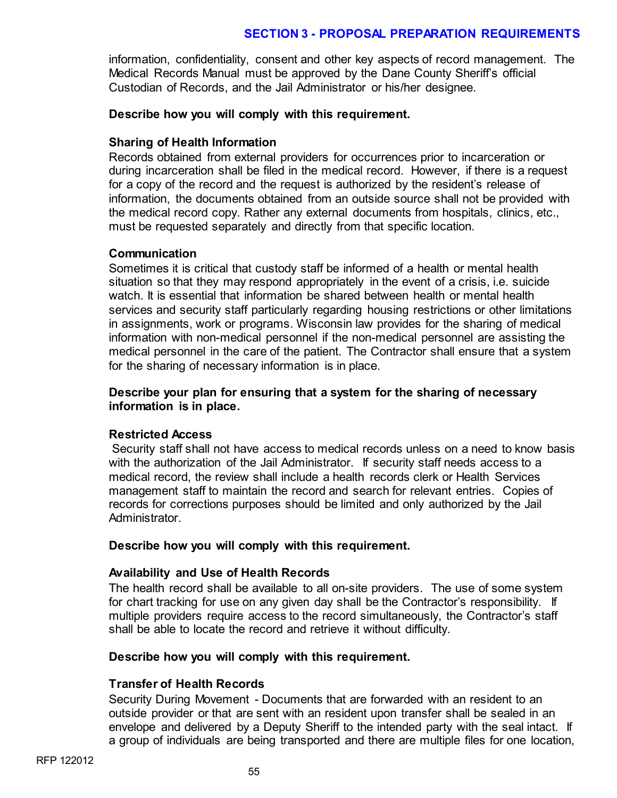information, confidentiality, consent and other key aspects of record management. The Medical Records Manual must be approved by the Dane County Sheriff's official Custodian of Records, and the Jail Administrator or his/her designee.

# **Describe how you will comply with this requirement.**

# **Sharing of Health Information**

Records obtained from external providers for occurrences prior to incarceration or during incarceration shall be filed in the medical record. However, if there is a request for a copy of the record and the request is authorized by the resident's release of information, the documents obtained from an outside source shall not be provided with the medical record copy. Rather any external documents from hospitals, clinics, etc., must be requested separately and directly from that specific location.

# **Communication**

Sometimes it is critical that custody staff be informed of a health or mental health situation so that they may respond appropriately in the event of a crisis, i.e. suicide watch. It is essential that information be shared between health or mental health services and security staff particularly regarding housing restrictions or other limitations in assignments, work or programs. Wisconsin law provides for the sharing of medical information with non-medical personnel if the non-medical personnel are assisting the medical personnel in the care of the patient. The Contractor shall ensure that a system for the sharing of necessary information is in place.

# **Describe your plan for ensuring that a system for the sharing of necessary information is in place.**

#### **Restricted Access**

Security staff shall not have access to medical records unless on a need to know basis with the authorization of the Jail Administrator. If security staff needs access to a medical record, the review shall include a health records clerk or Health Services management staff to maintain the record and search for relevant entries. Copies of records for corrections purposes should be limited and only authorized by the Jail Administrator.

#### **Describe how you will comply with this requirement.**

# **Availability and Use of Health Records**

The health record shall be available to all on-site providers. The use of some system for chart tracking for use on any given day shall be the Contractor's responsibility. If multiple providers require access to the record simultaneously, the Contractor's staff shall be able to locate the record and retrieve it without difficulty.

#### **Describe how you will comply with this requirement.**

# **Transfer of Health Records**

Security During Movement - Documents that are forwarded with an resident to an outside provider or that are sent with an resident upon transfer shall be sealed in an envelope and delivered by a Deputy Sheriff to the intended party with the seal intact. If a group of individuals are being transported and there are multiple files for one location,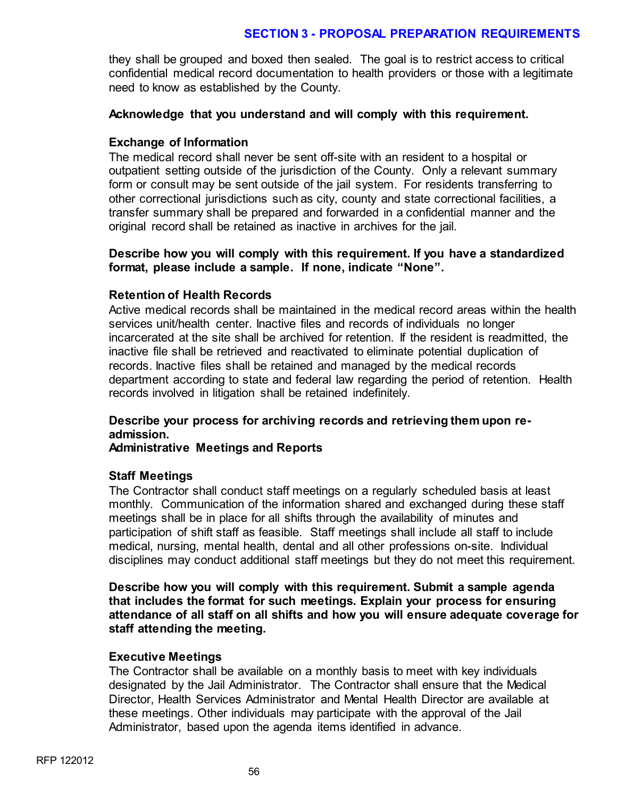they shall be grouped and boxed then sealed. The goal is to restrict access to critical confidential medical record documentation to health providers or those with a legitimate need to know as established by the County.

### **Acknowledge that you understand and will comply with this requirement.**

# **Exchange of Information**

The medical record shall never be sent off-site with an resident to a hospital or outpatient setting outside of the jurisdiction of the County. Only a relevant summary form or consult may be sent outside of the jail system. For residents transferring to other correctional jurisdictions such as city, county and state correctional facilities, a transfer summary shall be prepared and forwarded in a confidential manner and the original record shall be retained as inactive in archives for the jail.

# **Describe how you will comply with this requirement. If you have a standardized format, please include a sample. If none, indicate "None".**

# **Retention of Health Records**

Active medical records shall be maintained in the medical record areas within the health services unit/health center. Inactive files and records of individuals no longer incarcerated at the site shall be archived for retention. If the resident is readmitted, the inactive file shall be retrieved and reactivated to eliminate potential duplication of records. Inactive files shall be retained and managed by the medical records department according to state and federal law regarding the period of retention. Health records involved in litigation shall be retained indefinitely.

# **Describe your process for archiving records and retrieving them upon readmission.**

#### **Administrative Meetings and Reports**

#### **Staff Meetings**

The Contractor shall conduct staff meetings on a regularly scheduled basis at least monthly. Communication of the information shared and exchanged during these staff meetings shall be in place for all shifts through the availability of minutes and participation of shift staff as feasible. Staff meetings shall include all staff to include medical, nursing, mental health, dental and all other professions on-site. Individual disciplines may conduct additional staff meetings but they do not meet this requirement.

**Describe how you will comply with this requirement. Submit a sample agenda that includes the format for such meetings. Explain your process for ensuring attendance of all staff on all shifts and how you will ensure adequate coverage for staff attending the meeting.**

#### **Executive Meetings**

The Contractor shall be available on a monthly basis to meet with key individuals designated by the Jail Administrator. The Contractor shall ensure that the Medical Director, Health Services Administrator and Mental Health Director are available at these meetings. Other individuals may participate with the approval of the Jail Administrator, based upon the agenda items identified in advance.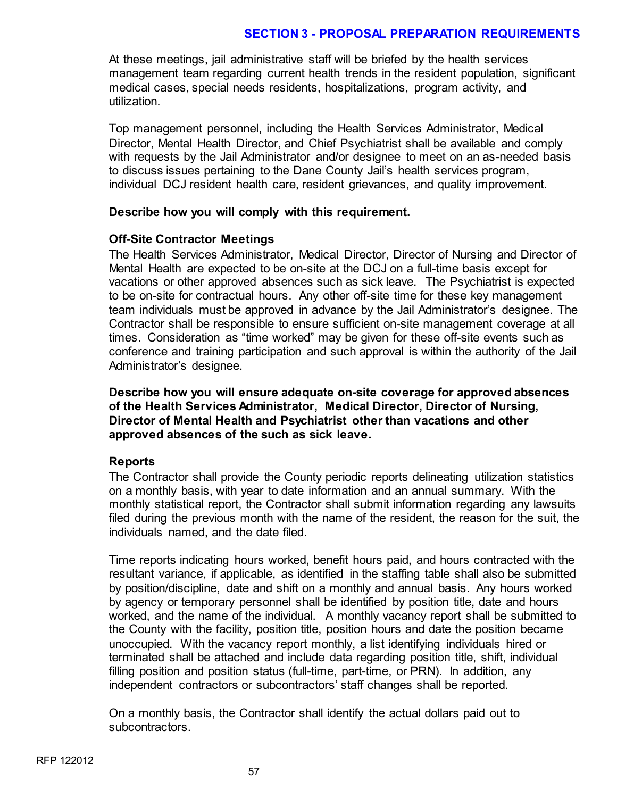At these meetings, jail administrative staff will be briefed by the health services management team regarding current health trends in the resident population, significant medical cases, special needs residents, hospitalizations, program activity, and utilization.

Top management personnel, including the Health Services Administrator, Medical Director, Mental Health Director, and Chief Psychiatrist shall be available and comply with requests by the Jail Administrator and/or designee to meet on an as-needed basis to discuss issues pertaining to the Dane County Jail's health services program, individual DCJ resident health care, resident grievances, and quality improvement.

#### **Describe how you will comply with this requirement.**

#### **Off-Site Contractor Meetings**

The Health Services Administrator, Medical Director, Director of Nursing and Director of Mental Health are expected to be on-site at the DCJ on a full-time basis except for vacations or other approved absences such as sick leave. The Psychiatrist is expected to be on-site for contractual hours. Any other off-site time for these key management team individuals must be approved in advance by the Jail Administrator's designee. The Contractor shall be responsible to ensure sufficient on-site management coverage at all times. Consideration as "time worked" may be given for these off-site events such as conference and training participation and such approval is within the authority of the Jail Administrator's designee.

**Describe how you will ensure adequate on-site coverage for approved absences of the Health Services Administrator, Medical Director, Director of Nursing, Director of Mental Health and Psychiatrist other than vacations and other approved absences of the such as sick leave.** 

# **Reports**

The Contractor shall provide the County periodic reports delineating utilization statistics on a monthly basis, with year to date information and an annual summary. With the monthly statistical report, the Contractor shall submit information regarding any lawsuits filed during the previous month with the name of the resident, the reason for the suit, the individuals named, and the date filed.

Time reports indicating hours worked, benefit hours paid, and hours contracted with the resultant variance, if applicable, as identified in the staffing table shall also be submitted by position/discipline, date and shift on a monthly and annual basis. Any hours worked by agency or temporary personnel shall be identified by position title, date and hours worked, and the name of the individual. A monthly vacancy report shall be submitted to the County with the facility, position title, position hours and date the position became unoccupied. With the vacancy report monthly, a list identifying individuals hired or terminated shall be attached and include data regarding position title, shift, individual filling position and position status (full-time, part-time, or PRN). In addition, any independent contractors or subcontractors' staff changes shall be reported.

On a monthly basis, the Contractor shall identify the actual dollars paid out to subcontractors.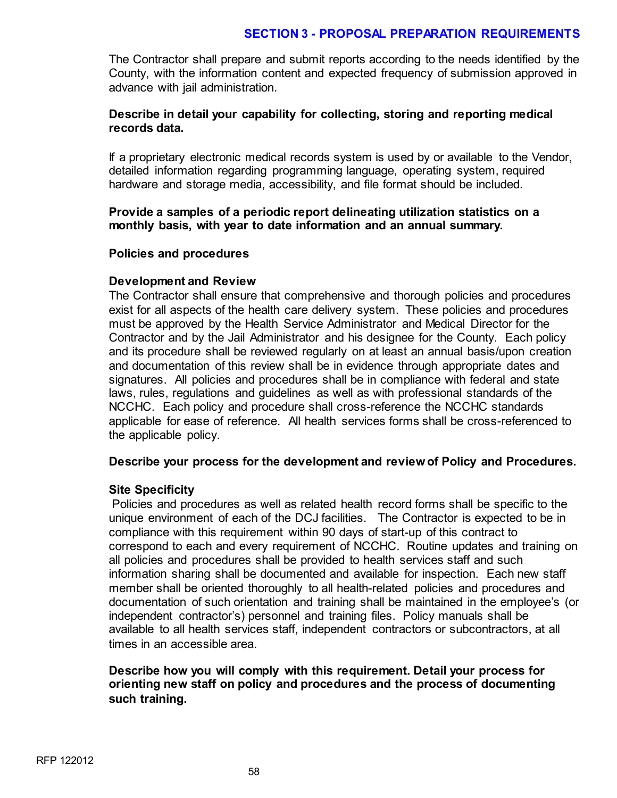The Contractor shall prepare and submit reports according to the needs identified by the County, with the information content and expected frequency of submission approved in advance with jail administration.

### **Describe in detail your capability for collecting, storing and reporting medical records data.**

If a proprietary electronic medical records system is used by or available to the Vendor, detailed information regarding programming language, operating system, required hardware and storage media, accessibility, and file format should be included.

**Provide a samples of a periodic report delineating utilization statistics on a monthly basis, with year to date information and an annual summary.** 

#### **Policies and procedures**

# **Development and Review**

The Contractor shall ensure that comprehensive and thorough policies and procedures exist for all aspects of the health care delivery system. These policies and procedures must be approved by the Health Service Administrator and Medical Director for the Contractor and by the Jail Administrator and his designee for the County. Each policy and its procedure shall be reviewed regularly on at least an annual basis/upon creation and documentation of this review shall be in evidence through appropriate dates and signatures. All policies and procedures shall be in compliance with federal and state laws, rules, regulations and guidelines as well as with professional standards of the NCCHC. Each policy and procedure shall cross-reference the NCCHC standards applicable for ease of reference. All health services forms shall be cross-referenced to the applicable policy.

#### **Describe your process for the development and review of Policy and Procedures.**

#### **Site Specificity**

Policies and procedures as well as related health record forms shall be specific to the unique environment of each of the DCJ facilities. The Contractor is expected to be in compliance with this requirement within 90 days of start-up of this contract to correspond to each and every requirement of NCCHC. Routine updates and training on all policies and procedures shall be provided to health services staff and such information sharing shall be documented and available for inspection. Each new staff member shall be oriented thoroughly to all health-related policies and procedures and documentation of such orientation and training shall be maintained in the employee's (or independent contractor's) personnel and training files. Policy manuals shall be available to all health services staff, independent contractors or subcontractors, at all times in an accessible area.

**Describe how you will comply with this requirement. Detail your process for orienting new staff on policy and procedures and the process of documenting such training.**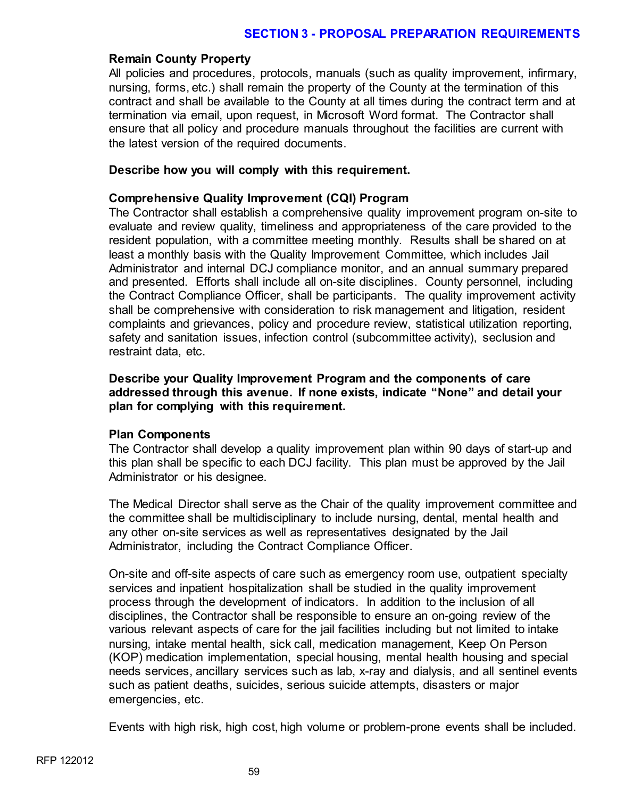### **Remain County Property**

All policies and procedures, protocols, manuals (such as quality improvement, infirmary, nursing, forms, etc.) shall remain the property of the County at the termination of this contract and shall be available to the County at all times during the contract term and at termination via email, upon request, in Microsoft Word format. The Contractor shall ensure that all policy and procedure manuals throughout the facilities are current with the latest version of the required documents.

### **Describe how you will comply with this requirement.**

# **Comprehensive Quality Improvement (CQI) Program**

The Contractor shall establish a comprehensive quality improvement program on-site to evaluate and review quality, timeliness and appropriateness of the care provided to the resident population, with a committee meeting monthly. Results shall be shared on at least a monthly basis with the Quality Improvement Committee, which includes Jail Administrator and internal DCJ compliance monitor, and an annual summary prepared and presented. Efforts shall include all on-site disciplines. County personnel, including the Contract Compliance Officer, shall be participants. The quality improvement activity shall be comprehensive with consideration to risk management and litigation, resident complaints and grievances, policy and procedure review, statistical utilization reporting, safety and sanitation issues, infection control (subcommittee activity), seclusion and restraint data, etc.

**Describe your Quality Improvement Program and the components of care addressed through this avenue. If none exists, indicate "None" and detail your plan for complying with this requirement.**

#### **Plan Components**

The Contractor shall develop a quality improvement plan within 90 days of start-up and this plan shall be specific to each DCJ facility. This plan must be approved by the Jail Administrator or his designee.

The Medical Director shall serve as the Chair of the quality improvement committee and the committee shall be multidisciplinary to include nursing, dental, mental health and any other on-site services as well as representatives designated by the Jail Administrator, including the Contract Compliance Officer.

On-site and off-site aspects of care such as emergency room use, outpatient specialty services and inpatient hospitalization shall be studied in the quality improvement process through the development of indicators. In addition to the inclusion of all disciplines, the Contractor shall be responsible to ensure an on-going review of the various relevant aspects of care for the jail facilities including but not limited to intake nursing, intake mental health, sick call, medication management, Keep On Person (KOP) medication implementation, special housing, mental health housing and special needs services, ancillary services such as lab, x-ray and dialysis, and all sentinel events such as patient deaths, suicides, serious suicide attempts, disasters or major emergencies, etc.

Events with high risk, high cost, high volume or problem-prone events shall be included.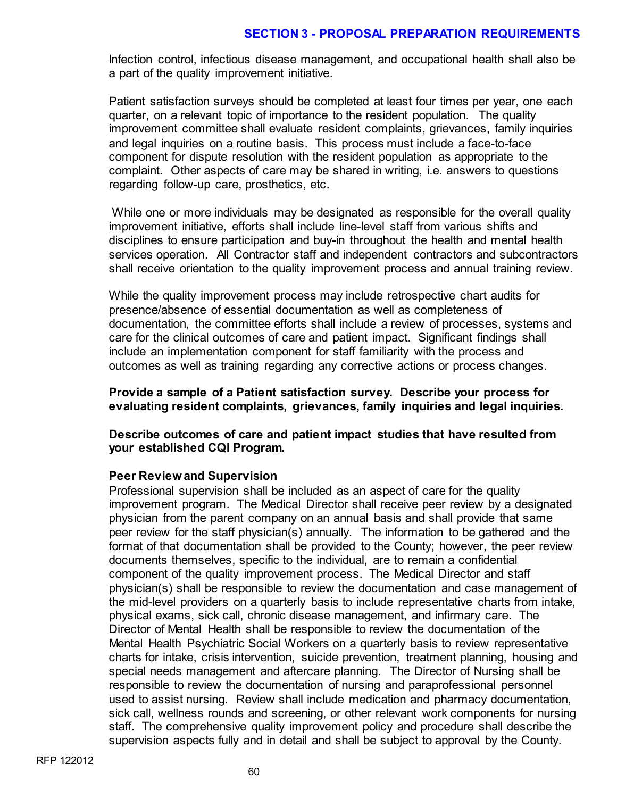Infection control, infectious disease management, and occupational health shall also be a part of the quality improvement initiative.

Patient satisfaction surveys should be completed at least four times per year, one each quarter, on a relevant topic of importance to the resident population. The quality improvement committee shall evaluate resident complaints, grievances, family inquiries and legal inquiries on a routine basis. This process must include a face-to-face component for dispute resolution with the resident population as appropriate to the complaint. Other aspects of care may be shared in writing, i.e. answers to questions regarding follow-up care, prosthetics, etc.

While one or more individuals may be designated as responsible for the overall quality improvement initiative, efforts shall include line-level staff from various shifts and disciplines to ensure participation and buy-in throughout the health and mental health services operation. All Contractor staff and independent contractors and subcontractors shall receive orientation to the quality improvement process and annual training review.

While the quality improvement process may include retrospective chart audits for presence/absence of essential documentation as well as completeness of documentation, the committee efforts shall include a review of processes, systems and care for the clinical outcomes of care and patient impact. Significant findings shall include an implementation component for staff familiarity with the process and outcomes as well as training regarding any corrective actions or process changes.

**Provide a sample of a Patient satisfaction survey. Describe your process for evaluating resident complaints, grievances, family inquiries and legal inquiries.** 

**Describe outcomes of care and patient impact studies that have resulted from your established CQI Program.** 

# **Peer Review and Supervision**

Professional supervision shall be included as an aspect of care for the quality improvement program. The Medical Director shall receive peer review by a designated physician from the parent company on an annual basis and shall provide that same peer review for the staff physician(s) annually. The information to be gathered and the format of that documentation shall be provided to the County; however, the peer review documents themselves, specific to the individual, are to remain a confidential component of the quality improvement process. The Medical Director and staff physician(s) shall be responsible to review the documentation and case management of the mid-level providers on a quarterly basis to include representative charts from intake, physical exams, sick call, chronic disease management, and infirmary care. The Director of Mental Health shall be responsible to review the documentation of the Mental Health Psychiatric Social Workers on a quarterly basis to review representative charts for intake, crisis intervention, suicide prevention, treatment planning, housing and special needs management and aftercare planning. The Director of Nursing shall be responsible to review the documentation of nursing and paraprofessional personnel used to assist nursing. Review shall include medication and pharmacy documentation, sick call, wellness rounds and screening, or other relevant work components for nursing staff. The comprehensive quality improvement policy and procedure shall describe the supervision aspects fully and in detail and shall be subject to approval by the County.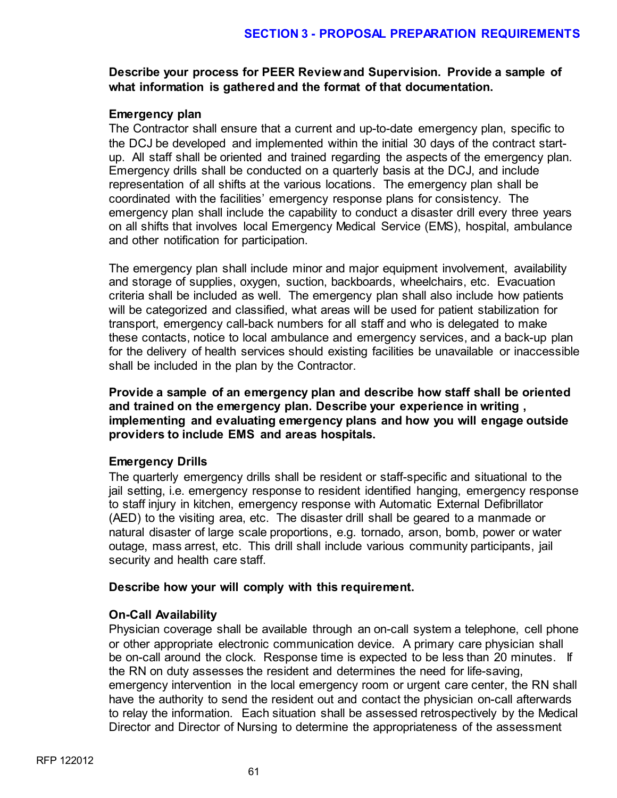# **Describe your process for PEER Review and Supervision. Provide a sample of what information is gathered and the format of that documentation.**

# **Emergency plan**

The Contractor shall ensure that a current and up-to-date emergency plan, specific to the DCJ be developed and implemented within the initial 30 days of the contract startup. All staff shall be oriented and trained regarding the aspects of the emergency plan. Emergency drills shall be conducted on a quarterly basis at the DCJ, and include representation of all shifts at the various locations. The emergency plan shall be coordinated with the facilities' emergency response plans for consistency. The emergency plan shall include the capability to conduct a disaster drill every three years on all shifts that involves local Emergency Medical Service (EMS), hospital, ambulance and other notification for participation.

The emergency plan shall include minor and major equipment involvement, availability and storage of supplies, oxygen, suction, backboards, wheelchairs, etc. Evacuation criteria shall be included as well. The emergency plan shall also include how patients will be categorized and classified, what areas will be used for patient stabilization for transport, emergency call-back numbers for all staff and who is delegated to make these contacts, notice to local ambulance and emergency services, and a back-up plan for the delivery of health services should existing facilities be unavailable or inaccessible shall be included in the plan by the Contractor.

**Provide a sample of an emergency plan and describe how staff shall be oriented and trained on the emergency plan. Describe your experience in writing , implementing and evaluating emergency plans and how you will engage outside providers to include EMS and areas hospitals.**

# **Emergency Drills**

The quarterly emergency drills shall be resident or staff-specific and situational to the jail setting, i.e. emergency response to resident identified hanging, emergency response to staff injury in kitchen, emergency response with Automatic External Defibrillator (AED) to the visiting area, etc. The disaster drill shall be geared to a manmade or natural disaster of large scale proportions, e.g. tornado, arson, bomb, power or water outage, mass arrest, etc. This drill shall include various community participants, jail security and health care staff.

#### **Describe how your will comply with this requirement.**

# **On-Call Availability**

Physician coverage shall be available through an on-call system a telephone, cell phone or other appropriate electronic communication device. A primary care physician shall be on-call around the clock. Response time is expected to be less than 20 minutes. If the RN on duty assesses the resident and determines the need for life-saving, emergency intervention in the local emergency room or urgent care center, the RN shall have the authority to send the resident out and contact the physician on-call afterwards to relay the information. Each situation shall be assessed retrospectively by the Medical Director and Director of Nursing to determine the appropriateness of the assessment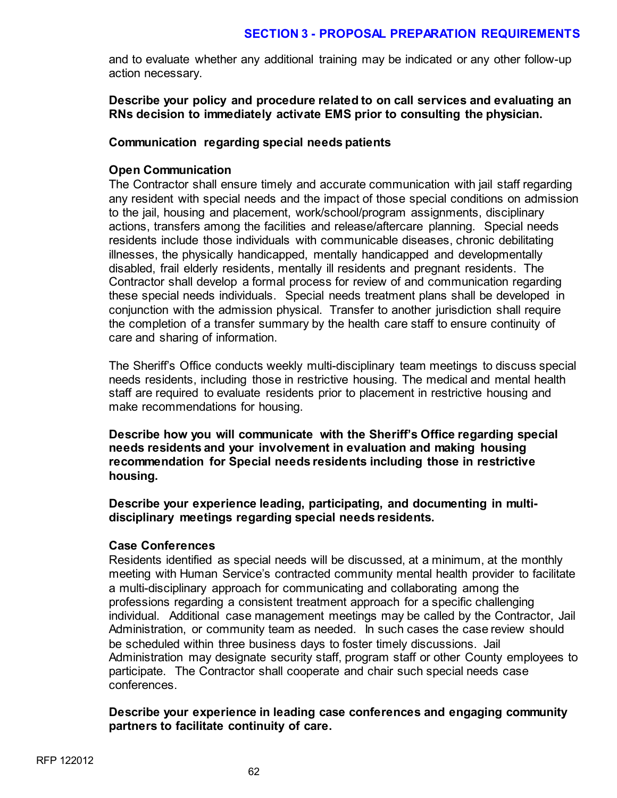and to evaluate whether any additional training may be indicated or any other follow-up action necessary.

**Describe your policy and procedure related to on call services and evaluating an RNs decision to immediately activate EMS prior to consulting the physician.** 

### **Communication regarding special needs patients**

# **Open Communication**

The Contractor shall ensure timely and accurate communication with jail staff regarding any resident with special needs and the impact of those special conditions on admission to the jail, housing and placement, work/school/program assignments, disciplinary actions, transfers among the facilities and release/aftercare planning. Special needs residents include those individuals with communicable diseases, chronic debilitating illnesses, the physically handicapped, mentally handicapped and developmentally disabled, frail elderly residents, mentally ill residents and pregnant residents. The Contractor shall develop a formal process for review of and communication regarding these special needs individuals. Special needs treatment plans shall be developed in conjunction with the admission physical. Transfer to another jurisdiction shall require the completion of a transfer summary by the health care staff to ensure continuity of care and sharing of information.

The Sheriff's Office conducts weekly multi-disciplinary team meetings to discuss special needs residents, including those in restrictive housing. The medical and mental health staff are required to evaluate residents prior to placement in restrictive housing and make recommendations for housing.

**Describe how you will communicate with the Sheriff's Office regarding special needs residents and your involvement in evaluation and making housing recommendation for Special needs residents including those in restrictive housing.** 

**Describe your experience leading, participating, and documenting in multidisciplinary meetings regarding special needs residents.** 

#### **Case Conferences**

Residents identified as special needs will be discussed, at a minimum, at the monthly meeting with Human Service's contracted community mental health provider to facilitate a multi-disciplinary approach for communicating and collaborating among the professions regarding a consistent treatment approach for a specific challenging individual. Additional case management meetings may be called by the Contractor, Jail Administration, or community team as needed. In such cases the case review should be scheduled within three business days to foster timely discussions. Jail Administration may designate security staff, program staff or other County employees to participate. The Contractor shall cooperate and chair such special needs case conferences.

#### **Describe your experience in leading case conferences and engaging community partners to facilitate continuity of care.**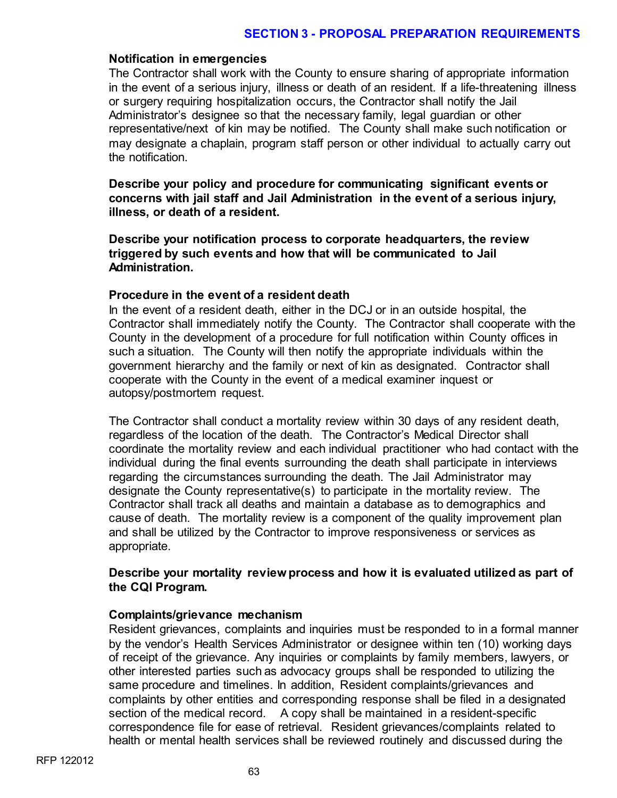#### **Notification in emergencies**

The Contractor shall work with the County to ensure sharing of appropriate information in the event of a serious injury, illness or death of an resident. If a life-threatening illness or surgery requiring hospitalization occurs, the Contractor shall notify the Jail Administrator's designee so that the necessary family, legal guardian or other representative/next of kin may be notified. The County shall make such notification or may designate a chaplain, program staff person or other individual to actually carry out the notification.

**Describe your policy and procedure for communicating significant events or concerns with jail staff and Jail Administration in the event of a serious injury, illness, or death of a resident.** 

**Describe your notification process to corporate headquarters, the review triggered by such events and how that will be communicated to Jail Administration.**

#### **Procedure in the event of a resident death**

In the event of a resident death, either in the DCJ or in an outside hospital, the Contractor shall immediately notify the County. The Contractor shall cooperate with the County in the development of a procedure for full notification within County offices in such a situation. The County will then notify the appropriate individuals within the government hierarchy and the family or next of kin as designated. Contractor shall cooperate with the County in the event of a medical examiner inquest or autopsy/postmortem request.

The Contractor shall conduct a mortality review within 30 days of any resident death, regardless of the location of the death. The Contractor's Medical Director shall coordinate the mortality review and each individual practitioner who had contact with the individual during the final events surrounding the death shall participate in interviews regarding the circumstances surrounding the death. The Jail Administrator may designate the County representative(s) to participate in the mortality review. The Contractor shall track all deaths and maintain a database as to demographics and cause of death. The mortality review is a component of the quality improvement plan and shall be utilized by the Contractor to improve responsiveness or services as appropriate.

# **Describe your mortality review process and how it is evaluated utilized as part of the CQI Program.**

#### **Complaints/grievance mechanism**

Resident grievances, complaints and inquiries must be responded to in a formal manner by the vendor's Health Services Administrator or designee within ten (10) working days of receipt of the grievance. Any inquiries or complaints by family members, lawyers, or other interested parties such as advocacy groups shall be responded to utilizing the same procedure and timelines. In addition, Resident complaints/grievances and complaints by other entities and corresponding response shall be filed in a designated section of the medical record. A copy shall be maintained in a resident-specific correspondence file for ease of retrieval. Resident grievances/complaints related to health or mental health services shall be reviewed routinely and discussed during the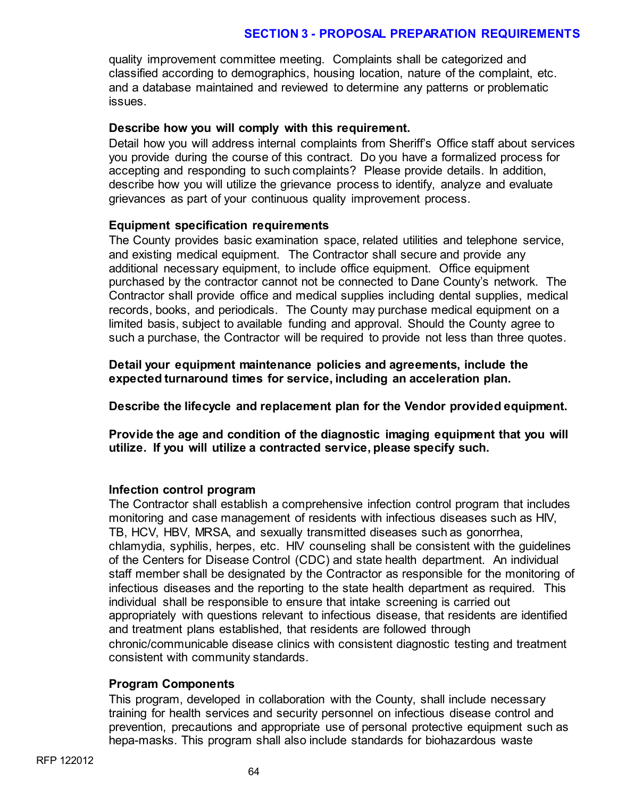quality improvement committee meeting. Complaints shall be categorized and classified according to demographics, housing location, nature of the complaint, etc. and a database maintained and reviewed to determine any patterns or problematic issues.

### **Describe how you will comply with this requirement.**

Detail how you will address internal complaints from Sheriff's Office staff about services you provide during the course of this contract. Do you have a formalized process for accepting and responding to such complaints? Please provide details. In addition, describe how you will utilize the grievance process to identify, analyze and evaluate grievances as part of your continuous quality improvement process.

# **Equipment specification requirements**

The County provides basic examination space, related utilities and telephone service, and existing medical equipment. The Contractor shall secure and provide any additional necessary equipment, to include office equipment. Office equipment purchased by the contractor cannot not be connected to Dane County's network. The Contractor shall provide office and medical supplies including dental supplies, medical records, books, and periodicals. The County may purchase medical equipment on a limited basis, subject to available funding and approval. Should the County agree to such a purchase, the Contractor will be required to provide not less than three quotes.

**Detail your equipment maintenance policies and agreements, include the expected turnaround times for service, including an acceleration plan.**

**Describe the lifecycle and replacement plan for the Vendor provided equipment.**

**Provide the age and condition of the diagnostic imaging equipment that you will utilize. If you will utilize a contracted service, please specify such.** 

# **Infection control program**

The Contractor shall establish a comprehensive infection control program that includes monitoring and case management of residents with infectious diseases such as HIV, TB, HCV, HBV, MRSA, and sexually transmitted diseases such as gonorrhea, chlamydia, syphilis, herpes, etc. HIV counseling shall be consistent with the guidelines of the Centers for Disease Control (CDC) and state health department. An individual staff member shall be designated by the Contractor as responsible for the monitoring of infectious diseases and the reporting to the state health department as required. This individual shall be responsible to ensure that intake screening is carried out appropriately with questions relevant to infectious disease, that residents are identified and treatment plans established, that residents are followed through chronic/communicable disease clinics with consistent diagnostic testing and treatment consistent with community standards.

#### **Program Components**

This program, developed in collaboration with the County, shall include necessary training for health services and security personnel on infectious disease control and prevention, precautions and appropriate use of personal protective equipment such as hepa-masks. This program shall also include standards for biohazardous waste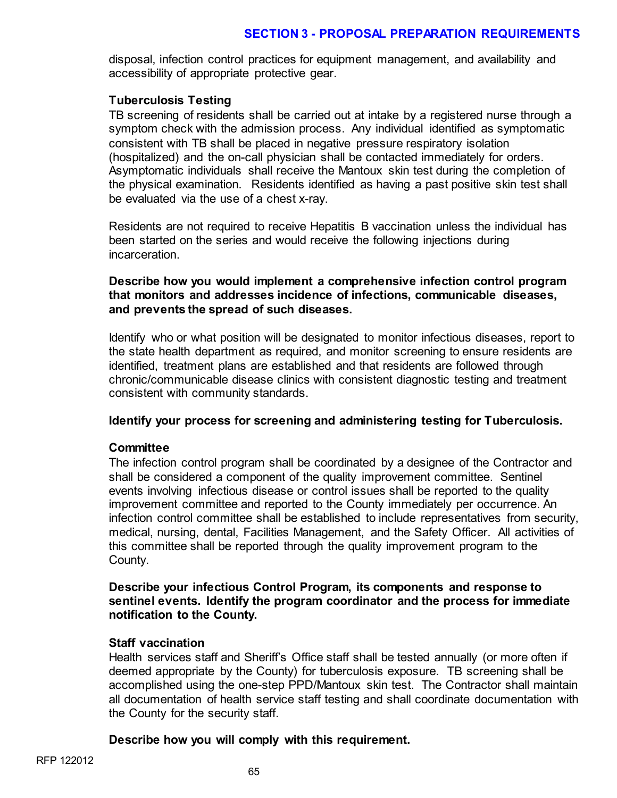disposal, infection control practices for equipment management, and availability and accessibility of appropriate protective gear.

### **Tuberculosis Testing**

TB screening of residents shall be carried out at intake by a registered nurse through a symptom check with the admission process. Any individual identified as symptomatic consistent with TB shall be placed in negative pressure respiratory isolation (hospitalized) and the on-call physician shall be contacted immediately for orders. Asymptomatic individuals shall receive the Mantoux skin test during the completion of the physical examination. Residents identified as having a past positive skin test shall be evaluated via the use of a chest x-ray.

Residents are not required to receive Hepatitis B vaccination unless the individual has been started on the series and would receive the following injections during incarceration.

# **Describe how you would implement a comprehensive infection control program that monitors and addresses incidence of infections, communicable diseases, and prevents the spread of such diseases.**

Identify who or what position will be designated to monitor infectious diseases, report to the state health department as required, and monitor screening to ensure residents are identified, treatment plans are established and that residents are followed through chronic/communicable disease clinics with consistent diagnostic testing and treatment consistent with community standards.

#### **Identify your process for screening and administering testing for Tuberculosis.**

# **Committee**

The infection control program shall be coordinated by a designee of the Contractor and shall be considered a component of the quality improvement committee. Sentinel events involving infectious disease or control issues shall be reported to the quality improvement committee and reported to the County immediately per occurrence. An infection control committee shall be established to include representatives from security, medical, nursing, dental, Facilities Management, and the Safety Officer. All activities of this committee shall be reported through the quality improvement program to the County.

# **Describe your infectious Control Program, its components and response to sentinel events. Identify the program coordinator and the process for immediate notification to the County.**

# **Staff vaccination**

Health services staff and Sheriff's Office staff shall be tested annually (or more often if deemed appropriate by the County) for tuberculosis exposure. TB screening shall be accomplished using the one-step PPD/Mantoux skin test. The Contractor shall maintain all documentation of health service staff testing and shall coordinate documentation with the County for the security staff.

#### **Describe how you will comply with this requirement.**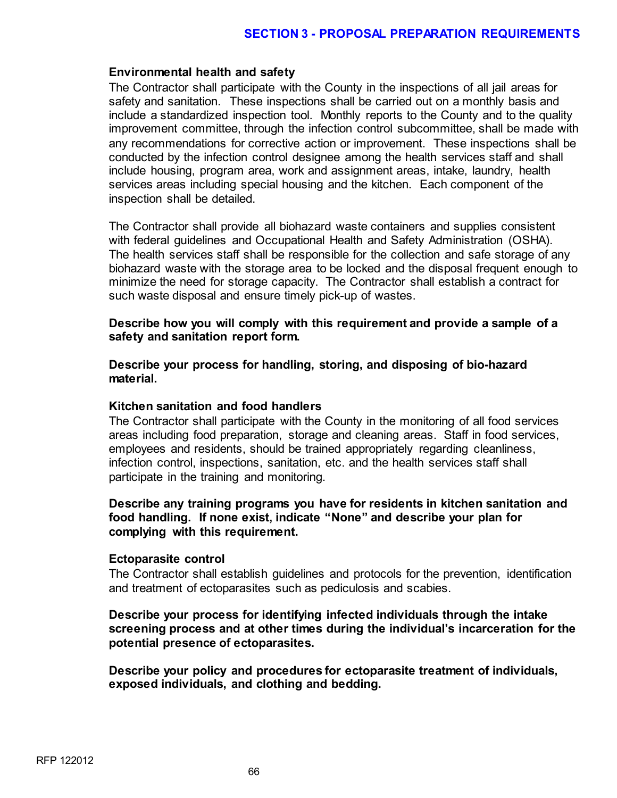#### **Environmental health and safety**

The Contractor shall participate with the County in the inspections of all jail areas for safety and sanitation. These inspections shall be carried out on a monthly basis and include a standardized inspection tool. Monthly reports to the County and to the quality improvement committee, through the infection control subcommittee, shall be made with any recommendations for corrective action or improvement. These inspections shall be conducted by the infection control designee among the health services staff and shall include housing, program area, work and assignment areas, intake, laundry, health services areas including special housing and the kitchen. Each component of the inspection shall be detailed.

The Contractor shall provide all biohazard waste containers and supplies consistent with federal guidelines and Occupational Health and Safety Administration (OSHA). The health services staff shall be responsible for the collection and safe storage of any biohazard waste with the storage area to be locked and the disposal frequent enough to minimize the need for storage capacity. The Contractor shall establish a contract for such waste disposal and ensure timely pick-up of wastes.

#### **Describe how you will comply with this requirement and provide a sample of a safety and sanitation report form.**

**Describe your process for handling, storing, and disposing of bio-hazard material.** 

#### **Kitchen sanitation and food handlers**

The Contractor shall participate with the County in the monitoring of all food services areas including food preparation, storage and cleaning areas. Staff in food services, employees and residents, should be trained appropriately regarding cleanliness, infection control, inspections, sanitation, etc. and the health services staff shall participate in the training and monitoring.

#### **Describe any training programs you have for residents in kitchen sanitation and food handling. If none exist, indicate "None" and describe your plan for complying with this requirement.**

#### **Ectoparasite control**

The Contractor shall establish guidelines and protocols for the prevention, identification and treatment of ectoparasites such as pediculosis and scabies.

# **Describe your process for identifying infected individuals through the intake screening process and at other times during the individual's incarceration for the potential presence of ectoparasites.**

**Describe your policy and procedures for ectoparasite treatment of individuals, exposed individuals, and clothing and bedding.**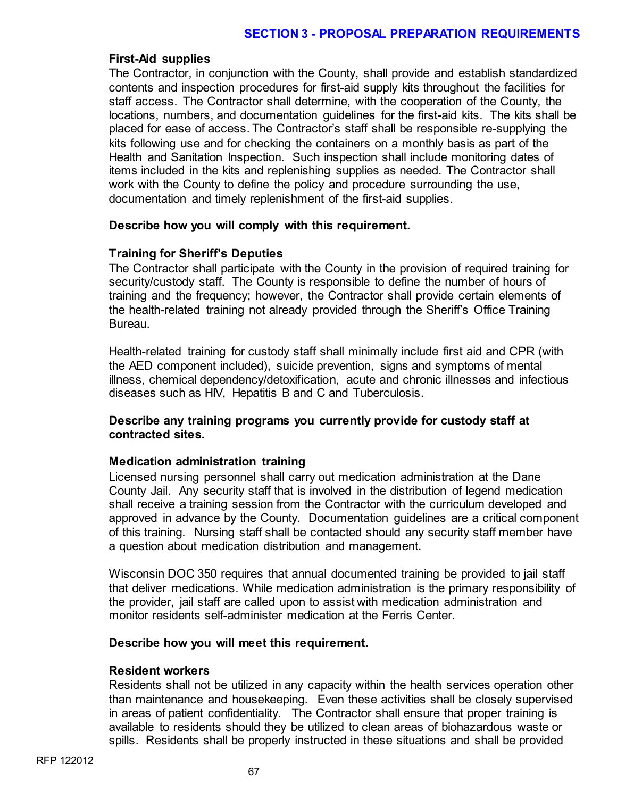### **First-Aid supplies**

The Contractor, in conjunction with the County, shall provide and establish standardized contents and inspection procedures for first-aid supply kits throughout the facilities for staff access. The Contractor shall determine, with the cooperation of the County, the locations, numbers, and documentation guidelines for the first-aid kits. The kits shall be placed for ease of access. The Contractor's staff shall be responsible re-supplying the kits following use and for checking the containers on a monthly basis as part of the Health and Sanitation Inspection. Such inspection shall include monitoring dates of items included in the kits and replenishing supplies as needed. The Contractor shall work with the County to define the policy and procedure surrounding the use, documentation and timely replenishment of the first-aid supplies.

#### **Describe how you will comply with this requirement.**

# **Training for Sheriff's Deputies**

The Contractor shall participate with the County in the provision of required training for security/custody staff. The County is responsible to define the number of hours of training and the frequency; however, the Contractor shall provide certain elements of the health-related training not already provided through the Sheriff's Office Training Bureau.

Health-related training for custody staff shall minimally include first aid and CPR (with the AED component included), suicide prevention, signs and symptoms of mental illness, chemical dependency/detoxification, acute and chronic illnesses and infectious diseases such as HIV, Hepatitis B and C and Tuberculosis.

# **Describe any training programs you currently provide for custody staff at contracted sites.**

# **Medication administration training**

Licensed nursing personnel shall carry out medication administration at the Dane County Jail. Any security staff that is involved in the distribution of legend medication shall receive a training session from the Contractor with the curriculum developed and approved in advance by the County. Documentation guidelines are a critical component of this training. Nursing staff shall be contacted should any security staff member have a question about medication distribution and management.

Wisconsin DOC 350 requires that annual documented training be provided to jail staff that deliver medications. While medication administration is the primary responsibility of the provider, jail staff are called upon to assist with medication administration and monitor residents self-administer medication at the Ferris Center.

#### **Describe how you will meet this requirement.**

#### **Resident workers**

Residents shall not be utilized in any capacity within the health services operation other than maintenance and housekeeping. Even these activities shall be closely supervised in areas of patient confidentiality. The Contractor shall ensure that proper training is available to residents should they be utilized to clean areas of biohazardous waste or spills. Residents shall be properly instructed in these situations and shall be provided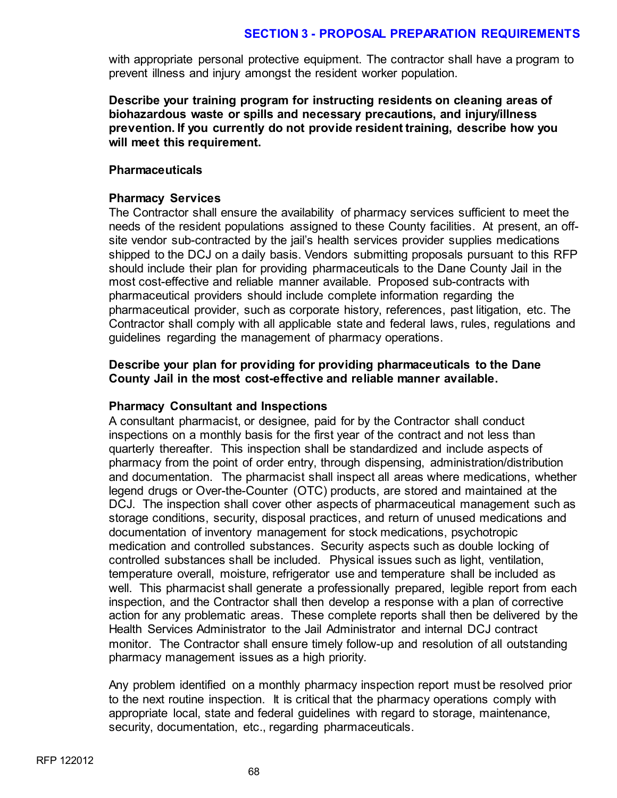with appropriate personal protective equipment. The contractor shall have a program to prevent illness and injury amongst the resident worker population.

**Describe your training program for instructing residents on cleaning areas of biohazardous waste or spills and necessary precautions, and injury/illness prevention. If you currently do not provide resident training, describe how you will meet this requirement.**

#### **Pharmaceuticals**

### **Pharmacy Services**

The Contractor shall ensure the availability of pharmacy services sufficient to meet the needs of the resident populations assigned to these County facilities. At present, an offsite vendor sub-contracted by the jail's health services provider supplies medications shipped to the DCJ on a daily basis. Vendors submitting proposals pursuant to this RFP should include their plan for providing pharmaceuticals to the Dane County Jail in the most cost-effective and reliable manner available. Proposed sub-contracts with pharmaceutical providers should include complete information regarding the pharmaceutical provider, such as corporate history, references, past litigation, etc. The Contractor shall comply with all applicable state and federal laws, rules, regulations and guidelines regarding the management of pharmacy operations.

# **Describe your plan for providing for providing pharmaceuticals to the Dane County Jail in the most cost-effective and reliable manner available.**

#### **Pharmacy Consultant and Inspections**

A consultant pharmacist, or designee, paid for by the Contractor shall conduct inspections on a monthly basis for the first year of the contract and not less than quarterly thereafter. This inspection shall be standardized and include aspects of pharmacy from the point of order entry, through dispensing, administration/distribution and documentation. The pharmacist shall inspect all areas where medications, whether legend drugs or Over-the-Counter (OTC) products, are stored and maintained at the DCJ. The inspection shall cover other aspects of pharmaceutical management such as storage conditions, security, disposal practices, and return of unused medications and documentation of inventory management for stock medications, psychotropic medication and controlled substances. Security aspects such as double locking of controlled substances shall be included. Physical issues such as light, ventilation, temperature overall, moisture, refrigerator use and temperature shall be included as well. This pharmacist shall generate a professionally prepared, legible report from each inspection, and the Contractor shall then develop a response with a plan of corrective action for any problematic areas. These complete reports shall then be delivered by the Health Services Administrator to the Jail Administrator and internal DCJ contract monitor. The Contractor shall ensure timely follow-up and resolution of all outstanding pharmacy management issues as a high priority.

Any problem identified on a monthly pharmacy inspection report must be resolved prior to the next routine inspection. It is critical that the pharmacy operations comply with appropriate local, state and federal guidelines with regard to storage, maintenance, security, documentation, etc., regarding pharmaceuticals.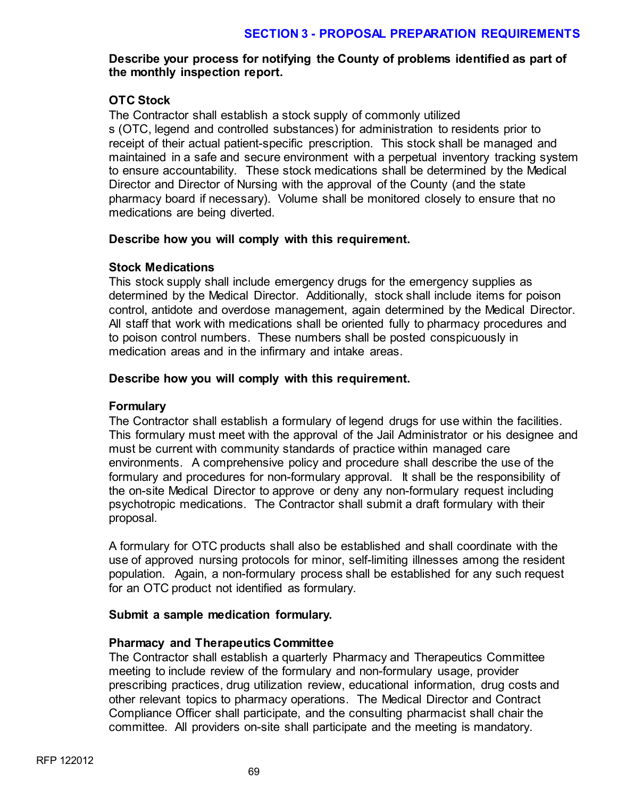# **Describe your process for notifying the County of problems identified as part of the monthly inspection report.**

# **OTC Stock**

The Contractor shall establish a stock supply of commonly utilized s (OTC, legend and controlled substances) for administration to residents prior to receipt of their actual patient-specific prescription. This stock shall be managed and maintained in a safe and secure environment with a perpetual inventory tracking system to ensure accountability. These stock medications shall be determined by the Medical Director and Director of Nursing with the approval of the County (and the state pharmacy board if necessary). Volume shall be monitored closely to ensure that no medications are being diverted.

# **Describe how you will comply with this requirement.**

# **Stock Medications**

This stock supply shall include emergency drugs for the emergency supplies as determined by the Medical Director. Additionally, stock shall include items for poison control, antidote and overdose management, again determined by the Medical Director. All staff that work with medications shall be oriented fully to pharmacy procedures and to poison control numbers. These numbers shall be posted conspicuously in medication areas and in the infirmary and intake areas.

# **Describe how you will comply with this requirement.**

# **Formulary**

The Contractor shall establish a formulary of legend drugs for use within the facilities. This formulary must meet with the approval of the Jail Administrator or his designee and must be current with community standards of practice within managed care environments. A comprehensive policy and procedure shall describe the use of the formulary and procedures for non-formulary approval. It shall be the responsibility of the on-site Medical Director to approve or deny any non-formulary request including psychotropic medications. The Contractor shall submit a draft formulary with their proposal.

A formulary for OTC products shall also be established and shall coordinate with the use of approved nursing protocols for minor, self-limiting illnesses among the resident population. Again, a non-formulary process shall be established for any such request for an OTC product not identified as formulary.

# **Submit a sample medication formulary.**

# **Pharmacy and Therapeutics Committee**

The Contractor shall establish a quarterly Pharmacy and Therapeutics Committee meeting to include review of the formulary and non-formulary usage, provider prescribing practices, drug utilization review, educational information, drug costs and other relevant topics to pharmacy operations. The Medical Director and Contract Compliance Officer shall participate, and the consulting pharmacist shall chair the committee. All providers on-site shall participate and the meeting is mandatory.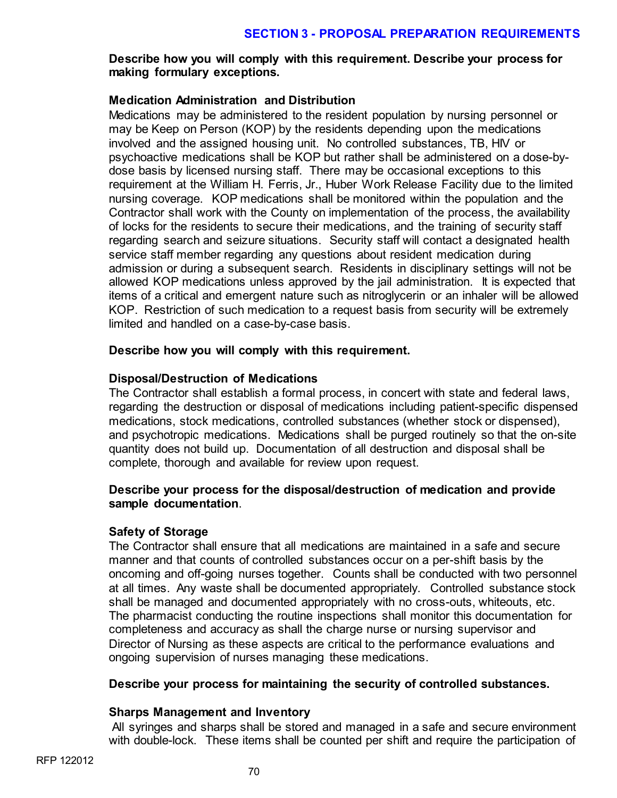# **Describe how you will comply with this requirement. Describe your process for making formulary exceptions.**

# **Medication Administration and Distribution**

Medications may be administered to the resident population by nursing personnel or may be Keep on Person (KOP) by the residents depending upon the medications involved and the assigned housing unit. No controlled substances, TB, HIV or psychoactive medications shall be KOP but rather shall be administered on a dose-bydose basis by licensed nursing staff. There may be occasional exceptions to this requirement at the William H. Ferris, Jr., Huber Work Release Facility due to the limited nursing coverage. KOP medications shall be monitored within the population and the Contractor shall work with the County on implementation of the process, the availability of locks for the residents to secure their medications, and the training of security staff regarding search and seizure situations. Security staff will contact a designated health service staff member regarding any questions about resident medication during admission or during a subsequent search. Residents in disciplinary settings will not be allowed KOP medications unless approved by the jail administration. It is expected that items of a critical and emergent nature such as nitroglycerin or an inhaler will be allowed KOP. Restriction of such medication to a request basis from security will be extremely limited and handled on a case-by-case basis.

# **Describe how you will comply with this requirement.**

# **Disposal/Destruction of Medications**

The Contractor shall establish a formal process, in concert with state and federal laws, regarding the destruction or disposal of medications including patient-specific dispensed medications, stock medications, controlled substances (whether stock or dispensed), and psychotropic medications. Medications shall be purged routinely so that the on-site quantity does not build up. Documentation of all destruction and disposal shall be complete, thorough and available for review upon request.

# **Describe your process for the disposal/destruction of medication and provide sample documentation**.

# **Safety of Storage**

The Contractor shall ensure that all medications are maintained in a safe and secure manner and that counts of controlled substances occur on a per-shift basis by the oncoming and off-going nurses together. Counts shall be conducted with two personnel at all times. Any waste shall be documented appropriately. Controlled substance stock shall be managed and documented appropriately with no cross-outs, whiteouts, etc. The pharmacist conducting the routine inspections shall monitor this documentation for completeness and accuracy as shall the charge nurse or nursing supervisor and Director of Nursing as these aspects are critical to the performance evaluations and ongoing supervision of nurses managing these medications.

#### **Describe your process for maintaining the security of controlled substances.**

#### **Sharps Management and Inventory**

All syringes and sharps shall be stored and managed in a safe and secure environment with double-lock. These items shall be counted per shift and require the participation of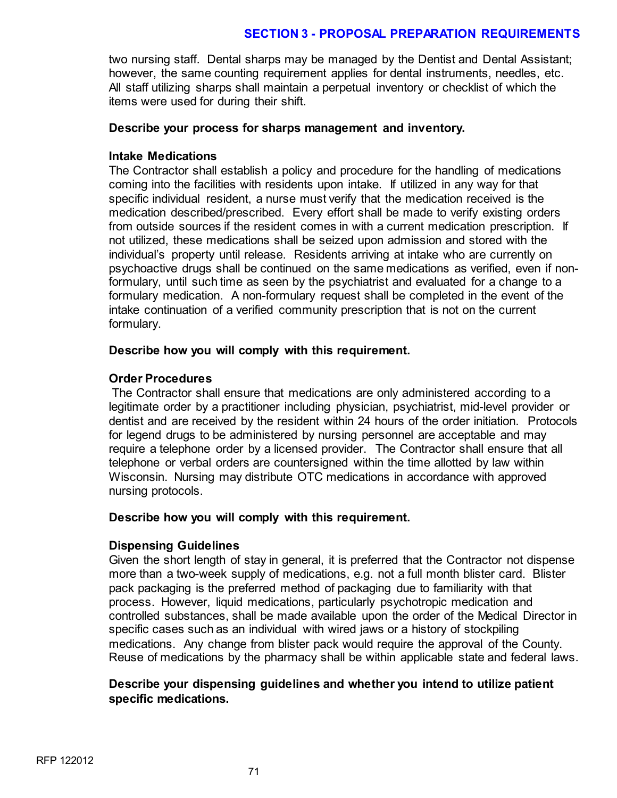two nursing staff. Dental sharps may be managed by the Dentist and Dental Assistant; however, the same counting requirement applies for dental instruments, needles, etc. All staff utilizing sharps shall maintain a perpetual inventory or checklist of which the items were used for during their shift.

# **Describe your process for sharps management and inventory.**

# **Intake Medications**

The Contractor shall establish a policy and procedure for the handling of medications coming into the facilities with residents upon intake. If utilized in any way for that specific individual resident, a nurse must verify that the medication received is the medication described/prescribed. Every effort shall be made to verify existing orders from outside sources if the resident comes in with a current medication prescription. If not utilized, these medications shall be seized upon admission and stored with the individual's property until release. Residents arriving at intake who are currently on psychoactive drugs shall be continued on the same medications as verified, even if nonformulary, until such time as seen by the psychiatrist and evaluated for a change to a formulary medication. A non-formulary request shall be completed in the event of the intake continuation of a verified community prescription that is not on the current formulary.

# **Describe how you will comply with this requirement.**

# **Order Procedures**

The Contractor shall ensure that medications are only administered according to a legitimate order by a practitioner including physician, psychiatrist, mid-level provider or dentist and are received by the resident within 24 hours of the order initiation. Protocols for legend drugs to be administered by nursing personnel are acceptable and may require a telephone order by a licensed provider. The Contractor shall ensure that all telephone or verbal orders are countersigned within the time allotted by law within Wisconsin. Nursing may distribute OTC medications in accordance with approved nursing protocols.

#### **Describe how you will comply with this requirement.**

# **Dispensing Guidelines**

Given the short length of stay in general, it is preferred that the Contractor not dispense more than a two-week supply of medications, e.g. not a full month blister card. Blister pack packaging is the preferred method of packaging due to familiarity with that process. However, liquid medications, particularly psychotropic medication and controlled substances, shall be made available upon the order of the Medical Director in specific cases such as an individual with wired jaws or a history of stockpiling medications. Any change from blister pack would require the approval of the County. Reuse of medications by the pharmacy shall be within applicable state and federal laws.

# **Describe your dispensing guidelines and whether you intend to utilize patient specific medications.**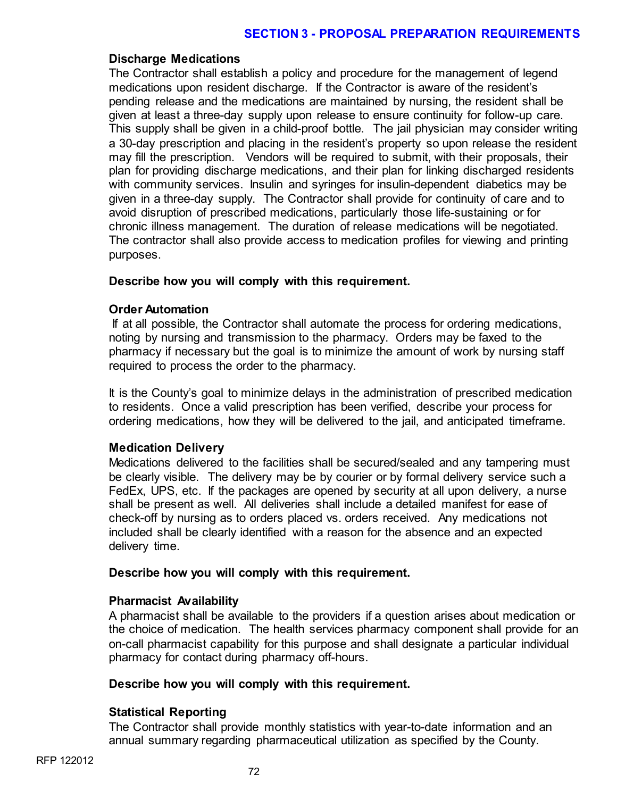### **Discharge Medications**

The Contractor shall establish a policy and procedure for the management of legend medications upon resident discharge. If the Contractor is aware of the resident's pending release and the medications are maintained by nursing, the resident shall be given at least a three-day supply upon release to ensure continuity for follow-up care. This supply shall be given in a child-proof bottle. The jail physician may consider writing a 30-day prescription and placing in the resident's property so upon release the resident may fill the prescription. Vendors will be required to submit, with their proposals, their plan for providing discharge medications, and their plan for linking discharged residents with community services. Insulin and syringes for insulin-dependent diabetics may be given in a three-day supply. The Contractor shall provide for continuity of care and to avoid disruption of prescribed medications, particularly those life-sustaining or for chronic illness management. The duration of release medications will be negotiated. The contractor shall also provide access to medication profiles for viewing and printing purposes.

### **Describe how you will comply with this requirement.**

### **Order Automation**

If at all possible, the Contractor shall automate the process for ordering medications, noting by nursing and transmission to the pharmacy. Orders may be faxed to the pharmacy if necessary but the goal is to minimize the amount of work by nursing staff required to process the order to the pharmacy.

It is the County's goal to minimize delays in the administration of prescribed medication to residents. Once a valid prescription has been verified, describe your process for ordering medications, how they will be delivered to the jail, and anticipated timeframe.

## **Medication Delivery**

Medications delivered to the facilities shall be secured/sealed and any tampering must be clearly visible. The delivery may be by courier or by formal delivery service such a FedEx, UPS, etc. If the packages are opened by security at all upon delivery, a nurse shall be present as well. All deliveries shall include a detailed manifest for ease of check-off by nursing as to orders placed vs. orders received. Any medications not included shall be clearly identified with a reason for the absence and an expected delivery time.

### **Describe how you will comply with this requirement.**

## **Pharmacist Availability**

A pharmacist shall be available to the providers if a question arises about medication or the choice of medication. The health services pharmacy component shall provide for an on-call pharmacist capability for this purpose and shall designate a particular individual pharmacy for contact during pharmacy off-hours.

### **Describe how you will comply with this requirement.**

## **Statistical Reporting**

The Contractor shall provide monthly statistics with year-to-date information and an annual summary regarding pharmaceutical utilization as specified by the County.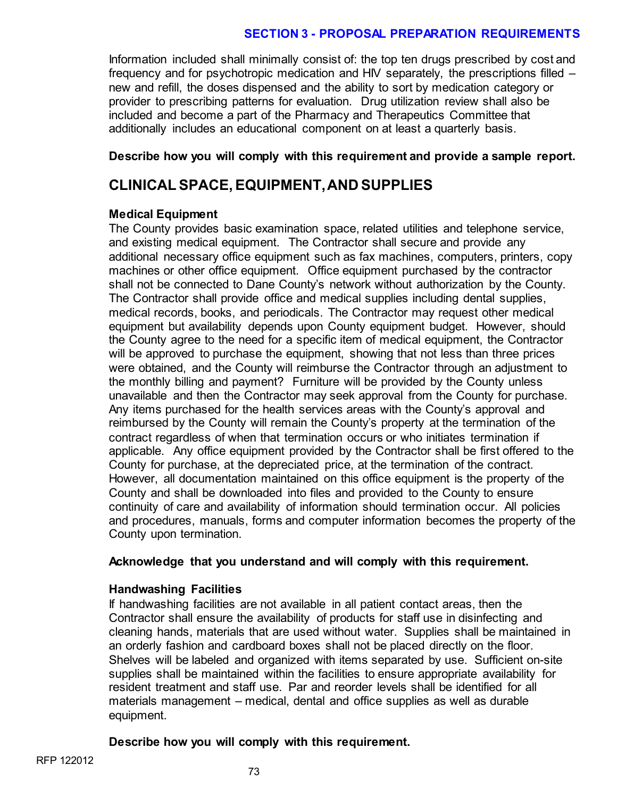Information included shall minimally consist of: the top ten drugs prescribed by cost and frequency and for psychotropic medication and HIV separately, the prescriptions filled – new and refill, the doses dispensed and the ability to sort by medication category or provider to prescribing patterns for evaluation. Drug utilization review shall also be included and become a part of the Pharmacy and Therapeutics Committee that additionally includes an educational component on at least a quarterly basis.

### **Describe how you will comply with this requirement and provide a sample report.**

# **CLINICAL SPACE, EQUIPMENT, AND SUPPLIES**

### **Medical Equipment**

The County provides basic examination space, related utilities and telephone service, and existing medical equipment. The Contractor shall secure and provide any additional necessary office equipment such as fax machines, computers, printers, copy machines or other office equipment. Office equipment purchased by the contractor shall not be connected to Dane County's network without authorization by the County. The Contractor shall provide office and medical supplies including dental supplies, medical records, books, and periodicals. The Contractor may request other medical equipment but availability depends upon County equipment budget. However, should the County agree to the need for a specific item of medical equipment, the Contractor will be approved to purchase the equipment, showing that not less than three prices were obtained, and the County will reimburse the Contractor through an adjustment to the monthly billing and payment? Furniture will be provided by the County unless unavailable and then the Contractor may seek approval from the County for purchase. Any items purchased for the health services areas with the County's approval and reimbursed by the County will remain the County's property at the termination of the contract regardless of when that termination occurs or who initiates termination if applicable. Any office equipment provided by the Contractor shall be first offered to the County for purchase, at the depreciated price, at the termination of the contract. However, all documentation maintained on this office equipment is the property of the County and shall be downloaded into files and provided to the County to ensure continuity of care and availability of information should termination occur. All policies and procedures, manuals, forms and computer information becomes the property of the County upon termination.

## **Acknowledge that you understand and will comply with this requirement.**

## **Handwashing Facilities**

If handwashing facilities are not available in all patient contact areas, then the Contractor shall ensure the availability of products for staff use in disinfecting and cleaning hands, materials that are used without water. Supplies shall be maintained in an orderly fashion and cardboard boxes shall not be placed directly on the floor. Shelves will be labeled and organized with items separated by use. Sufficient on-site supplies shall be maintained within the facilities to ensure appropriate availability for resident treatment and staff use. Par and reorder levels shall be identified for all materials management – medical, dental and office supplies as well as durable equipment.

## **Describe how you will comply with this requirement.**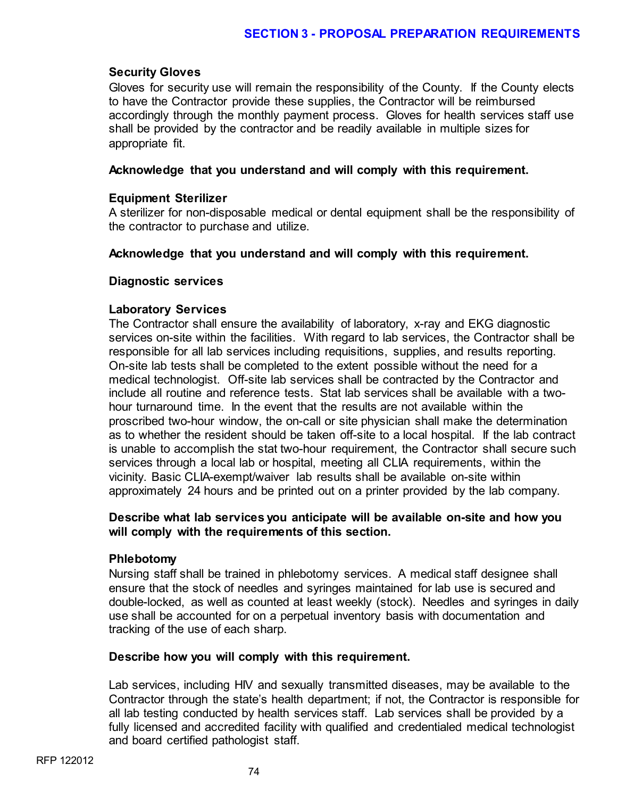## **Security Gloves**

Gloves for security use will remain the responsibility of the County. If the County elects to have the Contractor provide these supplies, the Contractor will be reimbursed accordingly through the monthly payment process. Gloves for health services staff use shall be provided by the contractor and be readily available in multiple sizes for appropriate fit.

## **Acknowledge that you understand and will comply with this requirement.**

## **Equipment Sterilizer**

A sterilizer for non-disposable medical or dental equipment shall be the responsibility of the contractor to purchase and utilize.

### **Acknowledge that you understand and will comply with this requirement.**

### **Diagnostic services**

### **Laboratory Services**

The Contractor shall ensure the availability of laboratory, x-ray and EKG diagnostic services on-site within the facilities. With regard to lab services, the Contractor shall be responsible for all lab services including requisitions, supplies, and results reporting. On-site lab tests shall be completed to the extent possible without the need for a medical technologist. Off-site lab services shall be contracted by the Contractor and include all routine and reference tests. Stat lab services shall be available with a twohour turnaround time. In the event that the results are not available within the proscribed two-hour window, the on-call or site physician shall make the determination as to whether the resident should be taken off-site to a local hospital. If the lab contract is unable to accomplish the stat two-hour requirement, the Contractor shall secure such services through a local lab or hospital, meeting all CLIA requirements, within the vicinity. Basic CLIA-exempt/waiver lab results shall be available on-site within approximately 24 hours and be printed out on a printer provided by the lab company.

### **Describe what lab services you anticipate will be available on-site and how you will comply with the requirements of this section.**

### **Phlebotomy**

Nursing staff shall be trained in phlebotomy services. A medical staff designee shall ensure that the stock of needles and syringes maintained for lab use is secured and double-locked, as well as counted at least weekly (stock). Needles and syringes in daily use shall be accounted for on a perpetual inventory basis with documentation and tracking of the use of each sharp.

### **Describe how you will comply with this requirement.**

Lab services, including HIV and sexually transmitted diseases, may be available to the Contractor through the state's health department; if not, the Contractor is responsible for all lab testing conducted by health services staff. Lab services shall be provided by a fully licensed and accredited facility with qualified and credentialed medical technologist and board certified pathologist staff.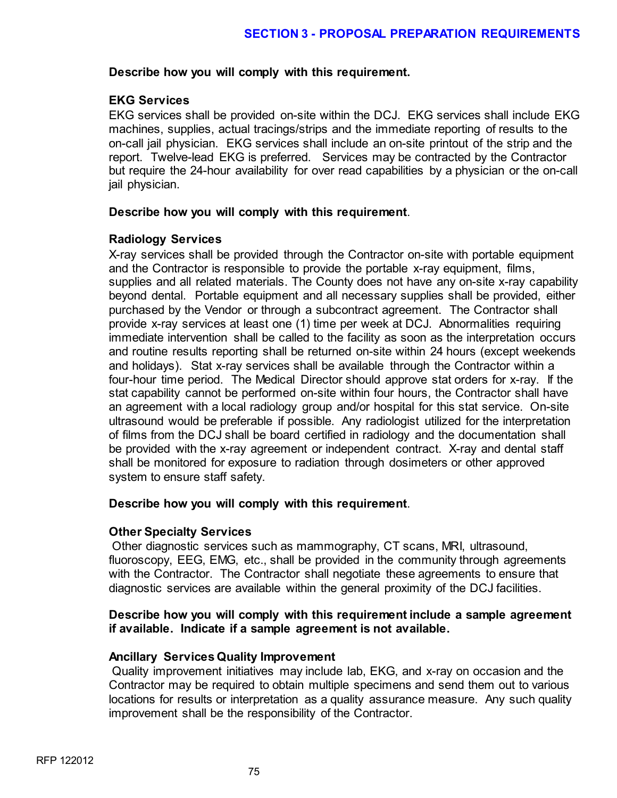### **Describe how you will comply with this requirement.**

## **EKG Services**

EKG services shall be provided on-site within the DCJ. EKG services shall include EKG machines, supplies, actual tracings/strips and the immediate reporting of results to the on-call jail physician. EKG services shall include an on-site printout of the strip and the report. Twelve-lead EKG is preferred. Services may be contracted by the Contractor but require the 24-hour availability for over read capabilities by a physician or the on-call jail physician.

### **Describe how you will comply with this requirement**.

## **Radiology Services**

X-ray services shall be provided through the Contractor on-site with portable equipment and the Contractor is responsible to provide the portable x-ray equipment, films, supplies and all related materials. The County does not have any on-site x-ray capability beyond dental. Portable equipment and all necessary supplies shall be provided, either purchased by the Vendor or through a subcontract agreement. The Contractor shall provide x-ray services at least one (1) time per week at DCJ. Abnormalities requiring immediate intervention shall be called to the facility as soon as the interpretation occurs and routine results reporting shall be returned on-site within 24 hours (except weekends and holidays). Stat x-ray services shall be available through the Contractor within a four-hour time period. The Medical Director should approve stat orders for x-ray. If the stat capability cannot be performed on-site within four hours, the Contractor shall have an agreement with a local radiology group and/or hospital for this stat service. On-site ultrasound would be preferable if possible. Any radiologist utilized for the interpretation of films from the DCJ shall be board certified in radiology and the documentation shall be provided with the x-ray agreement or independent contract. X-ray and dental staff shall be monitored for exposure to radiation through dosimeters or other approved system to ensure staff safety.

### **Describe how you will comply with this requirement**.

### **Other Specialty Services**

Other diagnostic services such as mammography, CT scans, MRI, ultrasound, fluoroscopy, EEG, EMG, etc., shall be provided in the community through agreements with the Contractor. The Contractor shall negotiate these agreements to ensure that diagnostic services are available within the general proximity of the DCJ facilities.

### **Describe how you will comply with this requirement include a sample agreement if available. Indicate if a sample agreement is not available.**

## **Ancillary Services Quality Improvement**

Quality improvement initiatives may include lab, EKG, and x-ray on occasion and the Contractor may be required to obtain multiple specimens and send them out to various locations for results or interpretation as a quality assurance measure. Any such quality improvement shall be the responsibility of the Contractor.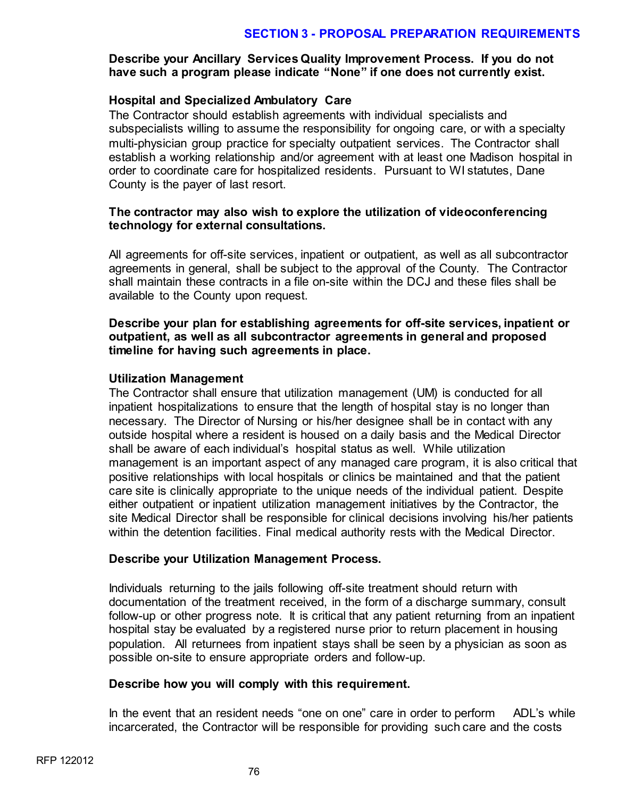## **Describe your Ancillary Services Quality Improvement Process. If you do not have such a program please indicate "None" if one does not currently exist.**

### **Hospital and Specialized Ambulatory Care**

The Contractor should establish agreements with individual specialists and subspecialists willing to assume the responsibility for ongoing care, or with a specialty multi-physician group practice for specialty outpatient services. The Contractor shall establish a working relationship and/or agreement with at least one Madison hospital in order to coordinate care for hospitalized residents. Pursuant to WI statutes, Dane County is the payer of last resort.

### **The contractor may also wish to explore the utilization of videoconferencing technology for external consultations.**

All agreements for off-site services, inpatient or outpatient, as well as all subcontractor agreements in general, shall be subject to the approval of the County. The Contractor shall maintain these contracts in a file on-site within the DCJ and these files shall be available to the County upon request.

### **Describe your plan for establishing agreements for off-site services, inpatient or outpatient, as well as all subcontractor agreements in general and proposed timeline for having such agreements in place.**

### **Utilization Management**

The Contractor shall ensure that utilization management (UM) is conducted for all inpatient hospitalizations to ensure that the length of hospital stay is no longer than necessary. The Director of Nursing or his/her designee shall be in contact with any outside hospital where a resident is housed on a daily basis and the Medical Director shall be aware of each individual's hospital status as well. While utilization management is an important aspect of any managed care program, it is also critical that positive relationships with local hospitals or clinics be maintained and that the patient care site is clinically appropriate to the unique needs of the individual patient. Despite either outpatient or inpatient utilization management initiatives by the Contractor, the site Medical Director shall be responsible for clinical decisions involving his/her patients within the detention facilities. Final medical authority rests with the Medical Director.

### **Describe your Utilization Management Process.**

Individuals returning to the jails following off-site treatment should return with documentation of the treatment received, in the form of a discharge summary, consult follow-up or other progress note. It is critical that any patient returning from an inpatient hospital stay be evaluated by a registered nurse prior to return placement in housing population. All returnees from inpatient stays shall be seen by a physician as soon as possible on-site to ensure appropriate orders and follow-up.

### **Describe how you will comply with this requirement.**

In the event that an resident needs "one on one" care in order to perform ADL's while incarcerated, the Contractor will be responsible for providing such care and the costs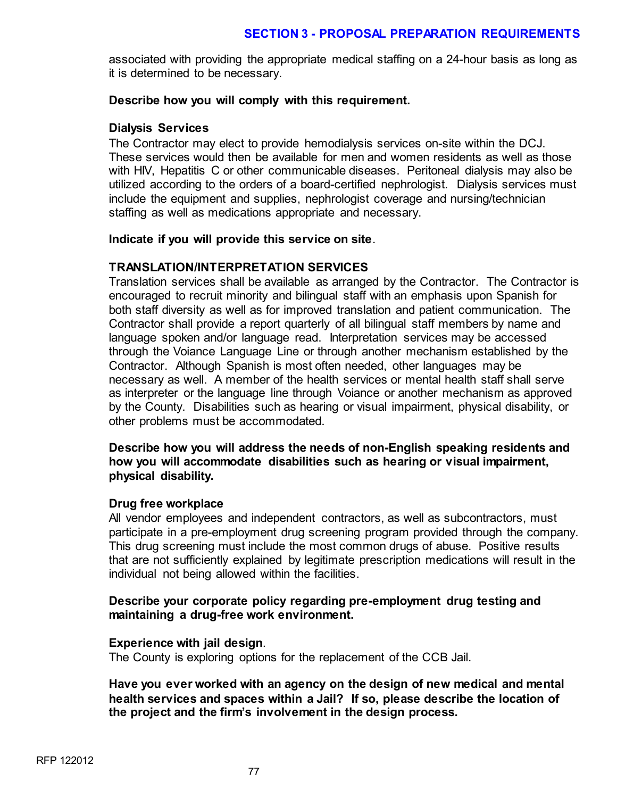associated with providing the appropriate medical staffing on a 24-hour basis as long as it is determined to be necessary.

#### **Describe how you will comply with this requirement.**

#### **Dialysis Services**

The Contractor may elect to provide hemodialysis services on-site within the DCJ. These services would then be available for men and women residents as well as those with HIV, Hepatitis C or other communicable diseases. Peritoneal dialysis may also be utilized according to the orders of a board-certified nephrologist. Dialysis services must include the equipment and supplies, nephrologist coverage and nursing/technician staffing as well as medications appropriate and necessary.

#### **Indicate if you will provide this service on site**.

### **TRANSLATION/INTERPRETATION SERVICES**

Translation services shall be available as arranged by the Contractor. The Contractor is encouraged to recruit minority and bilingual staff with an emphasis upon Spanish for both staff diversity as well as for improved translation and patient communication. The Contractor shall provide a report quarterly of all bilingual staff members by name and language spoken and/or language read. Interpretation services may be accessed through the Voiance Language Line or through another mechanism established by the Contractor. Although Spanish is most often needed, other languages may be necessary as well. A member of the health services or mental health staff shall serve as interpreter or the language line through Voiance or another mechanism as approved by the County. Disabilities such as hearing or visual impairment, physical disability, or other problems must be accommodated.

### **Describe how you will address the needs of non-English speaking residents and how you will accommodate disabilities such as hearing or visual impairment, physical disability.**

### **Drug free workplace**

All vendor employees and independent contractors, as well as subcontractors, must participate in a pre-employment drug screening program provided through the company. This drug screening must include the most common drugs of abuse. Positive results that are not sufficiently explained by legitimate prescription medications will result in the individual not being allowed within the facilities.

### **Describe your corporate policy regarding pre-employment drug testing and maintaining a drug-free work environment.**

### **Experience with jail design**.

The County is exploring options for the replacement of the CCB Jail.

**Have you ever worked with an agency on the design of new medical and mental health services and spaces within a Jail? If so, please describe the location of the project and the firm's involvement in the design process.**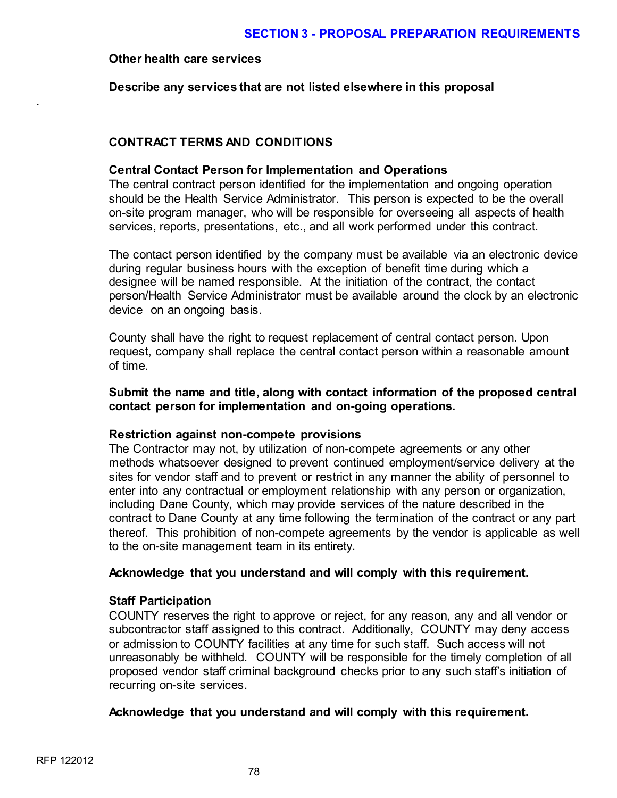#### **Other health care services**

.

**Describe any services that are not listed elsewhere in this proposal**

## **CONTRACT TERMS AND CONDITIONS**

### **Central Contact Person for Implementation and Operations**

The central contract person identified for the implementation and ongoing operation should be the Health Service Administrator. This person is expected to be the overall on-site program manager, who will be responsible for overseeing all aspects of health services, reports, presentations, etc., and all work performed under this contract.

The contact person identified by the company must be available via an electronic device during regular business hours with the exception of benefit time during which a designee will be named responsible. At the initiation of the contract, the contact person/Health Service Administrator must be available around the clock by an electronic device on an ongoing basis.

County shall have the right to request replacement of central contact person. Upon request, company shall replace the central contact person within a reasonable amount of time.

### **Submit the name and title, along with contact information of the proposed central contact person for implementation and on-going operations.**

### **Restriction against non-compete provisions**

The Contractor may not, by utilization of non-compete agreements or any other methods whatsoever designed to prevent continued employment/service delivery at the sites for vendor staff and to prevent or restrict in any manner the ability of personnel to enter into any contractual or employment relationship with any person or organization, including Dane County, which may provide services of the nature described in the contract to Dane County at any time following the termination of the contract or any part thereof. This prohibition of non-compete agreements by the vendor is applicable as well to the on-site management team in its entirety.

### **Acknowledge that you understand and will comply with this requirement.**

### **Staff Participation**

COUNTY reserves the right to approve or reject, for any reason, any and all vendor or subcontractor staff assigned to this contract. Additionally, COUNTY may deny access or admission to COUNTY facilities at any time for such staff. Such access will not unreasonably be withheld. COUNTY will be responsible for the timely completion of all proposed vendor staff criminal background checks prior to any such staff's initiation of recurring on-site services.

### **Acknowledge that you understand and will comply with this requirement.**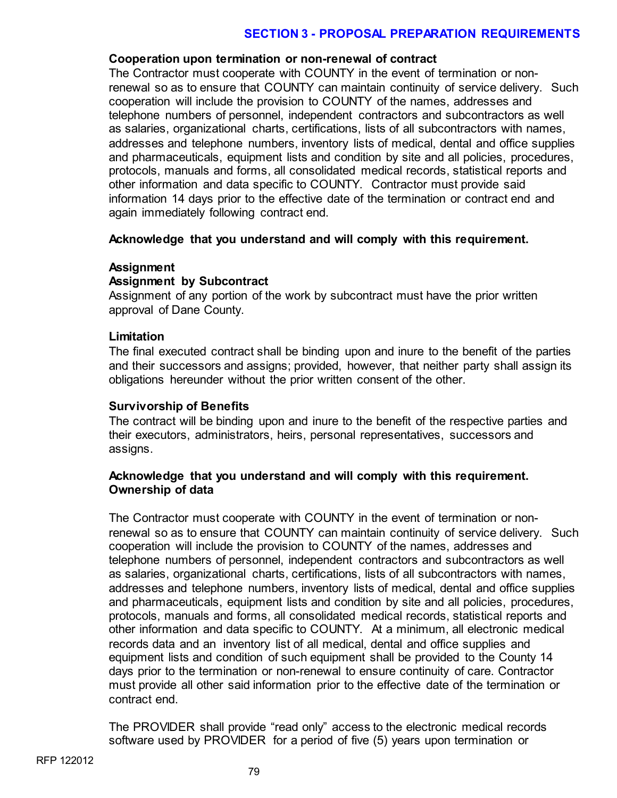### **Cooperation upon termination or non-renewal of contract**

The Contractor must cooperate with COUNTY in the event of termination or nonrenewal so as to ensure that COUNTY can maintain continuity of service delivery. Such cooperation will include the provision to COUNTY of the names, addresses and telephone numbers of personnel, independent contractors and subcontractors as well as salaries, organizational charts, certifications, lists of all subcontractors with names, addresses and telephone numbers, inventory lists of medical, dental and office supplies and pharmaceuticals, equipment lists and condition by site and all policies, procedures, protocols, manuals and forms, all consolidated medical records, statistical reports and other information and data specific to COUNTY. Contractor must provide said information 14 days prior to the effective date of the termination or contract end and again immediately following contract end.

## **Acknowledge that you understand and will comply with this requirement.**

### **Assignment**

## **Assignment by Subcontract**

Assignment of any portion of the work by subcontract must have the prior written approval of Dane County.

### **Limitation**

The final executed contract shall be binding upon and inure to the benefit of the parties and their successors and assigns; provided, however, that neither party shall assign its obligations hereunder without the prior written consent of the other.

### **Survivorship of Benefits**

The contract will be binding upon and inure to the benefit of the respective parties and their executors, administrators, heirs, personal representatives, successors and assigns.

### **Acknowledge that you understand and will comply with this requirement. Ownership of data**

The Contractor must cooperate with COUNTY in the event of termination or nonrenewal so as to ensure that COUNTY can maintain continuity of service delivery. Such cooperation will include the provision to COUNTY of the names, addresses and telephone numbers of personnel, independent contractors and subcontractors as well as salaries, organizational charts, certifications, lists of all subcontractors with names, addresses and telephone numbers, inventory lists of medical, dental and office supplies and pharmaceuticals, equipment lists and condition by site and all policies, procedures, protocols, manuals and forms, all consolidated medical records, statistical reports and other information and data specific to COUNTY. At a minimum, all electronic medical records data and an inventory list of all medical, dental and office supplies and equipment lists and condition of such equipment shall be provided to the County 14 days prior to the termination or non-renewal to ensure continuity of care. Contractor must provide all other said information prior to the effective date of the termination or contract end.

The PROVIDER shall provide "read only" access to the electronic medical records software used by PROVIDER for a period of five (5) years upon termination or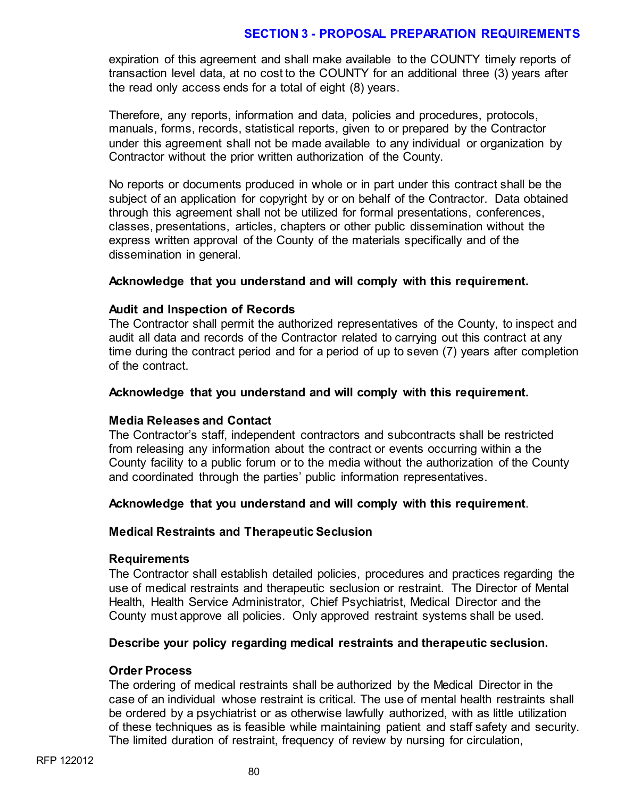expiration of this agreement and shall make available to the COUNTY timely reports of transaction level data, at no cost to the COUNTY for an additional three (3) years after the read only access ends for a total of eight (8) years.

Therefore, any reports, information and data, policies and procedures, protocols, manuals, forms, records, statistical reports, given to or prepared by the Contractor under this agreement shall not be made available to any individual or organization by Contractor without the prior written authorization of the County.

No reports or documents produced in whole or in part under this contract shall be the subject of an application for copyright by or on behalf of the Contractor. Data obtained through this agreement shall not be utilized for formal presentations, conferences, classes, presentations, articles, chapters or other public dissemination without the express written approval of the County of the materials specifically and of the dissemination in general.

### **Acknowledge that you understand and will comply with this requirement.**

### **Audit and Inspection of Records**

The Contractor shall permit the authorized representatives of the County, to inspect and audit all data and records of the Contractor related to carrying out this contract at any time during the contract period and for a period of up to seven (7) years after completion of the contract.

### **Acknowledge that you understand and will comply with this requirement.**

### **Media Releases and Contact**

The Contractor's staff, independent contractors and subcontracts shall be restricted from releasing any information about the contract or events occurring within a the County facility to a public forum or to the media without the authorization of the County and coordinated through the parties' public information representatives.

## **Acknowledge that you understand and will comply with this requirement**.

### **Medical Restraints and Therapeutic Seclusion**

### **Requirements**

The Contractor shall establish detailed policies, procedures and practices regarding the use of medical restraints and therapeutic seclusion or restraint. The Director of Mental Health, Health Service Administrator, Chief Psychiatrist, Medical Director and the County must approve all policies. Only approved restraint systems shall be used.

### **Describe your policy regarding medical restraints and therapeutic seclusion.**

### **Order Process**

The ordering of medical restraints shall be authorized by the Medical Director in the case of an individual whose restraint is critical. The use of mental health restraints shall be ordered by a psychiatrist or as otherwise lawfully authorized, with as little utilization of these techniques as is feasible while maintaining patient and staff safety and security. The limited duration of restraint, frequency of review by nursing for circulation,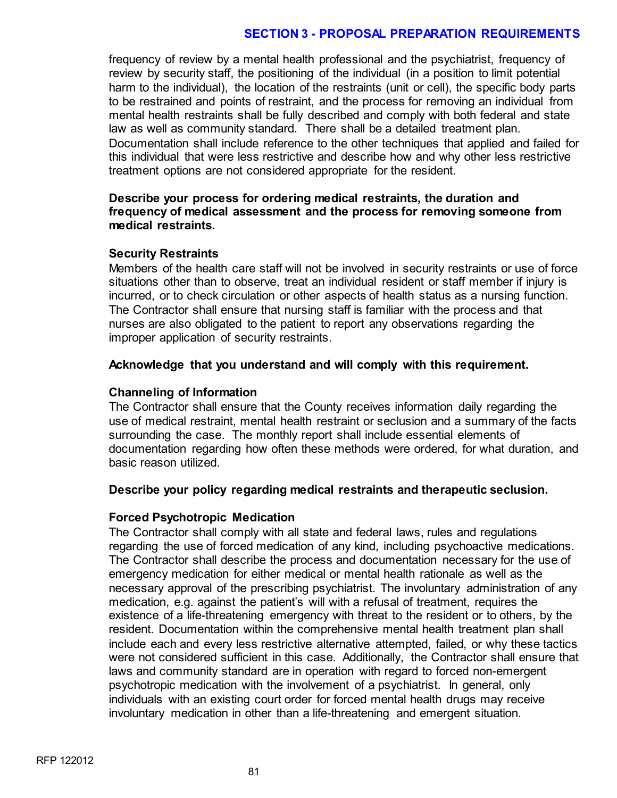frequency of review by a mental health professional and the psychiatrist, frequency of review by security staff, the positioning of the individual (in a position to limit potential harm to the individual), the location of the restraints (unit or cell), the specific body parts to be restrained and points of restraint, and the process for removing an individual from mental health restraints shall be fully described and comply with both federal and state law as well as community standard. There shall be a detailed treatment plan. Documentation shall include reference to the other techniques that applied and failed for this individual that were less restrictive and describe how and why other less restrictive treatment options are not considered appropriate for the resident.

### **Describe your process for ordering medical restraints, the duration and frequency of medical assessment and the process for removing someone from medical restraints.**

#### **Security Restraints**

Members of the health care staff will not be involved in security restraints or use of force situations other than to observe, treat an individual resident or staff member if injury is incurred, or to check circulation or other aspects of health status as a nursing function. The Contractor shall ensure that nursing staff is familiar with the process and that nurses are also obligated to the patient to report any observations regarding the improper application of security restraints.

#### **Acknowledge that you understand and will comply with this requirement.**

#### **Channeling of Information**

The Contractor shall ensure that the County receives information daily regarding the use of medical restraint, mental health restraint or seclusion and a summary of the facts surrounding the case. The monthly report shall include essential elements of documentation regarding how often these methods were ordered, for what duration, and basic reason utilized.

#### **Describe your policy regarding medical restraints and therapeutic seclusion.**

### **Forced Psychotropic Medication**

The Contractor shall comply with all state and federal laws, rules and regulations regarding the use of forced medication of any kind, including psychoactive medications. The Contractor shall describe the process and documentation necessary for the use of emergency medication for either medical or mental health rationale as well as the necessary approval of the prescribing psychiatrist. The involuntary administration of any medication, e.g. against the patient's will with a refusal of treatment, requires the existence of a life-threatening emergency with threat to the resident or to others, by the resident. Documentation within the comprehensive mental health treatment plan shall include each and every less restrictive alternative attempted, failed, or why these tactics were not considered sufficient in this case. Additionally, the Contractor shall ensure that laws and community standard are in operation with regard to forced non-emergent psychotropic medication with the involvement of a psychiatrist. In general, only individuals with an existing court order for forced mental health drugs may receive involuntary medication in other than a life-threatening and emergent situation.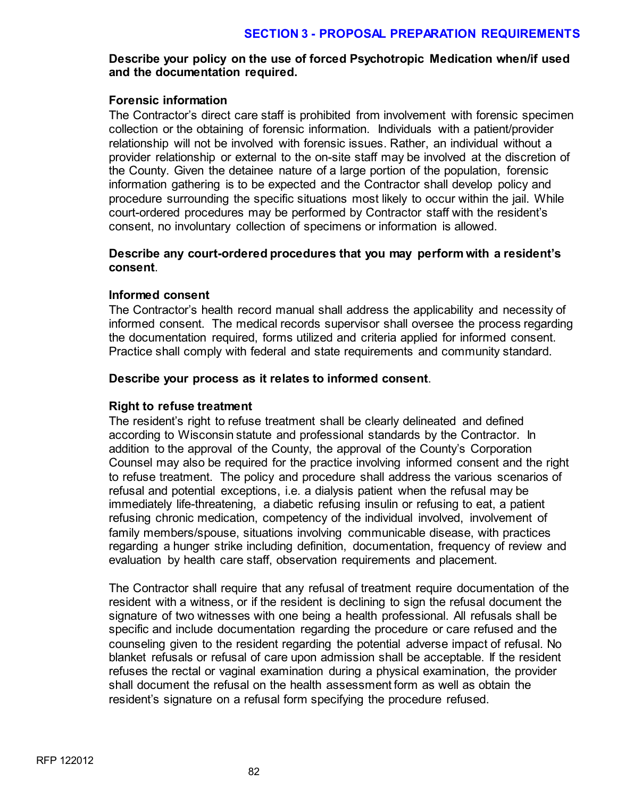## **Describe your policy on the use of forced Psychotropic Medication when/if used and the documentation required.**

### **Forensic information**

The Contractor's direct care staff is prohibited from involvement with forensic specimen collection or the obtaining of forensic information. Individuals with a patient/provider relationship will not be involved with forensic issues. Rather, an individual without a provider relationship or external to the on-site staff may be involved at the discretion of the County. Given the detainee nature of a large portion of the population, forensic information gathering is to be expected and the Contractor shall develop policy and procedure surrounding the specific situations most likely to occur within the jail. While court-ordered procedures may be performed by Contractor staff with the resident's consent, no involuntary collection of specimens or information is allowed.

### **Describe any court-ordered procedures that you may perform with a resident's consent**.

### **Informed consent**

The Contractor's health record manual shall address the applicability and necessity of informed consent. The medical records supervisor shall oversee the process regarding the documentation required, forms utilized and criteria applied for informed consent. Practice shall comply with federal and state requirements and community standard.

### **Describe your process as it relates to informed consent**.

### **Right to refuse treatment**

The resident's right to refuse treatment shall be clearly delineated and defined according to Wisconsin statute and professional standards by the Contractor. In addition to the approval of the County, the approval of the County's Corporation Counsel may also be required for the practice involving informed consent and the right to refuse treatment. The policy and procedure shall address the various scenarios of refusal and potential exceptions, i.e. a dialysis patient when the refusal may be immediately life-threatening, a diabetic refusing insulin or refusing to eat, a patient refusing chronic medication, competency of the individual involved, involvement of family members/spouse, situations involving communicable disease, with practices regarding a hunger strike including definition, documentation, frequency of review and evaluation by health care staff, observation requirements and placement.

The Contractor shall require that any refusal of treatment require documentation of the resident with a witness, or if the resident is declining to sign the refusal document the signature of two witnesses with one being a health professional. All refusals shall be specific and include documentation regarding the procedure or care refused and the counseling given to the resident regarding the potential adverse impact of refusal. No blanket refusals or refusal of care upon admission shall be acceptable. If the resident refuses the rectal or vaginal examination during a physical examination, the provider shall document the refusal on the health assessment form as well as obtain the resident's signature on a refusal form specifying the procedure refused.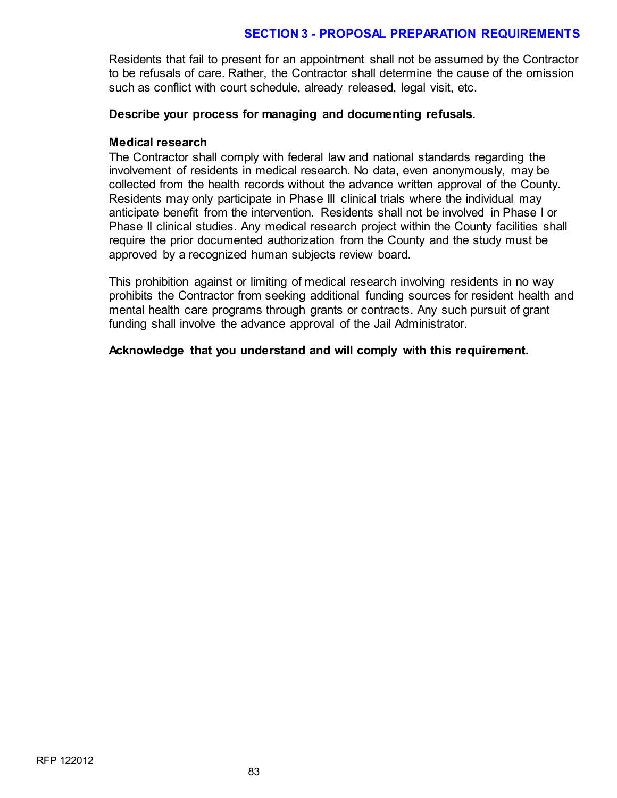Residents that fail to present for an appointment shall not be assumed by the Contractor to be refusals of care. Rather, the Contractor shall determine the cause of the omission such as conflict with court schedule, already released, legal visit, etc.

#### **Describe your process for managing and documenting refusals.**

#### **Medical research**

The Contractor shall comply with federal law and national standards regarding the involvement of residents in medical research. No data, even anonymously, may be collected from the health records without the advance written approval of the County. Residents may only participate in Phase III clinical trials where the individual may anticipate benefit from the intervention. Residents shall not be involved in Phase I or Phase II clinical studies. Any medical research project within the County facilities shall require the prior documented authorization from the County and the study must be approved by a recognized human subjects review board.

This prohibition against or limiting of medical research involving residents in no way prohibits the Contractor from seeking additional funding sources for resident health and mental health care programs through grants or contracts. Any such pursuit of grant funding shall involve the advance approval of the Jail Administrator.

#### **Acknowledge that you understand and will comply with this requirement.**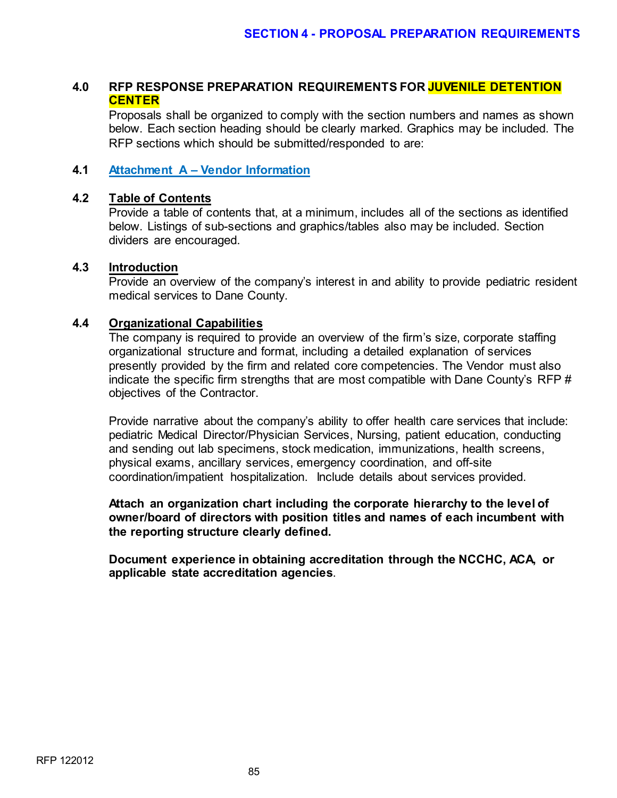## **4.0 RFP RESPONSE PREPARATION REQUIREMENTS FOR JUVENILE DETENTION CENTER**

Proposals shall be organized to comply with the section numbers and names as shown below. Each section heading should be clearly marked. Graphics may be included. The RFP sections which should be submitted/responded to are:

### **4.1 Attachment A – Vendor Information**

## **4.2 Table of Contents**

Provide a table of contents that, at a minimum, includes all of the sections as identified below. Listings of sub-sections and graphics/tables also may be included. Section dividers are encouraged.

#### **4.3 Introduction**

Provide an overview of the company's interest in and ability to provide pediatric resident medical services to Dane County.

#### **4.4 Organizational Capabilities**

The company is required to provide an overview of the firm's size, corporate staffing organizational structure and format, including a detailed explanation of services presently provided by the firm and related core competencies. The Vendor must also indicate the specific firm strengths that are most compatible with Dane County's RFP # objectives of the Contractor.

Provide narrative about the company's ability to offer health care services that include: pediatric Medical Director/Physician Services, Nursing, patient education, conducting and sending out lab specimens, stock medication, immunizations, health screens, physical exams, ancillary services, emergency coordination, and off-site coordination/impatient hospitalization. Include details about services provided.

**Attach an organization chart including the corporate hierarchy to the level of owner/board of directors with position titles and names of each incumbent with the reporting structure clearly defined.**

**Document experience in obtaining accreditation through the NCCHC, ACA, or applicable state accreditation agencies**.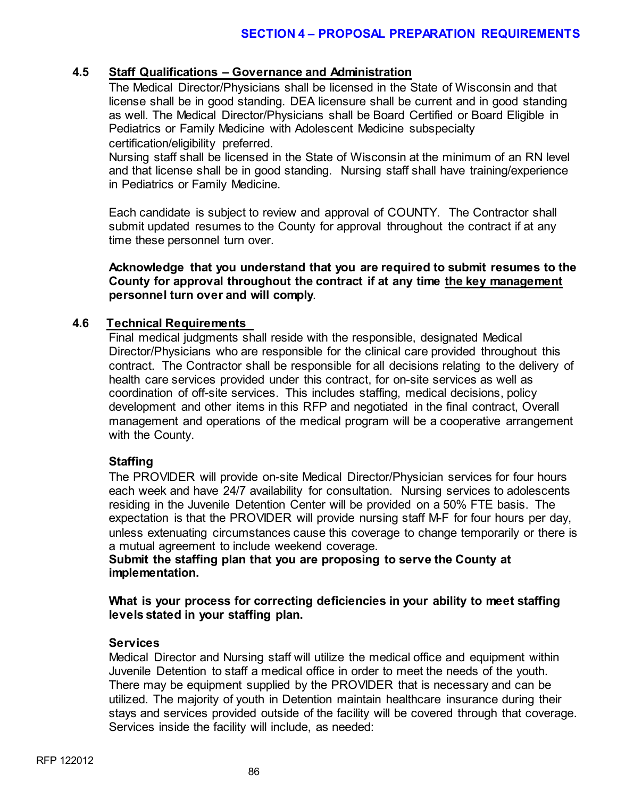## **4.5 Staff Qualifications – Governance and Administration**

The Medical Director/Physicians shall be licensed in the State of Wisconsin and that license shall be in good standing. DEA licensure shall be current and in good standing as well. The Medical Director/Physicians shall be Board Certified or Board Eligible in Pediatrics or Family Medicine with Adolescent Medicine subspecialty certification/eligibility preferred.

Nursing staff shall be licensed in the State of Wisconsin at the minimum of an RN level and that license shall be in good standing. Nursing staff shall have training/experience in Pediatrics or Family Medicine.

Each candidate is subject to review and approval of COUNTY. The Contractor shall submit updated resumes to the County for approval throughout the contract if at any time these personnel turn over.

### **Acknowledge that you understand that you are required to submit resumes to the County for approval throughout the contract if at any time the key management personnel turn over and will comply**.

### **4.6 Technical Requirements**

Final medical judgments shall reside with the responsible, designated Medical Director/Physicians who are responsible for the clinical care provided throughout this contract. The Contractor shall be responsible for all decisions relating to the delivery of health care services provided under this contract, for on-site services as well as coordination of off-site services. This includes staffing, medical decisions, policy development and other items in this RFP and negotiated in the final contract, Overall management and operations of the medical program will be a cooperative arrangement with the County.

### **Staffing**

The PROVIDER will provide on-site Medical Director/Physician services for four hours each week and have 24/7 availability for consultation. Nursing services to adolescents residing in the Juvenile Detention Center will be provided on a 50% FTE basis. The expectation is that the PROVIDER will provide nursing staff M-F for four hours per day, unless extenuating circumstances cause this coverage to change temporarily or there is a mutual agreement to include weekend coverage.

**Submit the staffing plan that you are proposing to serve the County at implementation.**

**What is your process for correcting deficiencies in your ability to meet staffing levels stated in your staffing plan.** 

### **Services**

Medical Director and Nursing staff will utilize the medical office and equipment within Juvenile Detention to staff a medical office in order to meet the needs of the youth. There may be equipment supplied by the PROVIDER that is necessary and can be utilized. The majority of youth in Detention maintain healthcare insurance during their stays and services provided outside of the facility will be covered through that coverage. Services inside the facility will include, as needed: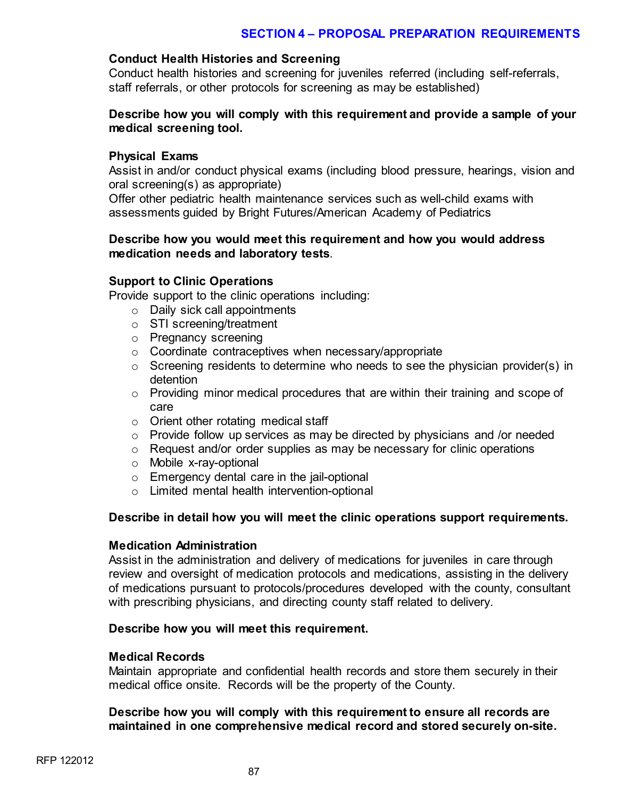#### **Conduct Health Histories and Screening**

Conduct health histories and screening for juveniles referred (including self-referrals, staff referrals, or other protocols for screening as may be established)

### **Describe how you will comply with this requirement and provide a sample of your medical screening tool.**

#### **Physical Exams**

Assist in and/or conduct physical exams (including blood pressure, hearings, vision and oral screening(s) as appropriate)

Offer other pediatric health maintenance services such as well-child exams with assessments guided by Bright Futures/American Academy of Pediatrics

### **Describe how you would meet this requirement and how you would address medication needs and laboratory tests**.

### **Support to Clinic Operations**

Provide support to the clinic operations including:

- o Daily sick call appointments
- o STI screening/treatment
- o Pregnancy screening
- o Coordinate contraceptives when necessary/appropriate
- o Screening residents to determine who needs to see the physician provider(s) in detention
- o Providing minor medical procedures that are within their training and scope of care
- o Orient other rotating medical staff
- $\circ$  Provide follow up services as may be directed by physicians and /or needed
- o Request and/or order supplies as may be necessary for clinic operations
- o Mobile x-ray-optional
- o Emergency dental care in the jail-optional
- o Limited mental health intervention-optional

### **Describe in detail how you will meet the clinic operations support requirements.**

#### **Medication Administration**

Assist in the administration and delivery of medications for juveniles in care through review and oversight of medication protocols and medications, assisting in the delivery of medications pursuant to protocols/procedures developed with the county, consultant with prescribing physicians, and directing county staff related to delivery.

#### **Describe how you will meet this requirement.**

#### **Medical Records**

Maintain appropriate and confidential health records and store them securely in their medical office onsite. Records will be the property of the County.

### **Describe how you will comply with this requirement to ensure all records are maintained in one comprehensive medical record and stored securely on-site.**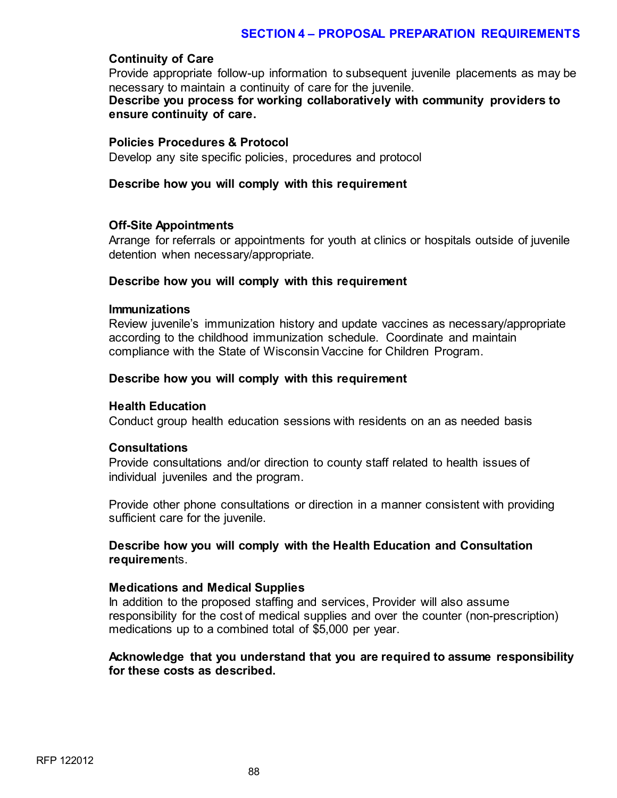#### **Continuity of Care**

Provide appropriate follow-up information to subsequent juvenile placements as may be necessary to maintain a continuity of care for the juvenile. **Describe you process for working collaboratively with community providers to ensure continuity of care.** 

#### **Policies Procedures & Protocol**

Develop any site specific policies, procedures and protocol

#### **Describe how you will comply with this requirement**

#### **Off-Site Appointments**

Arrange for referrals or appointments for youth at clinics or hospitals outside of juvenile detention when necessary/appropriate.

### **Describe how you will comply with this requirement**

#### **Immunizations**

Review juvenile's immunization history and update vaccines as necessary/appropriate according to the childhood immunization schedule. Coordinate and maintain compliance with the State of Wisconsin Vaccine for Children Program.

#### **Describe how you will comply with this requirement**

#### **Health Education**

Conduct group health education sessions with residents on an as needed basis

#### **Consultations**

Provide consultations and/or direction to county staff related to health issues of individual juveniles and the program.

Provide other phone consultations or direction in a manner consistent with providing sufficient care for the juvenile.

### **Describe how you will comply with the Health Education and Consultation requiremen**ts.

#### **Medications and Medical Supplies**

In addition to the proposed staffing and services, Provider will also assume responsibility for the cost of medical supplies and over the counter (non-prescription) medications up to a combined total of \$5,000 per year.

#### **Acknowledge that you understand that you are required to assume responsibility for these costs as described.**